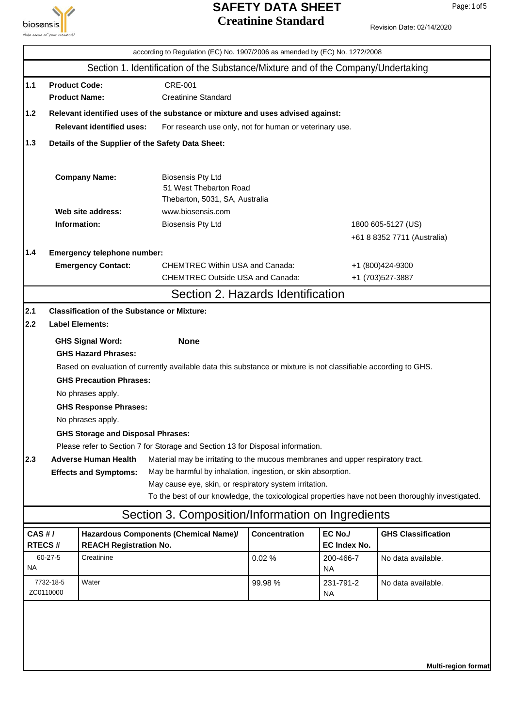

Revision Date: 02/14/2020

|                                 |                                              |                                                    | according to Regulation (EC) No. 1907/2006 as amended by (EC) No. 1272/2008                                                                   |                        |                                |                                                                                                   |  |  |  |  |
|---------------------------------|----------------------------------------------|----------------------------------------------------|-----------------------------------------------------------------------------------------------------------------------------------------------|------------------------|--------------------------------|---------------------------------------------------------------------------------------------------|--|--|--|--|
|                                 |                                              |                                                    | Section 1. Identification of the Substance/Mixture and of the Company/Undertaking                                                             |                        |                                |                                                                                                   |  |  |  |  |
| $1.1$                           | <b>Product Code:</b><br><b>Product Name:</b> |                                                    | <b>CRE-001</b><br><b>Creatinine Standard</b>                                                                                                  |                        |                                |                                                                                                   |  |  |  |  |
| $1.2$                           |                                              |                                                    | Relevant identified uses of the substance or mixture and uses advised against:                                                                |                        |                                |                                                                                                   |  |  |  |  |
|                                 |                                              | <b>Relevant identified uses:</b>                   | For research use only, not for human or veterinary use.                                                                                       |                        |                                |                                                                                                   |  |  |  |  |
| $1.3$                           |                                              |                                                    | Details of the Supplier of the Safety Data Sheet:                                                                                             |                        |                                |                                                                                                   |  |  |  |  |
|                                 |                                              | <b>Company Name:</b>                               | <b>Biosensis Pty Ltd</b><br>51 West Thebarton Road<br>Thebarton, 5031, SA, Australia                                                          |                        |                                |                                                                                                   |  |  |  |  |
|                                 |                                              | Web site address:                                  | www.biosensis.com                                                                                                                             |                        |                                |                                                                                                   |  |  |  |  |
|                                 | Information:                                 |                                                    | <b>Biosensis Pty Ltd</b>                                                                                                                      |                        |                                | 1800 605-5127 (US)                                                                                |  |  |  |  |
|                                 |                                              |                                                    |                                                                                                                                               |                        |                                | +61 8 8352 7711 (Australia)                                                                       |  |  |  |  |
| 1.4                             |                                              | Emergency telephone number:                        |                                                                                                                                               |                        |                                |                                                                                                   |  |  |  |  |
|                                 |                                              | <b>Emergency Contact:</b>                          | <b>CHEMTREC Within USA and Canada:</b><br><b>CHEMTREC Outside USA and Canada:</b>                                                             |                        |                                | +1 (800)424-9300<br>+1 (703) 527-3887                                                             |  |  |  |  |
|                                 |                                              |                                                    | Section 2. Hazards Identification                                                                                                             |                        |                                |                                                                                                   |  |  |  |  |
|                                 |                                              |                                                    |                                                                                                                                               |                        |                                |                                                                                                   |  |  |  |  |
| 2.1                             |                                              | <b>Classification of the Substance or Mixture:</b> |                                                                                                                                               |                        |                                |                                                                                                   |  |  |  |  |
| 2.2                             |                                              | <b>Label Elements:</b>                             |                                                                                                                                               |                        |                                |                                                                                                   |  |  |  |  |
|                                 |                                              | <b>GHS Signal Word:</b>                            | <b>None</b>                                                                                                                                   |                        |                                |                                                                                                   |  |  |  |  |
|                                 |                                              |                                                    | <b>GHS Hazard Phrases:</b><br>Based on evaluation of currently available data this substance or mixture is not classifiable according to GHS. |                        |                                |                                                                                                   |  |  |  |  |
|                                 |                                              | <b>GHS Precaution Phrases:</b>                     |                                                                                                                                               |                        |                                |                                                                                                   |  |  |  |  |
|                                 |                                              | No phrases apply.                                  |                                                                                                                                               |                        |                                |                                                                                                   |  |  |  |  |
|                                 |                                              | <b>GHS Response Phrases:</b>                       |                                                                                                                                               |                        |                                |                                                                                                   |  |  |  |  |
|                                 |                                              | No phrases apply.                                  |                                                                                                                                               |                        |                                |                                                                                                   |  |  |  |  |
|                                 |                                              | <b>GHS Storage and Disposal Phrases:</b>           |                                                                                                                                               |                        |                                |                                                                                                   |  |  |  |  |
|                                 |                                              |                                                    | Please refer to Section 7 for Storage and Section 13 for Disposal information.                                                                |                        |                                |                                                                                                   |  |  |  |  |
| 2.3                             |                                              | <b>Adverse Human Health</b>                        | Material may be irritating to the mucous membranes and upper respiratory tract.                                                               |                        |                                |                                                                                                   |  |  |  |  |
|                                 |                                              | <b>Effects and Symptoms:</b>                       | May be harmful by inhalation, ingestion, or skin absorption.                                                                                  |                        |                                |                                                                                                   |  |  |  |  |
|                                 |                                              |                                                    | May cause eye, skin, or respiratory system irritation.                                                                                        |                        |                                |                                                                                                   |  |  |  |  |
|                                 |                                              |                                                    |                                                                                                                                               |                        |                                | To the best of our knowledge, the toxicological properties have not been thoroughly investigated. |  |  |  |  |
|                                 |                                              |                                                    | Section 3. Composition/Information on Ingredients                                                                                             |                        |                                |                                                                                                   |  |  |  |  |
| CAS#/                           | RTECS#                                       | <b>REACH Registration No.</b>                      | Hazardous Components (Chemical Name)/                                                                                                         | <b>Concentration</b>   | EC No./<br><b>EC Index No.</b> | <b>GHS Classification</b>                                                                         |  |  |  |  |
| <b>NA</b>                       | $60 - 27 - 5$                                | Creatinine                                         |                                                                                                                                               | 0.02%                  | 200-466-7<br><b>NA</b>         | No data available.                                                                                |  |  |  |  |
| Water<br>7732-18-5<br>ZC0110000 |                                              |                                                    | 99.98 %                                                                                                                                       | 231-791-2<br><b>NA</b> | No data available.             |                                                                                                   |  |  |  |  |
|                                 |                                              |                                                    |                                                                                                                                               |                        |                                |                                                                                                   |  |  |  |  |
|                                 |                                              |                                                    |                                                                                                                                               |                        |                                |                                                                                                   |  |  |  |  |
|                                 |                                              |                                                    |                                                                                                                                               |                        |                                |                                                                                                   |  |  |  |  |
|                                 |                                              |                                                    |                                                                                                                                               |                        |                                |                                                                                                   |  |  |  |  |
|                                 |                                              |                                                    |                                                                                                                                               |                        |                                | <b>Multi-region format</b>                                                                        |  |  |  |  |

Page: 1 of 5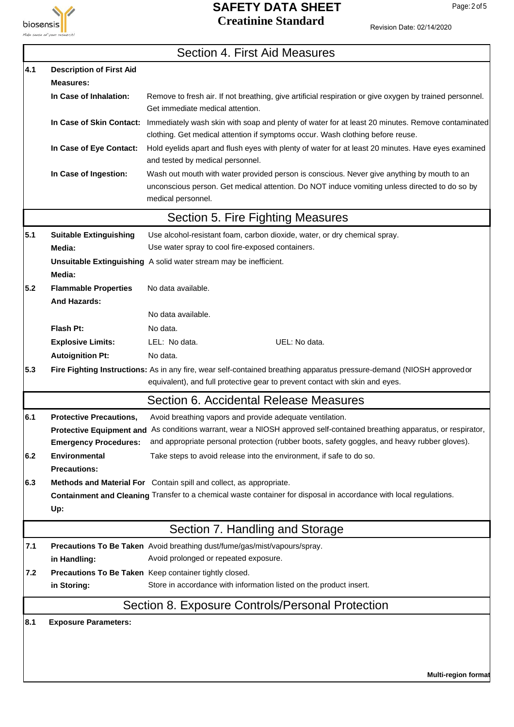

Page: 2 of 5

7

|  | Revision Date: 02/14/2020 |
|--|---------------------------|
|  |                           |

|     |                                                    | Section 4. First Aid Measures                                                                                                                                                                                     |
|-----|----------------------------------------------------|-------------------------------------------------------------------------------------------------------------------------------------------------------------------------------------------------------------------|
| 4.1 | <b>Description of First Aid</b>                    |                                                                                                                                                                                                                   |
|     | <b>Measures:</b>                                   |                                                                                                                                                                                                                   |
|     | In Case of Inhalation:                             | Remove to fresh air. If not breathing, give artificial respiration or give oxygen by trained personnel.<br>Get immediate medical attention.                                                                       |
|     | In Case of Skin Contact:                           | Immediately wash skin with soap and plenty of water for at least 20 minutes. Remove contaminated<br>clothing. Get medical attention if symptoms occur. Wash clothing before reuse.                                |
|     | In Case of Eye Contact:                            | Hold eyelids apart and flush eyes with plenty of water for at least 20 minutes. Have eyes examined<br>and tested by medical personnel.                                                                            |
|     | In Case of Ingestion:                              | Wash out mouth with water provided person is conscious. Never give anything by mouth to an<br>unconscious person. Get medical attention. Do NOT induce vomiting unless directed to do so by<br>medical personnel. |
|     |                                                    | Section 5. Fire Fighting Measures                                                                                                                                                                                 |
| 5.1 | <b>Suitable Extinguishing</b>                      | Use alcohol-resistant foam, carbon dioxide, water, or dry chemical spray.                                                                                                                                         |
|     | Media:                                             | Use water spray to cool fire-exposed containers.                                                                                                                                                                  |
|     | Media:                                             | Unsuitable Extinguishing A solid water stream may be inefficient.                                                                                                                                                 |
| 5.2 | <b>Flammable Properties</b><br><b>And Hazards:</b> | No data available.                                                                                                                                                                                                |
|     |                                                    | No data available.                                                                                                                                                                                                |
|     | Flash Pt:                                          | No data.                                                                                                                                                                                                          |
|     | <b>Explosive Limits:</b>                           | LEL: No data.<br>UEL: No data.                                                                                                                                                                                    |
|     | <b>Autoignition Pt:</b>                            | No data.                                                                                                                                                                                                          |
| 5.3 |                                                    | Fire Fighting Instructions: As in any fire, wear self-contained breathing apparatus pressure-demand (NIOSH approvedor<br>equivalent), and full protective gear to prevent contact with skin and eyes.             |
|     |                                                    | Section 6. Accidental Release Measures                                                                                                                                                                            |
| 6.1 | <b>Protective Precautions,</b>                     | Avoid breathing vapors and provide adequate ventilation.                                                                                                                                                          |
|     |                                                    | Protective Equipment and As conditions warrant, wear a NIOSH approved self-contained breathing apparatus, or respirator,                                                                                          |
|     | <b>Emergency Procedures:</b>                       | and appropriate personal protection (rubber boots, safety goggles, and heavy rubber gloves).                                                                                                                      |
| 6.2 | Environmental<br><b>Precautions:</b>               | Take steps to avoid release into the environment, if safe to do so.                                                                                                                                               |
| 6.3 |                                                    | Methods and Material For Contain spill and collect, as appropriate.<br>Containment and Cleaning Transfer to a chemical waste container for disposal in accordance with local regulations.                         |
|     | Up:                                                |                                                                                                                                                                                                                   |
|     |                                                    | Section 7. Handling and Storage                                                                                                                                                                                   |
| 7.1 | in Handling:                                       | Precautions To Be Taken Avoid breathing dust/fume/gas/mist/vapours/spray.<br>Avoid prolonged or repeated exposure.                                                                                                |
| 7.2 |                                                    | Precautions To Be Taken Keep container tightly closed.                                                                                                                                                            |
|     | in Storing:                                        | Store in accordance with information listed on the product insert.                                                                                                                                                |
|     |                                                    | Section 8. Exposure Controls/Personal Protection                                                                                                                                                                  |
| 8.1 | <b>Exposure Parameters:</b>                        |                                                                                                                                                                                                                   |
|     |                                                    |                                                                                                                                                                                                                   |
|     |                                                    |                                                                                                                                                                                                                   |
|     |                                                    | <b>Multi-region format</b>                                                                                                                                                                                        |
|     |                                                    |                                                                                                                                                                                                                   |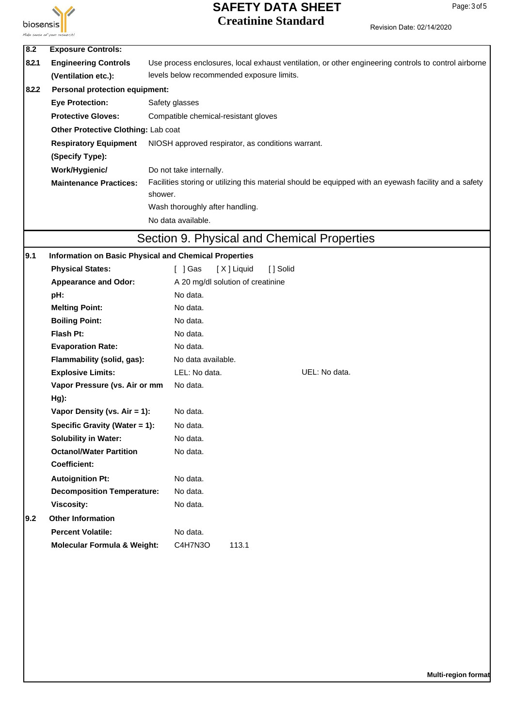

| 8.2   | <b>Exposure Controls:</b>              |                                                                                                        |  |  |  |  |  |  |
|-------|----------------------------------------|--------------------------------------------------------------------------------------------------------|--|--|--|--|--|--|
| 8.2.1 | <b>Engineering Controls</b>            | Use process enclosures, local exhaust ventilation, or other engineering controls to control airborne   |  |  |  |  |  |  |
|       | (Ventilation etc.):                    | levels below recommended exposure limits.                                                              |  |  |  |  |  |  |
| 8.2.2 | <b>Personal protection equipment:</b>  |                                                                                                        |  |  |  |  |  |  |
|       | <b>Eye Protection:</b>                 | Safety glasses                                                                                         |  |  |  |  |  |  |
|       | <b>Protective Gloves:</b>              | Compatible chemical-resistant gloves                                                                   |  |  |  |  |  |  |
|       | Other Protective Clothing: Lab coat    |                                                                                                        |  |  |  |  |  |  |
|       | <b>Respiratory Equipment</b>           | NIOSH approved respirator, as conditions warrant.                                                      |  |  |  |  |  |  |
|       | (Specify Type):                        |                                                                                                        |  |  |  |  |  |  |
|       | Work/Hygienic/                         | Do not take internally.                                                                                |  |  |  |  |  |  |
|       | <b>Maintenance Practices:</b>          | Facilities storing or utilizing this material should be equipped with an eyewash facility and a safety |  |  |  |  |  |  |
|       |                                        | shower.                                                                                                |  |  |  |  |  |  |
|       |                                        | Wash thoroughly after handling.                                                                        |  |  |  |  |  |  |
|       |                                        | No data available.                                                                                     |  |  |  |  |  |  |
|       |                                        | Section 9. Physical and Chemical Properties                                                            |  |  |  |  |  |  |
| 9.1   |                                        | Information on Basic Physical and Chemical Properties                                                  |  |  |  |  |  |  |
|       | <b>Physical States:</b>                | [X] Liquid<br>[ ] Gas<br>[ ] Solid                                                                     |  |  |  |  |  |  |
|       | <b>Appearance and Odor:</b>            | A 20 mg/dl solution of creatinine                                                                      |  |  |  |  |  |  |
|       | pH:                                    | No data.                                                                                               |  |  |  |  |  |  |
|       | <b>Melting Point:</b>                  | No data.                                                                                               |  |  |  |  |  |  |
|       | <b>Boiling Point:</b>                  | No data.                                                                                               |  |  |  |  |  |  |
|       | Flash Pt:                              | No data.                                                                                               |  |  |  |  |  |  |
|       | <b>Evaporation Rate:</b>               | No data.                                                                                               |  |  |  |  |  |  |
|       | Flammability (solid, gas):             | No data available.                                                                                     |  |  |  |  |  |  |
|       | <b>Explosive Limits:</b>               | LEL: No data.<br>UEL: No data.                                                                         |  |  |  |  |  |  |
|       | Vapor Pressure (vs. Air or mm          | No data.                                                                                               |  |  |  |  |  |  |
|       | Hg):                                   |                                                                                                        |  |  |  |  |  |  |
|       | Vapor Density (vs. Air = 1):           | No data.                                                                                               |  |  |  |  |  |  |
|       | Specific Gravity (Water = 1):          | No data.                                                                                               |  |  |  |  |  |  |
|       | <b>Solubility in Water:</b>            | No data.                                                                                               |  |  |  |  |  |  |
|       | <b>Octanol/Water Partition</b>         | No data.                                                                                               |  |  |  |  |  |  |
|       | <b>Coefficient:</b>                    |                                                                                                        |  |  |  |  |  |  |
|       | <b>Autoignition Pt:</b>                | No data.                                                                                               |  |  |  |  |  |  |
|       | <b>Decomposition Temperature:</b>      | No data.                                                                                               |  |  |  |  |  |  |
|       | <b>Viscosity:</b>                      | No data.                                                                                               |  |  |  |  |  |  |
| 9.2   | <b>Other Information</b>               |                                                                                                        |  |  |  |  |  |  |
|       | <b>Percent Volatile:</b>               | No data.                                                                                               |  |  |  |  |  |  |
|       | <b>Molecular Formula &amp; Weight:</b> | C4H7N3O<br>113.1                                                                                       |  |  |  |  |  |  |
|       |                                        |                                                                                                        |  |  |  |  |  |  |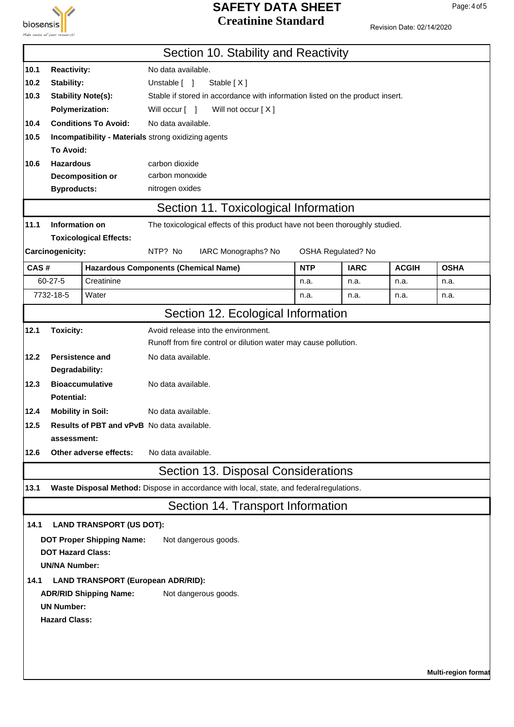

Revision Date: 02/14/2020

|      |                                            |                                           | Section 10. Stability and Reactivity                                                     |            |                           |              |                            |  |
|------|--------------------------------------------|-------------------------------------------|------------------------------------------------------------------------------------------|------------|---------------------------|--------------|----------------------------|--|
| 10.1 | <b>Reactivity:</b><br>No data available.   |                                           |                                                                                          |            |                           |              |                            |  |
| 10.2 | Stability:<br>Unstable [ ]<br>Stable $[X]$ |                                           |                                                                                          |            |                           |              |                            |  |
| 10.3 |                                            | <b>Stability Note(s):</b>                 | Stable if stored in accordance with information listed on the product insert.            |            |                           |              |                            |  |
|      | <b>Polymerization:</b>                     |                                           | Will occur [ ]<br>Will not occur [X]                                                     |            |                           |              |                            |  |
| 10.4 |                                            | <b>Conditions To Avoid:</b>               | No data available.                                                                       |            |                           |              |                            |  |
| 10.5 |                                            |                                           | Incompatibility - Materials strong oxidizing agents                                      |            |                           |              |                            |  |
|      | To Avoid:                                  |                                           |                                                                                          |            |                           |              |                            |  |
| 10.6 | <b>Hazardous</b>                           |                                           | carbon dioxide                                                                           |            |                           |              |                            |  |
|      |                                            | Decomposition or                          | carbon monoxide                                                                          |            |                           |              |                            |  |
|      | <b>Byproducts:</b>                         |                                           | nitrogen oxides                                                                          |            |                           |              |                            |  |
|      |                                            |                                           | Section 11. Toxicological Information                                                    |            |                           |              |                            |  |
| 11.1 | Information on                             |                                           | The toxicological effects of this product have not been thoroughly studied.              |            |                           |              |                            |  |
|      |                                            | <b>Toxicological Effects:</b>             |                                                                                          |            |                           |              |                            |  |
|      | Carcinogenicity:                           |                                           | NTP? No<br>IARC Monographs? No                                                           |            | <b>OSHA Regulated? No</b> |              |                            |  |
| CAS# |                                            |                                           | <b>Hazardous Components (Chemical Name)</b>                                              | <b>NTP</b> | <b>IARC</b>               | <b>ACGIH</b> | <b>OSHA</b>                |  |
|      | $60 - 27 - 5$                              | Creatinine                                |                                                                                          | n.a.       | n.a.                      | n.a.         | n.a.                       |  |
|      | 7732-18-5                                  | Water                                     |                                                                                          | n.a.       | n.a.                      | n.a.         | n.a.                       |  |
|      |                                            |                                           | Section 12. Ecological Information                                                       |            |                           |              |                            |  |
| 12.1 | <b>Toxicity:</b>                           |                                           | Avoid release into the environment.                                                      |            |                           |              |                            |  |
|      |                                            |                                           | Runoff from fire control or dilution water may cause pollution.                          |            |                           |              |                            |  |
| 12.2 | <b>Persistence and</b>                     |                                           | No data available.                                                                       |            |                           |              |                            |  |
|      | Degradability:                             |                                           |                                                                                          |            |                           |              |                            |  |
| 12.3 |                                            | <b>Bioaccumulative</b>                    | No data available.                                                                       |            |                           |              |                            |  |
|      | <b>Potential:</b>                          |                                           |                                                                                          |            |                           |              |                            |  |
| 12.4 | <b>Mobility in Soil:</b>                   |                                           | No data available.                                                                       |            |                           |              |                            |  |
| 12.5 |                                            |                                           | Results of PBT and vPvB No data available.                                               |            |                           |              |                            |  |
|      | assessment:                                |                                           |                                                                                          |            |                           |              |                            |  |
| 12.6 |                                            | Other adverse effects:                    | No data available.                                                                       |            |                           |              |                            |  |
|      |                                            |                                           | Section 13. Disposal Considerations                                                      |            |                           |              |                            |  |
| 13.1 |                                            |                                           | Waste Disposal Method: Dispose in accordance with local, state, and federal regulations. |            |                           |              |                            |  |
|      |                                            |                                           | Section 14. Transport Information                                                        |            |                           |              |                            |  |
| 14.1 |                                            | <b>LAND TRANSPORT (US DOT):</b>           |                                                                                          |            |                           |              |                            |  |
|      |                                            | <b>DOT Proper Shipping Name:</b>          | Not dangerous goods.                                                                     |            |                           |              |                            |  |
|      | <b>DOT Hazard Class:</b>                   |                                           |                                                                                          |            |                           |              |                            |  |
|      | <b>UN/NA Number:</b>                       |                                           |                                                                                          |            |                           |              |                            |  |
| 14.1 |                                            | <b>LAND TRANSPORT (European ADR/RID):</b> |                                                                                          |            |                           |              |                            |  |
|      |                                            | <b>ADR/RID Shipping Name:</b>             | Not dangerous goods.                                                                     |            |                           |              |                            |  |
|      | <b>UN Number:</b>                          |                                           |                                                                                          |            |                           |              |                            |  |
|      | <b>Hazard Class:</b>                       |                                           |                                                                                          |            |                           |              |                            |  |
|      |                                            |                                           |                                                                                          |            |                           |              |                            |  |
|      |                                            |                                           |                                                                                          |            |                           |              |                            |  |
|      |                                            |                                           |                                                                                          |            |                           |              |                            |  |
|      |                                            |                                           |                                                                                          |            |                           |              | <b>Multi-region format</b> |  |

Page: 4 of 5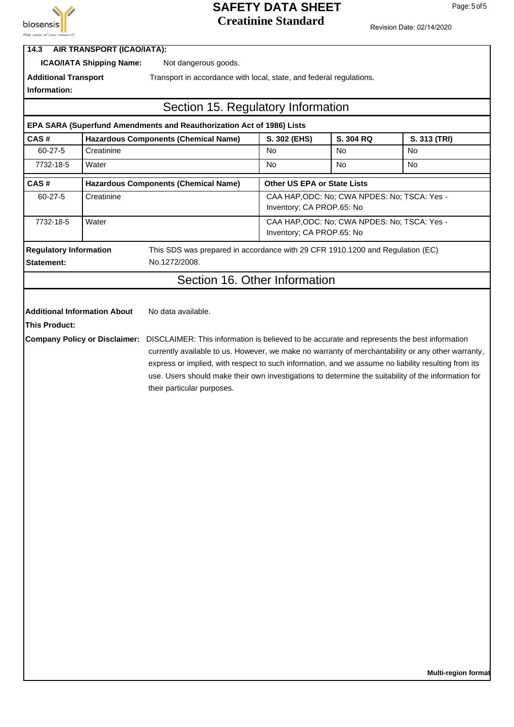

Page: 5 of 5

| Make sense of your research!         |                                   |                                                                                                                                                                                                                                                                                                                                                                                                                                              |                                              |           |              |  |
|--------------------------------------|-----------------------------------|----------------------------------------------------------------------------------------------------------------------------------------------------------------------------------------------------------------------------------------------------------------------------------------------------------------------------------------------------------------------------------------------------------------------------------------------|----------------------------------------------|-----------|--------------|--|
| 14.3                                 | <b>AIR TRANSPORT (ICAO/IATA):</b> |                                                                                                                                                                                                                                                                                                                                                                                                                                              |                                              |           |              |  |
|                                      | <b>ICAO/IATA Shipping Name:</b>   | Not dangerous goods.                                                                                                                                                                                                                                                                                                                                                                                                                         |                                              |           |              |  |
| <b>Additional Transport</b>          |                                   | Transport in accordance with local, state, and federal regulations.                                                                                                                                                                                                                                                                                                                                                                          |                                              |           |              |  |
| Information:                         |                                   |                                                                                                                                                                                                                                                                                                                                                                                                                                              |                                              |           |              |  |
|                                      |                                   | Section 15. Regulatory Information                                                                                                                                                                                                                                                                                                                                                                                                           |                                              |           |              |  |
|                                      |                                   | EPA SARA (Superfund Amendments and Reauthorization Act of 1986) Lists                                                                                                                                                                                                                                                                                                                                                                        |                                              |           |              |  |
| CAS#                                 |                                   | <b>Hazardous Components (Chemical Name)</b>                                                                                                                                                                                                                                                                                                                                                                                                  | S. 302 (EHS)                                 | S. 304 RQ | S. 313 (TRI) |  |
| 60-27-5                              | Creatinine                        |                                                                                                                                                                                                                                                                                                                                                                                                                                              | No                                           | No        | No           |  |
| 7732-18-5                            | Water                             |                                                                                                                                                                                                                                                                                                                                                                                                                                              | No                                           | No        | No.          |  |
| CAS#                                 |                                   | <b>Hazardous Components (Chemical Name)</b>                                                                                                                                                                                                                                                                                                                                                                                                  | Other US EPA or State Lists                  |           |              |  |
| 60-27-5                              | Creatinine                        |                                                                                                                                                                                                                                                                                                                                                                                                                                              | CAA HAP, ODC: No; CWA NPDES: No; TSCA: Yes - |           |              |  |
|                                      |                                   |                                                                                                                                                                                                                                                                                                                                                                                                                                              | Inventory; CA PROP.65: No                    |           |              |  |
| 7732-18-5                            | Water                             |                                                                                                                                                                                                                                                                                                                                                                                                                                              | CAA HAP, ODC: No; CWA NPDES: No; TSCA: Yes - |           |              |  |
|                                      |                                   |                                                                                                                                                                                                                                                                                                                                                                                                                                              | Inventory; CA PROP.65: No                    |           |              |  |
| <b>Regulatory Information</b>        |                                   | This SDS was prepared in accordance with 29 CFR 1910.1200 and Regulation (EC)                                                                                                                                                                                                                                                                                                                                                                |                                              |           |              |  |
| <b>Statement:</b>                    |                                   | No.1272/2008.                                                                                                                                                                                                                                                                                                                                                                                                                                |                                              |           |              |  |
|                                      |                                   | Section 16. Other Information                                                                                                                                                                                                                                                                                                                                                                                                                |                                              |           |              |  |
|                                      |                                   |                                                                                                                                                                                                                                                                                                                                                                                                                                              |                                              |           |              |  |
| <b>Additional Information About</b>  |                                   | No data available.                                                                                                                                                                                                                                                                                                                                                                                                                           |                                              |           |              |  |
| <b>This Product:</b>                 |                                   |                                                                                                                                                                                                                                                                                                                                                                                                                                              |                                              |           |              |  |
| <b>Company Policy or Disclaimer:</b> |                                   | DISCLAIMER: This information is believed to be accurate and represents the best information<br>currently available to us. However, we make no warranty of merchantability or any other warranty,<br>express or implied, with respect to such information, and we assume no liability resulting from its<br>use. Users should make their own investigations to determine the suitability of the information for<br>their particular purposes. |                                              |           |              |  |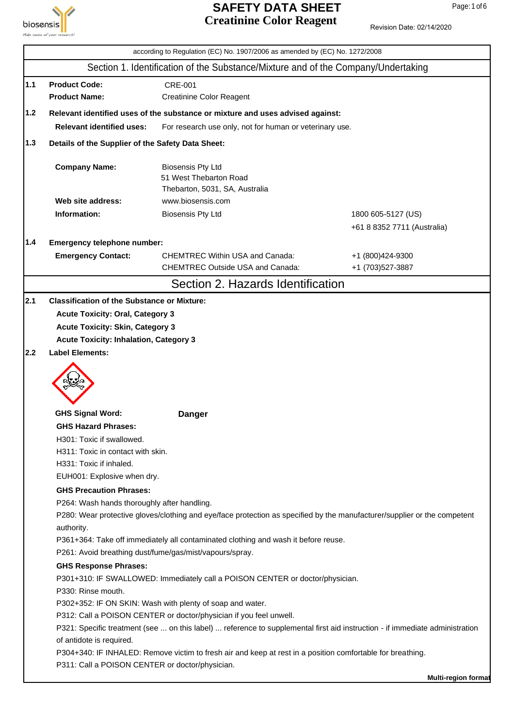

# **SAFETY DATA SHEET** Page: 1 of 6 **Creatinine Color Reagent**

Revision Date: 02/14/2020

|       |                                                    | according to Regulation (EC) No. 1907/2006 as amended by (EC) No. 1272/2008                                                  |                                       |
|-------|----------------------------------------------------|------------------------------------------------------------------------------------------------------------------------------|---------------------------------------|
|       |                                                    | Section 1. Identification of the Substance/Mixture and of the Company/Undertaking                                            |                                       |
| $1.1$ | <b>Product Code:</b>                               | <b>CRE-001</b>                                                                                                               |                                       |
|       | <b>Product Name:</b>                               | <b>Creatinine Color Reagent</b>                                                                                              |                                       |
| 1.2   |                                                    | Relevant identified uses of the substance or mixture and uses advised against:                                               |                                       |
|       | <b>Relevant identified uses:</b>                   | For research use only, not for human or veterinary use.                                                                      |                                       |
| 1.3   | Details of the Supplier of the Safety Data Sheet:  |                                                                                                                              |                                       |
|       | <b>Company Name:</b>                               | <b>Biosensis Pty Ltd</b><br>51 West Thebarton Road<br>Thebarton, 5031, SA, Australia                                         |                                       |
|       | Web site address:                                  | www.biosensis.com                                                                                                            |                                       |
|       | Information:                                       | <b>Biosensis Pty Ltd</b>                                                                                                     | 1800 605-5127 (US)                    |
|       |                                                    |                                                                                                                              | +61 8 8352 7711 (Australia)           |
| 1.4   | Emergency telephone number:                        |                                                                                                                              |                                       |
|       | <b>Emergency Contact:</b>                          | <b>CHEMTREC Within USA and Canada:</b><br><b>CHEMTREC Outside USA and Canada:</b>                                            | +1 (800)424-9300<br>+1 (703) 527-3887 |
|       |                                                    | Section 2. Hazards Identification                                                                                            |                                       |
| 2.1   | <b>Classification of the Substance or Mixture:</b> |                                                                                                                              |                                       |
|       | <b>Acute Toxicity: Oral, Category 3</b>            |                                                                                                                              |                                       |
|       | <b>Acute Toxicity: Skin, Category 3</b>            |                                                                                                                              |                                       |
|       | <b>Acute Toxicity: Inhalation, Category 3</b>      |                                                                                                                              |                                       |
| 2.2   | <b>Label Elements:</b>                             |                                                                                                                              |                                       |
|       |                                                    |                                                                                                                              |                                       |
|       | <b>GHS Signal Word:</b>                            | <b>Danger</b>                                                                                                                |                                       |
|       | <b>GHS Hazard Phrases:</b>                         |                                                                                                                              |                                       |
|       | H301: Toxic if swallowed.                          |                                                                                                                              |                                       |
|       | H311: Toxic in contact with skin.                  |                                                                                                                              |                                       |
|       | H331: Toxic if inhaled.                            |                                                                                                                              |                                       |
|       | EUH001: Explosive when dry.                        |                                                                                                                              |                                       |
|       | <b>GHS Precaution Phrases:</b>                     |                                                                                                                              |                                       |
|       | P264: Wash hands thoroughly after handling.        |                                                                                                                              |                                       |
|       |                                                    | P280: Wear protective gloves/clothing and eye/face protection as specified by the manufacturer/supplier or the competent     |                                       |
|       | authority.                                         |                                                                                                                              |                                       |
|       |                                                    | P361+364: Take off immediately all contaminated clothing and wash it before reuse.                                           |                                       |
|       |                                                    | P261: Avoid breathing dust/fume/gas/mist/vapours/spray.                                                                      |                                       |
|       | <b>GHS Response Phrases:</b>                       |                                                                                                                              |                                       |
|       |                                                    | P301+310: IF SWALLOWED: Immediately call a POISON CENTER or doctor/physician.                                                |                                       |
|       | P330: Rinse mouth.                                 |                                                                                                                              |                                       |
|       |                                                    | P302+352: IF ON SKIN: Wash with plenty of soap and water.                                                                    |                                       |
|       |                                                    | P312: Call a POISON CENTER or doctor/physician if you feel unwell.                                                           |                                       |
|       |                                                    | P321: Specific treatment (see  on this label)  reference to supplemental first aid instruction - if immediate administration |                                       |
|       | of antidote is required.                           | P304+340: IF INHALED: Remove victim to fresh air and keep at rest in a position comfortable for breathing.                   |                                       |
|       | P311: Call a POISON CENTER or doctor/physician.    |                                                                                                                              |                                       |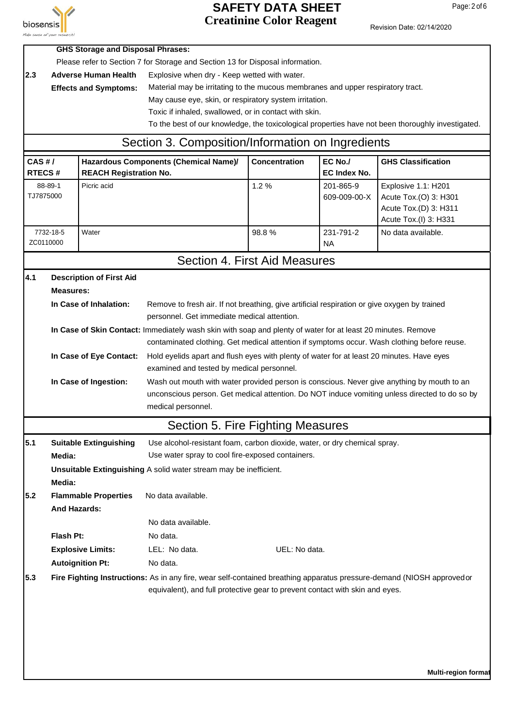

#### **SAFETY DATA SHEET** Page: 2 of 6 **Creatinine Color Reagent**

|                                                                                    |                                                                                                              | <b>GHS Storage and Disposal Phrases:</b> |                                                                                                                                                                                                       |                                                                                              |                                |                                                                                                   |  |  |  |
|------------------------------------------------------------------------------------|--------------------------------------------------------------------------------------------------------------|------------------------------------------|-------------------------------------------------------------------------------------------------------------------------------------------------------------------------------------------------------|----------------------------------------------------------------------------------------------|--------------------------------|---------------------------------------------------------------------------------------------------|--|--|--|
| Please refer to Section 7 for Storage and Section 13 for Disposal information.     |                                                                                                              |                                          |                                                                                                                                                                                                       |                                                                                              |                                |                                                                                                   |  |  |  |
| 2.3<br><b>Adverse Human Health</b><br>Explosive when dry - Keep wetted with water. |                                                                                                              |                                          |                                                                                                                                                                                                       |                                                                                              |                                |                                                                                                   |  |  |  |
|                                                                                    |                                                                                                              | <b>Effects and Symptoms:</b>             | Material may be irritating to the mucous membranes and upper respiratory tract.                                                                                                                       |                                                                                              |                                |                                                                                                   |  |  |  |
|                                                                                    |                                                                                                              |                                          | May cause eye, skin, or respiratory system irritation.                                                                                                                                                |                                                                                              |                                |                                                                                                   |  |  |  |
|                                                                                    |                                                                                                              |                                          | Toxic if inhaled, swallowed, or in contact with skin.                                                                                                                                                 |                                                                                              |                                |                                                                                                   |  |  |  |
|                                                                                    |                                                                                                              |                                          |                                                                                                                                                                                                       |                                                                                              |                                | To the best of our knowledge, the toxicological properties have not been thoroughly investigated. |  |  |  |
|                                                                                    |                                                                                                              |                                          | Section 3. Composition/Information on Ingredients                                                                                                                                                     |                                                                                              |                                |                                                                                                   |  |  |  |
| CAS#/<br><b>RTECS#</b>                                                             |                                                                                                              | <b>REACH Registration No.</b>            | Hazardous Components (Chemical Name)/                                                                                                                                                                 | <b>Concentration</b>                                                                         | EC No./<br><b>EC Index No.</b> | <b>GHS Classification</b>                                                                         |  |  |  |
| 88-89-1<br>TJ7875000                                                               |                                                                                                              | Picric acid                              |                                                                                                                                                                                                       | 1.2%                                                                                         | 201-865-9<br>609-009-00-X      | Explosive 1.1: H201<br>Acute Tox.(O) 3: H301<br>Acute Tox.(D) 3: H311<br>Acute Tox.(I) 3: H331    |  |  |  |
| ZC0110000                                                                          | 7732-18-5                                                                                                    | Water                                    |                                                                                                                                                                                                       | 98.8%                                                                                        | 231-791-2<br><b>NA</b>         | No data available.                                                                                |  |  |  |
|                                                                                    |                                                                                                              |                                          | Section 4. First Aid Measures                                                                                                                                                                         |                                                                                              |                                |                                                                                                   |  |  |  |
| 4.1                                                                                |                                                                                                              | <b>Description of First Aid</b>          |                                                                                                                                                                                                       |                                                                                              |                                |                                                                                                   |  |  |  |
|                                                                                    | <b>Measures:</b>                                                                                             |                                          |                                                                                                                                                                                                       |                                                                                              |                                |                                                                                                   |  |  |  |
|                                                                                    |                                                                                                              | In Case of Inhalation:                   |                                                                                                                                                                                                       | Remove to fresh air. If not breathing, give artificial respiration or give oxygen by trained |                                |                                                                                                   |  |  |  |
|                                                                                    |                                                                                                              |                                          |                                                                                                                                                                                                       | personnel. Get immediate medical attention.                                                  |                                |                                                                                                   |  |  |  |
|                                                                                    | In Case of Skin Contact: Immediately wash skin with soap and plenty of water for at least 20 minutes. Remove |                                          |                                                                                                                                                                                                       |                                                                                              |                                | contaminated clothing. Get medical attention if symptoms occur. Wash clothing before reuse.       |  |  |  |
|                                                                                    |                                                                                                              |                                          |                                                                                                                                                                                                       |                                                                                              |                                |                                                                                                   |  |  |  |
|                                                                                    |                                                                                                              | In Case of Eye Contact:                  | Hold eyelids apart and flush eyes with plenty of water for at least 20 minutes. Have eyes<br>examined and tested by medical personnel.                                                                |                                                                                              |                                |                                                                                                   |  |  |  |
|                                                                                    |                                                                                                              | In Case of Ingestion:                    |                                                                                                                                                                                                       | Wash out mouth with water provided person is conscious. Never give anything by mouth to an   |                                |                                                                                                   |  |  |  |
|                                                                                    |                                                                                                              |                                          | unconscious person. Get medical attention. Do NOT induce vomiting unless directed to do so by                                                                                                         |                                                                                              |                                |                                                                                                   |  |  |  |
|                                                                                    |                                                                                                              |                                          | medical personnel.                                                                                                                                                                                    |                                                                                              |                                |                                                                                                   |  |  |  |
|                                                                                    |                                                                                                              |                                          | Section 5. Fire Fighting Measures                                                                                                                                                                     |                                                                                              |                                |                                                                                                   |  |  |  |
| 5.1                                                                                |                                                                                                              | <b>Suitable Extinguishing</b>            | Use alcohol-resistant foam, carbon dioxide, water, or dry chemical spray.                                                                                                                             |                                                                                              |                                |                                                                                                   |  |  |  |
|                                                                                    | Media:                                                                                                       |                                          | Use water spray to cool fire-exposed containers.                                                                                                                                                      |                                                                                              |                                |                                                                                                   |  |  |  |
|                                                                                    | Media:                                                                                                       |                                          | Unsuitable Extinguishing A solid water stream may be inefficient.                                                                                                                                     |                                                                                              |                                |                                                                                                   |  |  |  |
| 5.2                                                                                |                                                                                                              | <b>Flammable Properties</b>              | No data available.                                                                                                                                                                                    |                                                                                              |                                |                                                                                                   |  |  |  |
|                                                                                    | <b>And Hazards:</b>                                                                                          |                                          |                                                                                                                                                                                                       |                                                                                              |                                |                                                                                                   |  |  |  |
|                                                                                    |                                                                                                              |                                          | No data available.                                                                                                                                                                                    |                                                                                              |                                |                                                                                                   |  |  |  |
|                                                                                    | Flash Pt:                                                                                                    |                                          | No data.                                                                                                                                                                                              |                                                                                              |                                |                                                                                                   |  |  |  |
|                                                                                    |                                                                                                              | <b>Explosive Limits:</b>                 | LEL: No data.                                                                                                                                                                                         | UEL: No data.                                                                                |                                |                                                                                                   |  |  |  |
|                                                                                    |                                                                                                              | <b>Autoignition Pt:</b>                  | No data.                                                                                                                                                                                              |                                                                                              |                                |                                                                                                   |  |  |  |
|                                                                                    |                                                                                                              |                                          |                                                                                                                                                                                                       |                                                                                              |                                |                                                                                                   |  |  |  |
| 5.3                                                                                |                                                                                                              |                                          | Fire Fighting Instructions: As in any fire, wear self-contained breathing apparatus pressure-demand (NIOSH approvedor<br>equivalent), and full protective gear to prevent contact with skin and eyes. |                                                                                              |                                |                                                                                                   |  |  |  |
|                                                                                    |                                                                                                              |                                          |                                                                                                                                                                                                       |                                                                                              |                                | <b>Multi-region format</b>                                                                        |  |  |  |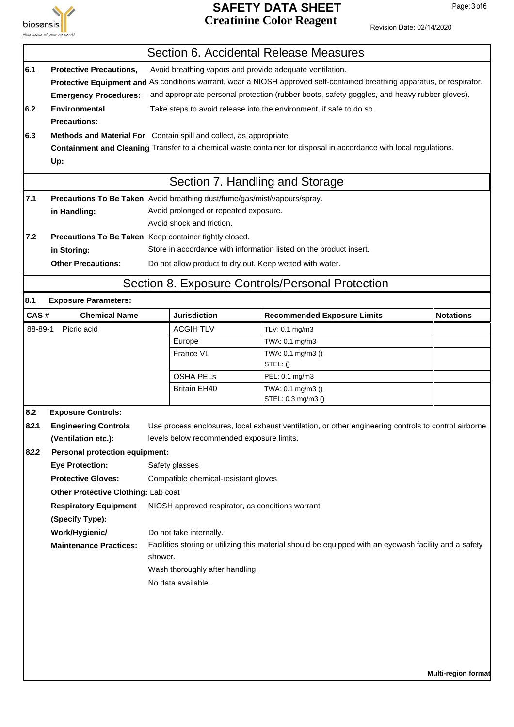

# **SAFETY DATA SHEET** Page: 3 of 6 **Creatinine Color Reagent**

|         | Section 6. Accidental Release Measures                                                                                   |         |                                                                    |                                                                                                                    |                     |  |  |
|---------|--------------------------------------------------------------------------------------------------------------------------|---------|--------------------------------------------------------------------|--------------------------------------------------------------------------------------------------------------------|---------------------|--|--|
| 6.1     | Avoid breathing vapors and provide adequate ventilation.<br><b>Protective Precautions.</b>                               |         |                                                                    |                                                                                                                    |                     |  |  |
|         | Protective Equipment and As conditions warrant, wear a NIOSH approved self-contained breathing apparatus, or respirator, |         |                                                                    |                                                                                                                    |                     |  |  |
|         | <b>Emergency Procedures:</b>                                                                                             |         |                                                                    | and appropriate personal protection (rubber boots, safety goggles, and heavy rubber gloves).                       |                     |  |  |
| 6.2     | <b>Environmental</b>                                                                                                     |         |                                                                    | Take steps to avoid release into the environment, if safe to do so.                                                |                     |  |  |
|         | <b>Precautions:</b>                                                                                                      |         |                                                                    |                                                                                                                    |                     |  |  |
| 6.3     | Methods and Material For Contain spill and collect, as appropriate.                                                      |         |                                                                    |                                                                                                                    |                     |  |  |
|         |                                                                                                                          |         |                                                                    | Containment and Cleaning Transfer to a chemical waste container for disposal in accordance with local regulations. |                     |  |  |
|         | Up:                                                                                                                      |         |                                                                    |                                                                                                                    |                     |  |  |
|         |                                                                                                                          |         | Section 7. Handling and Storage                                    |                                                                                                                    |                     |  |  |
| 7.1     | Precautions To Be Taken Avoid breathing dust/fume/gas/mist/vapours/spray.                                                |         |                                                                    |                                                                                                                    |                     |  |  |
|         | in Handling:                                                                                                             |         | Avoid prolonged or repeated exposure.<br>Avoid shock and friction. |                                                                                                                    |                     |  |  |
| 7.2     |                                                                                                                          |         |                                                                    |                                                                                                                    |                     |  |  |
|         | Precautions To Be Taken Keep container tightly closed.<br>in Storing:                                                    |         |                                                                    | Store in accordance with information listed on the product insert.                                                 |                     |  |  |
|         | <b>Other Precautions:</b>                                                                                                |         | Do not allow product to dry out. Keep wetted with water.           |                                                                                                                    |                     |  |  |
|         |                                                                                                                          |         |                                                                    |                                                                                                                    |                     |  |  |
|         |                                                                                                                          |         |                                                                    | Section 8. Exposure Controls/Personal Protection                                                                   |                     |  |  |
| 8.1     | <b>Exposure Parameters:</b>                                                                                              |         |                                                                    |                                                                                                                    |                     |  |  |
| CAS#    | <b>Chemical Name</b>                                                                                                     |         | <b>Jurisdiction</b>                                                | <b>Recommended Exposure Limits</b>                                                                                 | <b>Notations</b>    |  |  |
| 88-89-1 | Picric acid                                                                                                              |         | <b>ACGIH TLV</b>                                                   | TLV: 0.1 mg/m3                                                                                                     |                     |  |  |
|         |                                                                                                                          |         | Europe                                                             | TWA: 0.1 mg/m3                                                                                                     |                     |  |  |
|         |                                                                                                                          |         | France VL                                                          | TWA: 0.1 mg/m3 ()<br>STEL: ()                                                                                      |                     |  |  |
|         |                                                                                                                          |         | <b>OSHA PELS</b>                                                   | PEL: 0.1 mg/m3                                                                                                     |                     |  |  |
|         |                                                                                                                          |         | <b>Britain EH40</b>                                                | TWA: 0.1 mg/m3 ()                                                                                                  |                     |  |  |
|         |                                                                                                                          |         |                                                                    | STEL: 0.3 mg/m3 ()                                                                                                 |                     |  |  |
| 8.2     | <b>Exposure Controls:</b>                                                                                                |         |                                                                    |                                                                                                                    |                     |  |  |
| 8.2.1   | <b>Engineering Controls</b>                                                                                              |         | levels below recommended exposure limits.                          | Use process enclosures, local exhaust ventilation, or other engineering controls to control airborne               |                     |  |  |
| 8.2.2   | (Ventilation etc.):<br><b>Personal protection equipment:</b>                                                             |         |                                                                    |                                                                                                                    |                     |  |  |
|         | <b>Eye Protection:</b>                                                                                                   |         | Safety glasses                                                     |                                                                                                                    |                     |  |  |
|         | <b>Protective Gloves:</b>                                                                                                |         | Compatible chemical-resistant gloves                               |                                                                                                                    |                     |  |  |
|         | Other Protective Clothing: Lab coat                                                                                      |         |                                                                    |                                                                                                                    |                     |  |  |
|         | <b>Respiratory Equipment</b>                                                                                             |         | NIOSH approved respirator, as conditions warrant.                  |                                                                                                                    |                     |  |  |
|         | (Specify Type):                                                                                                          |         |                                                                    |                                                                                                                    |                     |  |  |
|         | Work/Hygienic/                                                                                                           |         | Do not take internally.                                            |                                                                                                                    |                     |  |  |
|         | <b>Maintenance Practices:</b>                                                                                            |         |                                                                    | Facilities storing or utilizing this material should be equipped with an eyewash facility and a safety             |                     |  |  |
|         |                                                                                                                          | shower. |                                                                    |                                                                                                                    |                     |  |  |
|         | Wash thoroughly after handling.                                                                                          |         |                                                                    |                                                                                                                    |                     |  |  |
|         | No data available.                                                                                                       |         |                                                                    |                                                                                                                    |                     |  |  |
|         |                                                                                                                          |         |                                                                    |                                                                                                                    |                     |  |  |
|         |                                                                                                                          |         |                                                                    |                                                                                                                    |                     |  |  |
|         |                                                                                                                          |         |                                                                    |                                                                                                                    |                     |  |  |
|         |                                                                                                                          |         |                                                                    |                                                                                                                    |                     |  |  |
|         |                                                                                                                          |         |                                                                    |                                                                                                                    |                     |  |  |
|         |                                                                                                                          |         |                                                                    |                                                                                                                    | Multi-region format |  |  |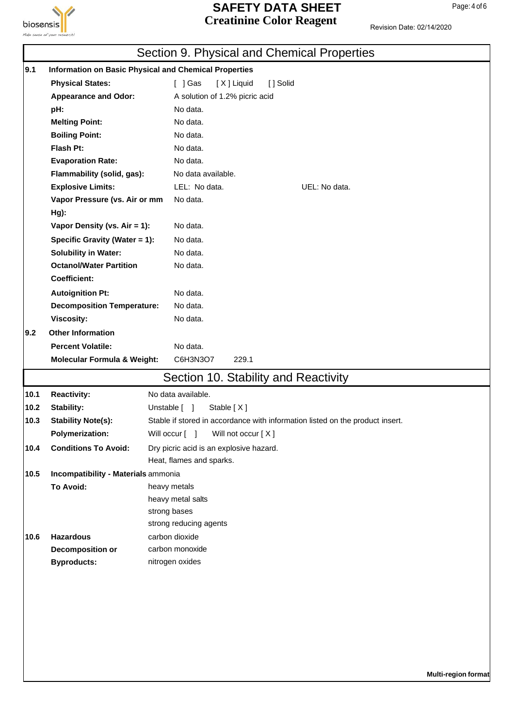

# **SAFETY DATA SHEET** Page: 4 of 6 **Creatinine Color Reagent**

|      |                                                               | Section 9. Physical and Chemical Properties                                   |
|------|---------------------------------------------------------------|-------------------------------------------------------------------------------|
| 9.1  |                                                               | <b>Information on Basic Physical and Chemical Properties</b>                  |
|      | <b>Physical States:</b>                                       | $[$ ] Gas<br>[X] Liquid<br>[ ] Solid                                          |
|      | <b>Appearance and Odor:</b>                                   | A solution of 1.2% picric acid                                                |
|      | pH:                                                           | No data.                                                                      |
|      | <b>Melting Point:</b>                                         | No data.                                                                      |
|      | <b>Boiling Point:</b>                                         | No data.                                                                      |
|      | Flash Pt:                                                     | No data.                                                                      |
|      | <b>Evaporation Rate:</b>                                      | No data.                                                                      |
|      | Flammability (solid, gas):                                    | No data available.                                                            |
|      | <b>Explosive Limits:</b>                                      | LEL: No data.<br>UEL: No data.                                                |
|      | Vapor Pressure (vs. Air or mm                                 | No data.                                                                      |
|      | $Hg$ :                                                        |                                                                               |
|      | Vapor Density (vs. Air = 1):                                  | No data.                                                                      |
|      | Specific Gravity (Water = 1):                                 | No data.                                                                      |
|      | <b>Solubility in Water:</b><br><b>Octanol/Water Partition</b> | No data.                                                                      |
|      | <b>Coefficient:</b>                                           | No data.                                                                      |
|      |                                                               | No data.                                                                      |
|      | <b>Autoignition Pt:</b><br><b>Decomposition Temperature:</b>  | No data.                                                                      |
|      | <b>Viscosity:</b>                                             | No data.                                                                      |
| 9.2  | <b>Other Information</b>                                      |                                                                               |
|      | <b>Percent Volatile:</b>                                      | No data.                                                                      |
|      | <b>Molecular Formula &amp; Weight:</b>                        | C6H3N3O7<br>229.1                                                             |
|      |                                                               |                                                                               |
|      |                                                               | Section 10. Stability and Reactivity                                          |
| 10.1 | <b>Reactivity:</b>                                            | No data available.                                                            |
| 10.2 | Stability:                                                    | Unstable [ ]<br>Stable [X]                                                    |
| 10.3 | <b>Stability Note(s):</b>                                     | Stable if stored in accordance with information listed on the product insert. |
|      | <b>Polymerization:</b>                                        | Will occur [ ]<br>Will not occur [X]                                          |
| 10.4 | <b>Conditions To Avoid:</b>                                   | Dry picric acid is an explosive hazard.                                       |
|      |                                                               | Heat, flames and sparks.                                                      |
| 10.5 | Incompatibility - Materials ammonia<br>To Avoid:              | heavy metals                                                                  |
|      |                                                               | heavy metal salts                                                             |
|      |                                                               | strong bases                                                                  |
|      |                                                               | strong reducing agents                                                        |
| 10.6 | <b>Hazardous</b>                                              | carbon dioxide                                                                |
|      | <b>Decomposition or</b>                                       | carbon monoxide                                                               |
|      | <b>Byproducts:</b>                                            | nitrogen oxides                                                               |
|      |                                                               |                                                                               |
|      |                                                               |                                                                               |
|      |                                                               |                                                                               |
|      |                                                               |                                                                               |
|      |                                                               |                                                                               |
|      |                                                               |                                                                               |
|      |                                                               |                                                                               |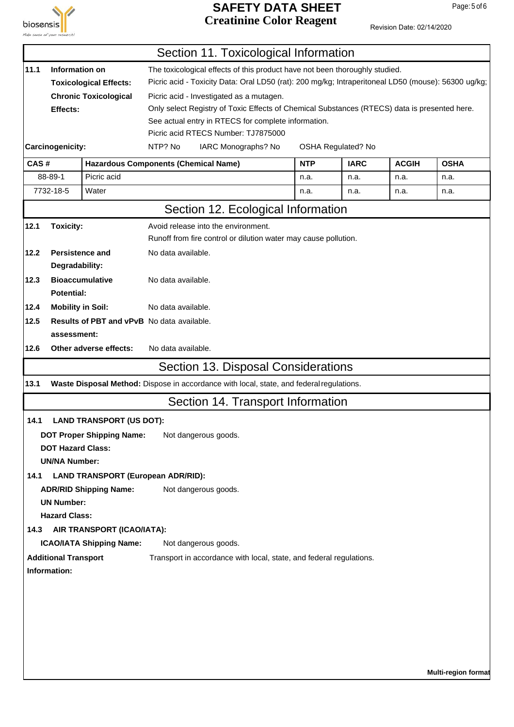

#### **SAFETY DATA SHEET** Page: 5 of 6 **Creatinine Color Reagent**

|      |                             |                                                                                          |                                                                                                                                                                                    |                                          | Section 11. Toxicological Information                                                        |            |                    |              |                            |  |  |
|------|-----------------------------|------------------------------------------------------------------------------------------|------------------------------------------------------------------------------------------------------------------------------------------------------------------------------------|------------------------------------------|----------------------------------------------------------------------------------------------|------------|--------------------|--------------|----------------------------|--|--|
| 11.1 | Information on              |                                                                                          | The toxicological effects of this product have not been thoroughly studied.<br>Picric acid - Toxicity Data: Oral LD50 (rat): 200 mg/kg; Intraperitoneal LD50 (mouse): 56300 ug/kg; |                                          |                                                                                              |            |                    |              |                            |  |  |
|      |                             | <b>Toxicological Effects:</b>                                                            |                                                                                                                                                                                    |                                          |                                                                                              |            |                    |              |                            |  |  |
|      |                             | <b>Chronic Toxicological</b>                                                             |                                                                                                                                                                                    | Picric acid - Investigated as a mutagen. |                                                                                              |            |                    |              |                            |  |  |
|      | Effects:                    |                                                                                          |                                                                                                                                                                                    |                                          | Only select Registry of Toxic Effects of Chemical Substances (RTECS) data is presented here. |            |                    |              |                            |  |  |
|      |                             |                                                                                          |                                                                                                                                                                                    |                                          | See actual entry in RTECS for complete information.                                          |            |                    |              |                            |  |  |
|      |                             |                                                                                          |                                                                                                                                                                                    | Picric acid RTECS Number: TJ7875000      |                                                                                              |            |                    |              |                            |  |  |
|      | Carcinogenicity:            |                                                                                          | NTP? No                                                                                                                                                                            |                                          | IARC Monographs? No                                                                          |            | OSHA Regulated? No |              |                            |  |  |
| CAS# |                             | <b>Hazardous Components (Chemical Name)</b>                                              |                                                                                                                                                                                    |                                          |                                                                                              | <b>NTP</b> | <b>IARC</b>        | <b>ACGIH</b> | <b>OSHA</b>                |  |  |
|      | 88-89-1                     | Picric acid                                                                              |                                                                                                                                                                                    |                                          |                                                                                              | n.a.       | n.a.               | n.a.         | n.a.                       |  |  |
|      | 7732-18-5                   | Water                                                                                    |                                                                                                                                                                                    |                                          |                                                                                              | n.a.       | n.a.               | n.a.         | n.a.                       |  |  |
|      |                             |                                                                                          |                                                                                                                                                                                    |                                          | Section 12. Ecological Information                                                           |            |                    |              |                            |  |  |
| 12.1 | <b>Toxicity:</b>            |                                                                                          |                                                                                                                                                                                    | Avoid release into the environment.      |                                                                                              |            |                    |              |                            |  |  |
|      |                             |                                                                                          | Runoff from fire control or dilution water may cause pollution.                                                                                                                    |                                          |                                                                                              |            |                    |              |                            |  |  |
| 12.2 |                             | <b>Persistence and</b>                                                                   | No data available.                                                                                                                                                                 |                                          |                                                                                              |            |                    |              |                            |  |  |
|      | Degradability:              |                                                                                          |                                                                                                                                                                                    |                                          |                                                                                              |            |                    |              |                            |  |  |
| 12.3 |                             | <b>Bioaccumulative</b>                                                                   | No data available.                                                                                                                                                                 |                                          |                                                                                              |            |                    |              |                            |  |  |
|      | <b>Potential:</b>           |                                                                                          |                                                                                                                                                                                    |                                          |                                                                                              |            |                    |              |                            |  |  |
| 12.4 |                             | <b>Mobility in Soil:</b>                                                                 | No data available.                                                                                                                                                                 |                                          |                                                                                              |            |                    |              |                            |  |  |
| 12.5 |                             | <b>Results of PBT and vPvB</b> No data available.                                        |                                                                                                                                                                                    |                                          |                                                                                              |            |                    |              |                            |  |  |
|      | assessment:                 |                                                                                          |                                                                                                                                                                                    |                                          |                                                                                              |            |                    |              |                            |  |  |
| 12.6 |                             | Other adverse effects:                                                                   | No data available.                                                                                                                                                                 |                                          |                                                                                              |            |                    |              |                            |  |  |
|      |                             |                                                                                          |                                                                                                                                                                                    |                                          | Section 13. Disposal Considerations                                                          |            |                    |              |                            |  |  |
| 13.1 |                             | Waste Disposal Method: Dispose in accordance with local, state, and federal regulations. |                                                                                                                                                                                    |                                          |                                                                                              |            |                    |              |                            |  |  |
|      |                             |                                                                                          |                                                                                                                                                                                    |                                          | Section 14. Transport Information                                                            |            |                    |              |                            |  |  |
| 14.1 |                             | <b>LAND TRANSPORT (US DOT):</b>                                                          |                                                                                                                                                                                    |                                          |                                                                                              |            |                    |              |                            |  |  |
|      |                             | <b>DOT Proper Shipping Name:</b>                                                         |                                                                                                                                                                                    | Not dangerous goods.                     |                                                                                              |            |                    |              |                            |  |  |
|      | <b>DOT Hazard Class:</b>    |                                                                                          |                                                                                                                                                                                    |                                          |                                                                                              |            |                    |              |                            |  |  |
|      | <b>UN/NA Number:</b>        |                                                                                          |                                                                                                                                                                                    |                                          |                                                                                              |            |                    |              |                            |  |  |
| 14.1 |                             | <b>LAND TRANSPORT (European ADR/RID):</b>                                                |                                                                                                                                                                                    |                                          |                                                                                              |            |                    |              |                            |  |  |
|      |                             | <b>ADR/RID Shipping Name:</b>                                                            |                                                                                                                                                                                    | Not dangerous goods.                     |                                                                                              |            |                    |              |                            |  |  |
|      | <b>UN Number:</b>           |                                                                                          |                                                                                                                                                                                    |                                          |                                                                                              |            |                    |              |                            |  |  |
|      | <b>Hazard Class:</b>        |                                                                                          |                                                                                                                                                                                    |                                          |                                                                                              |            |                    |              |                            |  |  |
| 14.3 |                             | AIR TRANSPORT (ICAO/IATA):                                                               |                                                                                                                                                                                    |                                          |                                                                                              |            |                    |              |                            |  |  |
|      |                             | <b>ICAO/IATA Shipping Name:</b>                                                          |                                                                                                                                                                                    | Not dangerous goods.                     |                                                                                              |            |                    |              |                            |  |  |
|      | <b>Additional Transport</b> |                                                                                          |                                                                                                                                                                                    |                                          | Transport in accordance with local, state, and federal regulations.                          |            |                    |              |                            |  |  |
|      | Information:                |                                                                                          |                                                                                                                                                                                    |                                          |                                                                                              |            |                    |              |                            |  |  |
|      |                             |                                                                                          |                                                                                                                                                                                    |                                          |                                                                                              |            |                    |              |                            |  |  |
|      |                             |                                                                                          |                                                                                                                                                                                    |                                          |                                                                                              |            |                    |              |                            |  |  |
|      |                             |                                                                                          |                                                                                                                                                                                    |                                          |                                                                                              |            |                    |              |                            |  |  |
|      |                             |                                                                                          |                                                                                                                                                                                    |                                          |                                                                                              |            |                    |              |                            |  |  |
|      |                             |                                                                                          |                                                                                                                                                                                    |                                          |                                                                                              |            |                    |              |                            |  |  |
|      |                             |                                                                                          |                                                                                                                                                                                    |                                          |                                                                                              |            |                    |              |                            |  |  |
|      |                             |                                                                                          |                                                                                                                                                                                    |                                          |                                                                                              |            |                    |              | <b>Multi-region format</b> |  |  |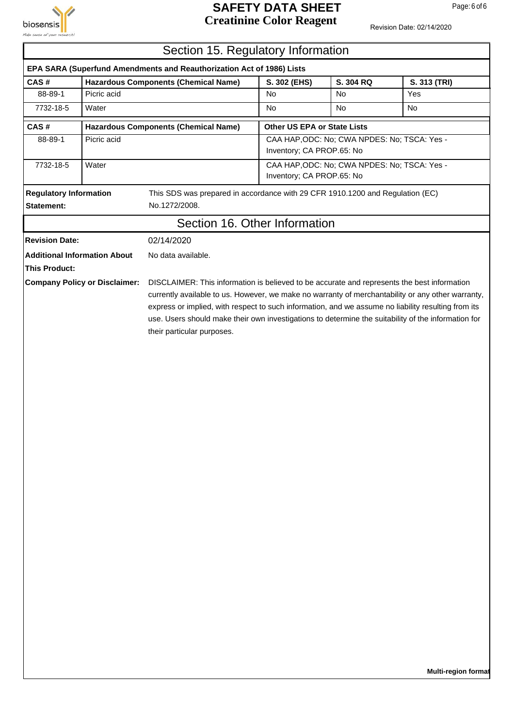

#### **SAFETY DATA SHEET** Page: 6 of 6 **Creatinine Color Reagent**

Revision Date: 02/14/2020

|                                                                             | Section 15. Regulatory Information |                                                                                                                                                                                                                                                                                                                                               |                             |                                              |              |  |  |
|-----------------------------------------------------------------------------|------------------------------------|-----------------------------------------------------------------------------------------------------------------------------------------------------------------------------------------------------------------------------------------------------------------------------------------------------------------------------------------------|-----------------------------|----------------------------------------------|--------------|--|--|
|                                                                             |                                    | EPA SARA (Superfund Amendments and Reauthorization Act of 1986) Lists                                                                                                                                                                                                                                                                         |                             |                                              |              |  |  |
| CAS#                                                                        |                                    | <b>Hazardous Components (Chemical Name)</b>                                                                                                                                                                                                                                                                                                   | S. 302 (EHS)                | S. 304 RQ                                    | S. 313 (TRI) |  |  |
| 88-89-1                                                                     | Picric acid                        |                                                                                                                                                                                                                                                                                                                                               | <b>No</b>                   | No                                           | Yes          |  |  |
| 7732-18-5                                                                   | Water                              |                                                                                                                                                                                                                                                                                                                                               | <b>No</b>                   | <b>No</b>                                    | <b>No</b>    |  |  |
| CAS#                                                                        |                                    | <b>Hazardous Components (Chemical Name)</b>                                                                                                                                                                                                                                                                                                   | Other US EPA or State Lists |                                              |              |  |  |
| 88-89-1                                                                     | Picric acid                        |                                                                                                                                                                                                                                                                                                                                               | Inventory; CA PROP.65: No   | CAA HAP, ODC: No; CWA NPDES: No; TSCA: Yes - |              |  |  |
| 7732-18-5                                                                   | Water                              |                                                                                                                                                                                                                                                                                                                                               | Inventory; CA PROP.65: No   | CAA HAP, ODC: No; CWA NPDES: No; TSCA: Yes - |              |  |  |
| <b>Regulatory Information</b>                                               |                                    | This SDS was prepared in accordance with 29 CFR 1910.1200 and Regulation (EC)                                                                                                                                                                                                                                                                 |                             |                                              |              |  |  |
| <b>Statement:</b>                                                           |                                    | No.1272/2008.                                                                                                                                                                                                                                                                                                                                 |                             |                                              |              |  |  |
|                                                                             |                                    | Section 16. Other Information                                                                                                                                                                                                                                                                                                                 |                             |                                              |              |  |  |
| <b>Revision Date:</b>                                                       |                                    | 02/14/2020                                                                                                                                                                                                                                                                                                                                    |                             |                                              |              |  |  |
|                                                                             |                                    | No data available.                                                                                                                                                                                                                                                                                                                            |                             |                                              |              |  |  |
| <b>This Product:</b>                                                        |                                    |                                                                                                                                                                                                                                                                                                                                               |                             |                                              |              |  |  |
| <b>Additional Information About</b><br><b>Company Policy or Disclaimer:</b> |                                    | currently available to us. However, we make no warranty of merchantability or any other warranty,<br>express or implied, with respect to such information, and we assume no liability resulting from its<br>use. Users should make their own investigations to determine the suitability of the information for<br>their particular purposes. |                             |                                              |              |  |  |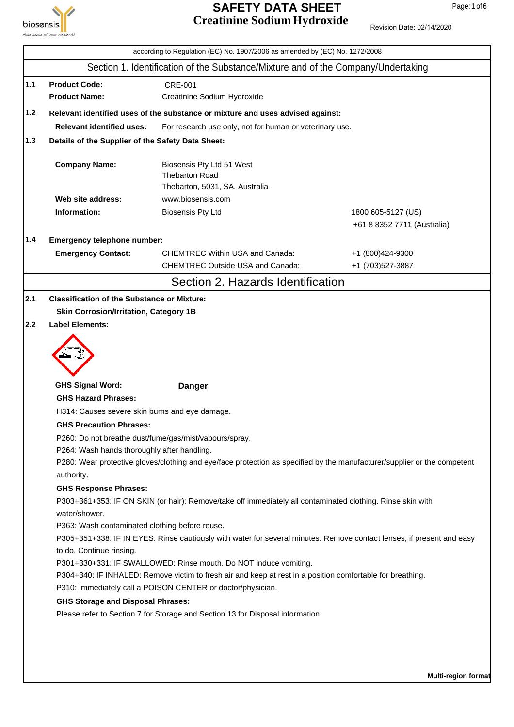

# **SAFETY DATA SHEET** Page: 1 of 6 **Creatinine Sodium Hydroxide**

|     |                                                                  | according to Regulation (EC) No. 1907/2006 as amended by (EC) No. 1272/2008                                              |                             |  |  |  |  |
|-----|------------------------------------------------------------------|--------------------------------------------------------------------------------------------------------------------------|-----------------------------|--|--|--|--|
|     |                                                                  | Section 1. Identification of the Substance/Mixture and of the Company/Undertaking                                        |                             |  |  |  |  |
| 1.1 | <b>Product Code:</b>                                             | <b>CRE-001</b>                                                                                                           |                             |  |  |  |  |
|     | <b>Product Name:</b>                                             | Creatinine Sodium Hydroxide                                                                                              |                             |  |  |  |  |
| 1.2 |                                                                  | Relevant identified uses of the substance or mixture and uses advised against:                                           |                             |  |  |  |  |
|     | <b>Relevant identified uses:</b>                                 | For research use only, not for human or veterinary use.                                                                  |                             |  |  |  |  |
| 1.3 |                                                                  |                                                                                                                          |                             |  |  |  |  |
|     | Details of the Supplier of the Safety Data Sheet:                |                                                                                                                          |                             |  |  |  |  |
|     | <b>Company Name:</b>                                             | Biosensis Pty Ltd 51 West<br><b>Thebarton Road</b><br>Thebarton, 5031, SA, Australia                                     |                             |  |  |  |  |
|     | Web site address:                                                | www.biosensis.com                                                                                                        |                             |  |  |  |  |
|     | Information:                                                     | <b>Biosensis Pty Ltd</b>                                                                                                 | 1800 605-5127 (US)          |  |  |  |  |
|     |                                                                  |                                                                                                                          | +61 8 8352 7711 (Australia) |  |  |  |  |
| 1.4 | Emergency telephone number:                                      |                                                                                                                          |                             |  |  |  |  |
|     | <b>Emergency Contact:</b>                                        | <b>CHEMTREC Within USA and Canada:</b>                                                                                   | +1 (800)424-9300            |  |  |  |  |
|     |                                                                  | <b>CHEMTREC Outside USA and Canada:</b>                                                                                  | +1 (703)527-3887            |  |  |  |  |
|     |                                                                  | Section 2. Hazards Identification                                                                                        |                             |  |  |  |  |
| 2.1 | <b>Classification of the Substance or Mixture:</b>               |                                                                                                                          |                             |  |  |  |  |
|     | <b>Skin Corrosion/Irritation, Category 1B</b>                    |                                                                                                                          |                             |  |  |  |  |
| 2.2 | <b>Label Elements:</b>                                           |                                                                                                                          |                             |  |  |  |  |
|     |                                                                  |                                                                                                                          |                             |  |  |  |  |
|     | <b>GHS Signal Word:</b>                                          | <b>Danger</b>                                                                                                            |                             |  |  |  |  |
|     | <b>GHS Hazard Phrases:</b>                                       |                                                                                                                          |                             |  |  |  |  |
|     | H314: Causes severe skin burns and eye damage.                   |                                                                                                                          |                             |  |  |  |  |
|     | <b>GHS Precaution Phrases:</b>                                   |                                                                                                                          |                             |  |  |  |  |
|     |                                                                  | P260: Do not breathe dust/fume/gas/mist/vapours/spray.                                                                   |                             |  |  |  |  |
|     | P264: Wash hands thoroughly after handling.                      | P280: Wear protective gloves/clothing and eye/face protection as specified by the manufacturer/supplier or the competent |                             |  |  |  |  |
|     | authority.                                                       |                                                                                                                          |                             |  |  |  |  |
|     | <b>GHS Response Phrases:</b>                                     |                                                                                                                          |                             |  |  |  |  |
|     |                                                                  | P303+361+353: IF ON SKIN (or hair): Remove/take off immediately all contaminated clothing. Rinse skin with               |                             |  |  |  |  |
|     | water/shower.                                                    |                                                                                                                          |                             |  |  |  |  |
|     | P363: Wash contaminated clothing before reuse.                   |                                                                                                                          |                             |  |  |  |  |
|     |                                                                  | P305+351+338: IF IN EYES: Rinse cautiously with water for several minutes. Remove contact lenses, if present and easy    |                             |  |  |  |  |
|     | to do. Continue rinsing.                                         |                                                                                                                          |                             |  |  |  |  |
|     | P301+330+331: IF SWALLOWED: Rinse mouth. Do NOT induce vomiting. |                                                                                                                          |                             |  |  |  |  |
|     |                                                                  | P304+340: IF INHALED: Remove victim to fresh air and keep at rest in a position comfortable for breathing.               |                             |  |  |  |  |
|     |                                                                  | P310: Immediately call a POISON CENTER or doctor/physician.                                                              |                             |  |  |  |  |
|     | <b>GHS Storage and Disposal Phrases:</b>                         |                                                                                                                          |                             |  |  |  |  |
|     |                                                                  | Please refer to Section 7 for Storage and Section 13 for Disposal information.                                           |                             |  |  |  |  |
|     |                                                                  |                                                                                                                          |                             |  |  |  |  |
|     |                                                                  |                                                                                                                          |                             |  |  |  |  |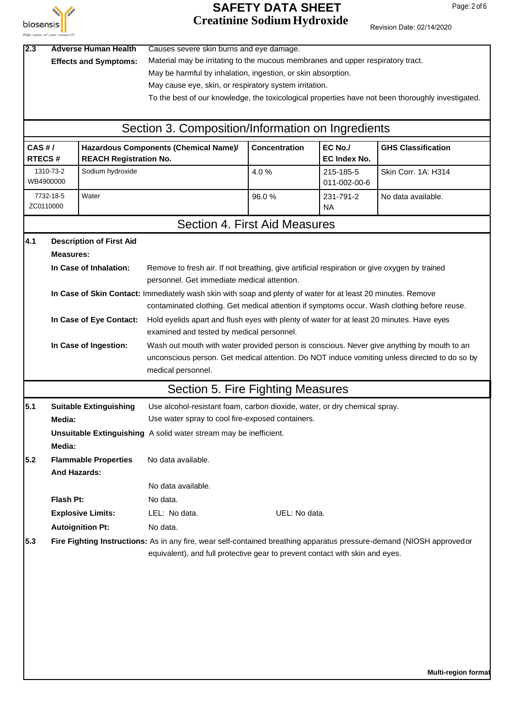

# **SAFETY DATA SHEET** Page: 2 of 6 **Creatinine Sodium Hydroxide**

| Revision Date: 02/14/2020 |  |
|---------------------------|--|
|---------------------------|--|

| 2.3<br><b>Adverse Human Health</b><br><b>Effects and Symptoms:</b> |                                                          |                                                           | Causes severe skin burns and eye damage.<br>Material may be irritating to the mucous membranes and upper respiratory tract.<br>May be harmful by inhalation, ingestion, or skin absorption.<br>May cause eye, skin, or respiratory system irritation.<br>To the best of our knowledge, the toxicological properties have not been thoroughly investigated. |               |                                |                           |  |  |
|--------------------------------------------------------------------|----------------------------------------------------------|-----------------------------------------------------------|------------------------------------------------------------------------------------------------------------------------------------------------------------------------------------------------------------------------------------------------------------------------------------------------------------------------------------------------------------|---------------|--------------------------------|---------------------------|--|--|
|                                                                    |                                                          |                                                           | Section 3. Composition/Information on Ingredients                                                                                                                                                                                                                                                                                                          |               |                                |                           |  |  |
|                                                                    | CAS H/<br><b>REACH Registration No.</b><br><b>RTECS#</b> |                                                           | Hazardous Components (Chemical Name)/                                                                                                                                                                                                                                                                                                                      | Concentration | EC No./<br><b>EC Index No.</b> | <b>GHS Classification</b> |  |  |
|                                                                    | 1310-73-2<br>WB4900000                                   | Sodium hydroxide                                          |                                                                                                                                                                                                                                                                                                                                                            | 4.0%          | 215-185-5<br>011-002-00-6      | Skin Corr. 1A: H314       |  |  |
| ZC0110000                                                          | 7732-18-5                                                | Water                                                     |                                                                                                                                                                                                                                                                                                                                                            | 96.0%         | 231-791-2<br><b>NA</b>         | No data available.        |  |  |
|                                                                    |                                                          |                                                           | Section 4. First Aid Measures                                                                                                                                                                                                                                                                                                                              |               |                                |                           |  |  |
| 4.1                                                                | <b>Measures:</b>                                         | <b>Description of First Aid</b><br>In Case of Inhalation: |                                                                                                                                                                                                                                                                                                                                                            |               |                                |                           |  |  |
|                                                                    |                                                          |                                                           | Remove to fresh air. If not breathing, give artificial respiration or give oxygen by trained<br>personnel. Get immediate medical attention.                                                                                                                                                                                                                |               |                                |                           |  |  |
|                                                                    |                                                          |                                                           | In Case of Skin Contact: Immediately wash skin with soap and plenty of water for at least 20 minutes. Remove<br>contaminated clothing. Get medical attention if symptoms occur. Wash clothing before reuse.                                                                                                                                                |               |                                |                           |  |  |
|                                                                    | In Case of Eye Contact:                                  |                                                           | Hold eyelids apart and flush eyes with plenty of water for at least 20 minutes. Have eyes<br>examined and tested by medical personnel.                                                                                                                                                                                                                     |               |                                |                           |  |  |
|                                                                    |                                                          | In Case of Ingestion:                                     | Wash out mouth with water provided person is conscious. Never give anything by mouth to an<br>unconscious person. Get medical attention. Do NOT induce vomiting unless directed to do so by<br>medical personnel.                                                                                                                                          |               |                                |                           |  |  |
|                                                                    |                                                          |                                                           | Section 5. Fire Fighting Measures                                                                                                                                                                                                                                                                                                                          |               |                                |                           |  |  |
| 5.1                                                                | Media:                                                   | <b>Suitable Extinguishing</b>                             | Use alcohol-resistant foam, carbon dioxide, water, or dry chemical spray.<br>Use water spray to cool fire-exposed containers.                                                                                                                                                                                                                              |               |                                |                           |  |  |
|                                                                    | Media:                                                   |                                                           | Unsuitable Extinguishing A solid water stream may be inefficient.                                                                                                                                                                                                                                                                                          |               |                                |                           |  |  |
| 5.2                                                                | <b>And Hazards:</b>                                      | <b>Flammable Properties</b>                               | No data available.                                                                                                                                                                                                                                                                                                                                         |               |                                |                           |  |  |
|                                                                    |                                                          |                                                           | No data available.                                                                                                                                                                                                                                                                                                                                         |               |                                |                           |  |  |
|                                                                    | Flash Pt:                                                |                                                           | No data.                                                                                                                                                                                                                                                                                                                                                   |               |                                |                           |  |  |
|                                                                    |                                                          | <b>Explosive Limits:</b>                                  | LEL: No data.                                                                                                                                                                                                                                                                                                                                              | UEL: No data. |                                |                           |  |  |
|                                                                    |                                                          | <b>Autoignition Pt:</b>                                   | No data.                                                                                                                                                                                                                                                                                                                                                   |               |                                |                           |  |  |
| 5.3                                                                |                                                          |                                                           | Fire Fighting Instructions: As in any fire, wear self-contained breathing apparatus pressure-demand (NIOSH approvedor<br>equivalent), and full protective gear to prevent contact with skin and eyes.                                                                                                                                                      |               |                                |                           |  |  |
|                                                                    |                                                          |                                                           |                                                                                                                                                                                                                                                                                                                                                            |               |                                |                           |  |  |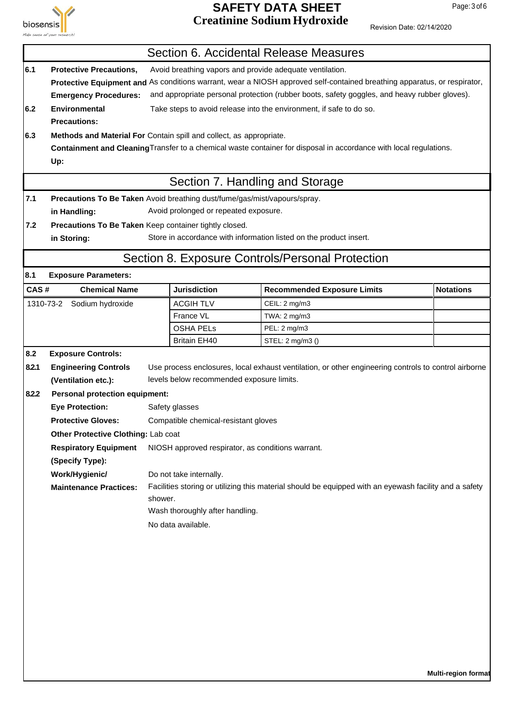

#### **SAFETY DATA SHEET** Page: 3 of 6 **Creatinine Sodium Hydroxide**

|       |                                                                           |                                                                                                        |                                                          | Section 6. Accidental Release Measures                                                                                   |                  |  |  |
|-------|---------------------------------------------------------------------------|--------------------------------------------------------------------------------------------------------|----------------------------------------------------------|--------------------------------------------------------------------------------------------------------------------------|------------------|--|--|
| 6.1   | <b>Protective Precautions,</b>                                            |                                                                                                        | Avoid breathing vapors and provide adequate ventilation. |                                                                                                                          |                  |  |  |
|       |                                                                           |                                                                                                        |                                                          | Protective Equipment and As conditions warrant, wear a NIOSH approved self-contained breathing apparatus, or respirator, |                  |  |  |
|       | <b>Emergency Procedures:</b>                                              |                                                                                                        |                                                          | and appropriate personal protection (rubber boots, safety goggles, and heavy rubber gloves).                             |                  |  |  |
| 6.2   | <b>Environmental</b>                                                      |                                                                                                        |                                                          | Take steps to avoid release into the environment, if safe to do so.                                                      |                  |  |  |
|       | <b>Precautions:</b>                                                       |                                                                                                        |                                                          |                                                                                                                          |                  |  |  |
| 6.3   | Methods and Material For Contain spill and collect, as appropriate.       |                                                                                                        |                                                          |                                                                                                                          |                  |  |  |
|       |                                                                           |                                                                                                        |                                                          | Containment and Cleaning Transfer to a chemical waste container for disposal in accordance with local regulations.       |                  |  |  |
|       | Up:                                                                       |                                                                                                        |                                                          |                                                                                                                          |                  |  |  |
|       |                                                                           |                                                                                                        | Section 7. Handling and Storage                          |                                                                                                                          |                  |  |  |
| 7.1   | Precautions To Be Taken Avoid breathing dust/fume/gas/mist/vapours/spray. |                                                                                                        |                                                          |                                                                                                                          |                  |  |  |
|       | in Handling:                                                              |                                                                                                        | Avoid prolonged or repeated exposure.                    |                                                                                                                          |                  |  |  |
| 7.2   | Precautions To Be Taken Keep container tightly closed.                    |                                                                                                        |                                                          |                                                                                                                          |                  |  |  |
|       | in Storing:                                                               |                                                                                                        |                                                          | Store in accordance with information listed on the product insert.                                                       |                  |  |  |
|       |                                                                           |                                                                                                        |                                                          | Section 8. Exposure Controls/Personal Protection                                                                         |                  |  |  |
| 8.1   | <b>Exposure Parameters:</b>                                               |                                                                                                        |                                                          |                                                                                                                          |                  |  |  |
| CAS#  | <b>Chemical Name</b>                                                      |                                                                                                        | <b>Jurisdiction</b>                                      | <b>Recommended Exposure Limits</b>                                                                                       | <b>Notations</b> |  |  |
|       | 1310-73-2 Sodium hydroxide                                                |                                                                                                        | <b>ACGIH TLV</b>                                         | CEIL: 2 mg/m3                                                                                                            |                  |  |  |
|       |                                                                           |                                                                                                        | France VL                                                | TWA: 2 mg/m3                                                                                                             |                  |  |  |
|       |                                                                           |                                                                                                        | <b>OSHA PELS</b>                                         | PEL: 2 mg/m3                                                                                                             |                  |  |  |
|       |                                                                           |                                                                                                        | <b>Britain EH40</b>                                      | STEL: 2 mg/m3 ()                                                                                                         |                  |  |  |
| 8.2   | <b>Exposure Controls:</b>                                                 |                                                                                                        |                                                          |                                                                                                                          |                  |  |  |
| 8.2.1 | <b>Engineering Controls</b>                                               |                                                                                                        |                                                          | Use process enclosures, local exhaust ventilation, or other engineering controls to control airborne                     |                  |  |  |
|       | (Ventilation etc.):                                                       |                                                                                                        | levels below recommended exposure limits.                |                                                                                                                          |                  |  |  |
| 8.2.2 | <b>Personal protection equipment:</b>                                     |                                                                                                        |                                                          |                                                                                                                          |                  |  |  |
|       | <b>Eye Protection:</b>                                                    |                                                                                                        | Safety glasses                                           |                                                                                                                          |                  |  |  |
|       | <b>Protective Gloves:</b>                                                 |                                                                                                        | Compatible chemical-resistant gloves                     |                                                                                                                          |                  |  |  |
|       | Other Protective Clothing: Lab coat                                       |                                                                                                        |                                                          |                                                                                                                          |                  |  |  |
|       | <b>Respiratory Equipment</b>                                              |                                                                                                        | NIOSH approved respirator, as conditions warrant.        |                                                                                                                          |                  |  |  |
|       | (Specify Type):                                                           |                                                                                                        |                                                          |                                                                                                                          |                  |  |  |
|       | Work/Hygienic/                                                            |                                                                                                        | Do not take internally.                                  |                                                                                                                          |                  |  |  |
|       | <b>Maintenance Practices:</b>                                             | Facilities storing or utilizing this material should be equipped with an eyewash facility and a safety |                                                          |                                                                                                                          |                  |  |  |
|       |                                                                           | shower.                                                                                                |                                                          |                                                                                                                          |                  |  |  |
|       |                                                                           |                                                                                                        | Wash thoroughly after handling.                          |                                                                                                                          |                  |  |  |
|       |                                                                           |                                                                                                        | No data available.                                       |                                                                                                                          |                  |  |  |
|       |                                                                           |                                                                                                        |                                                          |                                                                                                                          |                  |  |  |
|       |                                                                           |                                                                                                        |                                                          |                                                                                                                          |                  |  |  |
|       |                                                                           |                                                                                                        |                                                          |                                                                                                                          |                  |  |  |
|       |                                                                           |                                                                                                        |                                                          |                                                                                                                          |                  |  |  |
|       |                                                                           |                                                                                                        |                                                          |                                                                                                                          |                  |  |  |
|       |                                                                           |                                                                                                        |                                                          |                                                                                                                          |                  |  |  |
|       |                                                                           |                                                                                                        |                                                          |                                                                                                                          |                  |  |  |
|       |                                                                           |                                                                                                        |                                                          |                                                                                                                          |                  |  |  |
|       |                                                                           |                                                                                                        |                                                          |                                                                                                                          |                  |  |  |
|       |                                                                           |                                                                                                        |                                                          |                                                                                                                          |                  |  |  |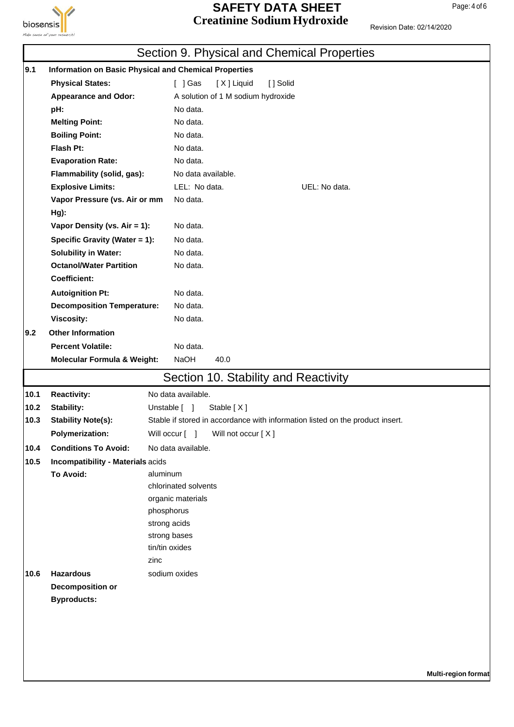

#### **SAFETY DATA SHEET** Page: 4 of 6 **Creatinine Sodium Hydroxide**

|      |                                        | Section 9. Physical and Chemical Properties                                   |
|------|----------------------------------------|-------------------------------------------------------------------------------|
| 9.1  |                                        | <b>Information on Basic Physical and Chemical Properties</b>                  |
|      | <b>Physical States:</b>                | $[$ ] Gas<br>[X] Liquid<br>[] Solid                                           |
|      | <b>Appearance and Odor:</b>            | A solution of 1 M sodium hydroxide                                            |
|      | pH:                                    | No data.                                                                      |
|      | <b>Melting Point:</b>                  | No data.                                                                      |
|      | <b>Boiling Point:</b>                  | No data.                                                                      |
|      | Flash Pt:                              | No data.                                                                      |
|      | <b>Evaporation Rate:</b>               | No data.                                                                      |
|      | Flammability (solid, gas):             | No data available.                                                            |
|      | <b>Explosive Limits:</b>               | LEL: No data.<br>UEL: No data.                                                |
|      | Vapor Pressure (vs. Air or mm          | No data.                                                                      |
|      | Hg):                                   |                                                                               |
|      | Vapor Density (vs. Air = 1):           | No data.                                                                      |
|      | Specific Gravity (Water = 1):          | No data.                                                                      |
|      | <b>Solubility in Water:</b>            | No data.                                                                      |
|      | <b>Octanol/Water Partition</b>         | No data.                                                                      |
|      | <b>Coefficient:</b>                    |                                                                               |
|      | <b>Autoignition Pt:</b>                | No data.                                                                      |
|      | <b>Decomposition Temperature:</b>      | No data.                                                                      |
|      | Viscosity:                             | No data.                                                                      |
| 9.2  | <b>Other Information</b>               |                                                                               |
|      | <b>Percent Volatile:</b>               | No data.                                                                      |
|      | <b>Molecular Formula &amp; Weight:</b> | NaOH<br>40.0                                                                  |
|      |                                        | Section 10. Stability and Reactivity                                          |
|      |                                        |                                                                               |
| 10.1 | <b>Reactivity:</b>                     | No data available.                                                            |
| 10.2 | <b>Stability:</b>                      | Unstable [ ]<br>Stable [X]                                                    |
| 10.3 | <b>Stability Note(s):</b>              | Stable if stored in accordance with information listed on the product insert. |
|      | <b>Polymerization:</b>                 | Will occur [ ] Will not occur [X]                                             |
| 10.4 | <b>Conditions To Avoid:</b>            | No data available.                                                            |
| 10.5 | Incompatibility - Materials acids      |                                                                               |
|      | <b>To Avoid:</b>                       | aluminum                                                                      |
|      |                                        | chlorinated solvents                                                          |
|      |                                        | organic materials<br>phosphorus                                               |
|      |                                        | strong acids                                                                  |
|      |                                        | strong bases                                                                  |
|      |                                        | tin/tin oxides                                                                |
|      |                                        | zinc                                                                          |
| 10.6 | <b>Hazardous</b>                       | sodium oxides                                                                 |
|      | <b>Decomposition or</b>                |                                                                               |
|      | <b>Byproducts:</b>                     |                                                                               |
|      |                                        |                                                                               |
|      |                                        |                                                                               |
|      |                                        |                                                                               |
|      |                                        |                                                                               |
|      |                                        |                                                                               |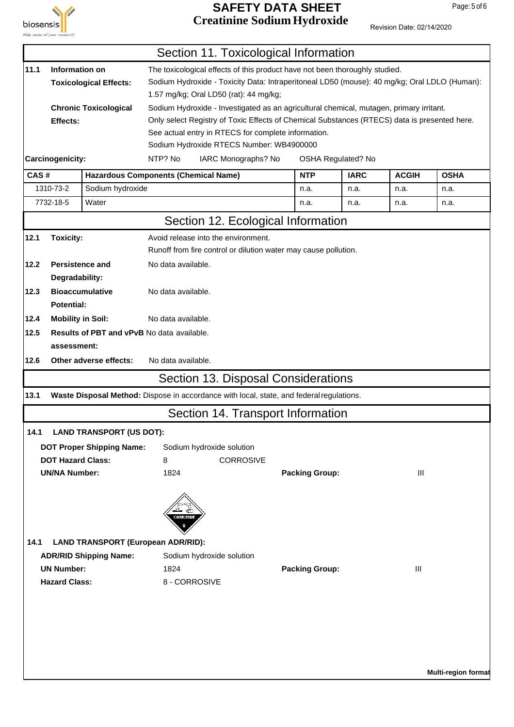

#### **SAFETY DATA SHEET** Page: 5 of 6 **Creatinine Sodium Hydroxide**

|      |                          |                                                   |                    | Section 11. Toxicological Information                                                        |                       |                    |              |                     |
|------|--------------------------|---------------------------------------------------|--------------------|----------------------------------------------------------------------------------------------|-----------------------|--------------------|--------------|---------------------|
| 11.1 | Information on           |                                                   |                    | The toxicological effects of this product have not been thoroughly studied.                  |                       |                    |              |                     |
|      |                          | <b>Toxicological Effects:</b>                     |                    | Sodium Hydroxide - Toxicity Data: Intraperitoneal LD50 (mouse): 40 mg/kg; Oral LDLO (Human): |                       |                    |              |                     |
|      |                          |                                                   |                    | 1.57 mg/kg; Oral LD50 (rat): 44 mg/kg;                                                       |                       |                    |              |                     |
|      |                          | <b>Chronic Toxicological</b>                      |                    | Sodium Hydroxide - Investigated as an agricultural chemical, mutagen, primary irritant.      |                       |                    |              |                     |
|      | Effects:                 |                                                   |                    | Only select Registry of Toxic Effects of Chemical Substances (RTECS) data is presented here. |                       |                    |              |                     |
|      |                          |                                                   |                    | See actual entry in RTECS for complete information.                                          |                       |                    |              |                     |
|      |                          |                                                   |                    | Sodium Hydroxide RTECS Number: WB4900000                                                     |                       |                    |              |                     |
|      | Carcinogenicity:         |                                                   | NTP? No            | IARC Monographs? No                                                                          |                       | OSHA Regulated? No |              |                     |
| CAS# |                          | <b>Hazardous Components (Chemical Name)</b>       |                    |                                                                                              | <b>NTP</b>            | <b>IARC</b>        | <b>ACGIH</b> | <b>OSHA</b>         |
|      | 1310-73-2                | Sodium hydroxide                                  |                    |                                                                                              | n.a.                  | n.a.               | n.a.         | n.a.                |
|      | 7732-18-5                | Water                                             |                    |                                                                                              | n.a.                  | n.a.               | n.a.         | n.a.                |
|      |                          |                                                   |                    | Section 12. Ecological Information                                                           |                       |                    |              |                     |
| 12.1 | <b>Toxicity:</b>         |                                                   |                    | Avoid release into the environment.                                                          |                       |                    |              |                     |
|      |                          |                                                   |                    | Runoff from fire control or dilution water may cause pollution.                              |                       |                    |              |                     |
| 12.2 | <b>Persistence and</b>   |                                                   | No data available. |                                                                                              |                       |                    |              |                     |
|      | Degradability:           |                                                   |                    |                                                                                              |                       |                    |              |                     |
| 12.3 | <b>Bioaccumulative</b>   |                                                   | No data available. |                                                                                              |                       |                    |              |                     |
|      | <b>Potential:</b>        |                                                   |                    |                                                                                              |                       |                    |              |                     |
| 12.4 | <b>Mobility in Soil:</b> |                                                   | No data available. |                                                                                              |                       |                    |              |                     |
| 12.5 |                          | <b>Results of PBT and vPvB No data available.</b> |                    |                                                                                              |                       |                    |              |                     |
|      | assessment:              |                                                   |                    |                                                                                              |                       |                    |              |                     |
| 12.6 |                          | Other adverse effects:                            | No data available. |                                                                                              |                       |                    |              |                     |
|      |                          |                                                   |                    | Section 13. Disposal Considerations                                                          |                       |                    |              |                     |
| 13.1 |                          |                                                   |                    | Waste Disposal Method: Dispose in accordance with local, state, and federal regulations.     |                       |                    |              |                     |
|      |                          |                                                   |                    | Section 14. Transport Information                                                            |                       |                    |              |                     |
|      |                          | 14.1 LAND TRANSPORT (US DOT):                     |                    |                                                                                              |                       |                    |              |                     |
|      |                          | <b>DOT Proper Shipping Name:</b>                  |                    | Sodium hydroxide solution                                                                    |                       |                    |              |                     |
|      | <b>DOT Hazard Class:</b> |                                                   | 8                  | <b>CORROSIVE</b>                                                                             |                       |                    |              |                     |
|      | <b>UN/NA Number:</b>     |                                                   | 1824               |                                                                                              | <b>Packing Group:</b> |                    | III          |                     |
|      |                          |                                                   |                    |                                                                                              |                       |                    |              |                     |
|      |                          |                                                   | <b>CORROSIVI</b>   |                                                                                              |                       |                    |              |                     |
| 14.1 |                          | <b>LAND TRANSPORT (European ADR/RID):</b>         |                    |                                                                                              |                       |                    |              |                     |
|      |                          | <b>ADR/RID Shipping Name:</b>                     |                    | Sodium hydroxide solution                                                                    |                       |                    |              |                     |
|      | <b>UN Number:</b>        |                                                   | 1824               |                                                                                              | <b>Packing Group:</b> |                    | Ш            |                     |
|      | <b>Hazard Class:</b>     |                                                   |                    | 8 - CORROSIVE                                                                                |                       |                    |              |                     |
|      |                          |                                                   |                    |                                                                                              |                       |                    |              |                     |
|      |                          |                                                   |                    |                                                                                              |                       |                    |              |                     |
|      |                          |                                                   |                    |                                                                                              |                       |                    |              |                     |
|      |                          |                                                   |                    |                                                                                              |                       |                    |              |                     |
|      |                          |                                                   |                    |                                                                                              |                       |                    |              |                     |
|      |                          |                                                   |                    |                                                                                              |                       |                    |              |                     |
|      |                          |                                                   |                    |                                                                                              |                       |                    |              | Multi-region format |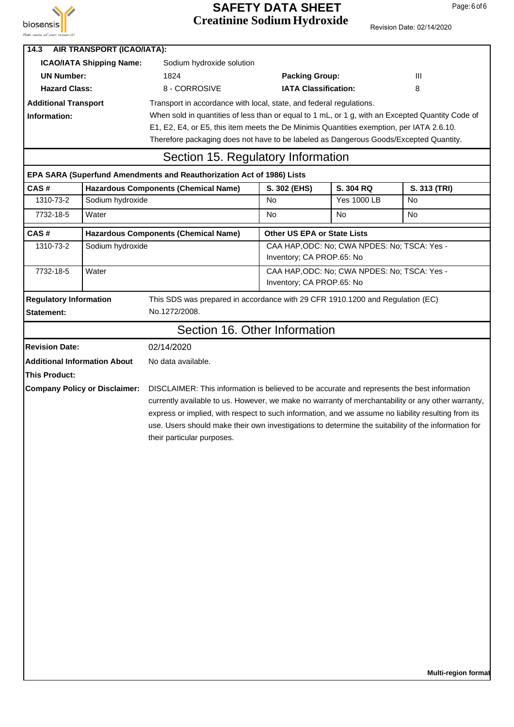

#### **SAFETY DATA SHEET** Page: 6 of 6 **Creatinine Sodium Hydroxide**

Revision Date: 02/14/2020

| 14.3                                               | <b>AIR TRANSPORT (ICAO/IATA):</b>    |                                                                                                                                                                                                                                                                                                                                                                                                                                              |                                    |                                              |              |  |
|----------------------------------------------------|--------------------------------------|----------------------------------------------------------------------------------------------------------------------------------------------------------------------------------------------------------------------------------------------------------------------------------------------------------------------------------------------------------------------------------------------------------------------------------------------|------------------------------------|----------------------------------------------|--------------|--|
| <b>ICAO/IATA Shipping Name:</b>                    |                                      | Sodium hydroxide solution                                                                                                                                                                                                                                                                                                                                                                                                                    |                                    |                                              |              |  |
| <b>UN Number:</b>                                  |                                      | 1824                                                                                                                                                                                                                                                                                                                                                                                                                                         | <b>Packing Group:</b>              |                                              | Ш            |  |
| <b>Hazard Class:</b>                               |                                      | 8 - CORROSIVE                                                                                                                                                                                                                                                                                                                                                                                                                                | <b>IATA Classification:</b>        |                                              | 8            |  |
| <b>Additional Transport</b>                        |                                      | Transport in accordance with local, state, and federal regulations.                                                                                                                                                                                                                                                                                                                                                                          |                                    |                                              |              |  |
| Information:                                       |                                      | When sold in quantities of less than or equal to 1 mL, or 1 g, with an Excepted Quantity Code of                                                                                                                                                                                                                                                                                                                                             |                                    |                                              |              |  |
|                                                    |                                      | E1, E2, E4, or E5, this item meets the De Minimis Quantities exemption, per IATA 2.6.10.                                                                                                                                                                                                                                                                                                                                                     |                                    |                                              |              |  |
|                                                    |                                      | Therefore packaging does not have to be labeled as Dangerous Goods/Excepted Quantity.                                                                                                                                                                                                                                                                                                                                                        |                                    |                                              |              |  |
| Section 15. Regulatory Information                 |                                      |                                                                                                                                                                                                                                                                                                                                                                                                                                              |                                    |                                              |              |  |
|                                                    |                                      | EPA SARA (Superfund Amendments and Reauthorization Act of 1986) Lists                                                                                                                                                                                                                                                                                                                                                                        |                                    |                                              |              |  |
| CAS#                                               |                                      | <b>Hazardous Components (Chemical Name)</b>                                                                                                                                                                                                                                                                                                                                                                                                  | S. 302 (EHS)                       | S. 304 RQ                                    | S. 313 (TRI) |  |
| 1310-73-2                                          | Sodium hydroxide                     |                                                                                                                                                                                                                                                                                                                                                                                                                                              | No                                 | <b>Yes 1000 LB</b>                           | <b>No</b>    |  |
| 7732-18-5                                          | Water                                |                                                                                                                                                                                                                                                                                                                                                                                                                                              | No                                 | No                                           | No           |  |
| CAS#                                               |                                      | <b>Hazardous Components (Chemical Name)</b>                                                                                                                                                                                                                                                                                                                                                                                                  | <b>Other US EPA or State Lists</b> |                                              |              |  |
| 1310-73-2                                          | Sodium hydroxide                     |                                                                                                                                                                                                                                                                                                                                                                                                                                              |                                    | CAA HAP, ODC: No; CWA NPDES: No; TSCA: Yes - |              |  |
|                                                    |                                      |                                                                                                                                                                                                                                                                                                                                                                                                                                              | Inventory; CA PROP.65: No          |                                              |              |  |
| 7732-18-5                                          | Water                                |                                                                                                                                                                                                                                                                                                                                                                                                                                              | Inventory; CA PROP.65: No          | CAA HAP, ODC: No; CWA NPDES: No; TSCA: Yes - |              |  |
|                                                    |                                      |                                                                                                                                                                                                                                                                                                                                                                                                                                              |                                    |                                              |              |  |
| <b>Regulatory Information</b><br><b>Statement:</b> |                                      | This SDS was prepared in accordance with 29 CFR 1910.1200 and Regulation (EC)<br>No.1272/2008.                                                                                                                                                                                                                                                                                                                                               |                                    |                                              |              |  |
|                                                    |                                      | Section 16. Other Information                                                                                                                                                                                                                                                                                                                                                                                                                |                                    |                                              |              |  |
| <b>Revision Date:</b>                              |                                      | 02/14/2020                                                                                                                                                                                                                                                                                                                                                                                                                                   |                                    |                                              |              |  |
| <b>Additional Information About</b>                |                                      | No data available.                                                                                                                                                                                                                                                                                                                                                                                                                           |                                    |                                              |              |  |
| This Product:                                      |                                      |                                                                                                                                                                                                                                                                                                                                                                                                                                              |                                    |                                              |              |  |
|                                                    | <b>Company Policy or Disclaimer:</b> | DISCLAIMER: This information is believed to be accurate and represents the best information<br>currently available to us. However, we make no warranty of merchantability or any other warranty,<br>express or implied, with respect to such information, and we assume no liability resulting from its<br>use. Users should make their own investigations to determine the suitability of the information for<br>their particular purposes. |                                    |                                              |              |  |
|                                                    |                                      |                                                                                                                                                                                                                                                                                                                                                                                                                                              |                                    |                                              |              |  |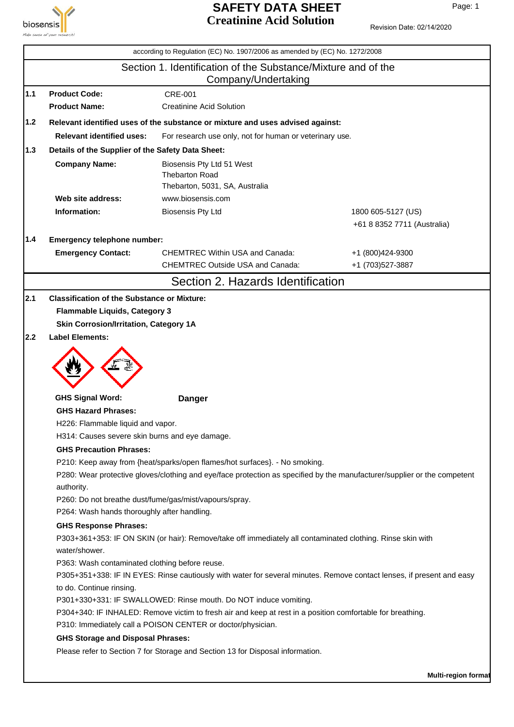

## **SAFETY DATA SHEET** Page: 1 **Creatinine Acid Solution**

|     |                                                                                      | according to Regulation (EC) No. 1907/2006 as amended by (EC) No. 1272/2008                                                                                                                            |                             |  |  |
|-----|--------------------------------------------------------------------------------------|--------------------------------------------------------------------------------------------------------------------------------------------------------------------------------------------------------|-----------------------------|--|--|
|     | Section 1. Identification of the Substance/Mixture and of the<br>Company/Undertaking |                                                                                                                                                                                                        |                             |  |  |
| 1.1 | <b>Product Code:</b>                                                                 | CRE-001                                                                                                                                                                                                |                             |  |  |
|     | <b>Product Name:</b>                                                                 | <b>Creatinine Acid Solution</b>                                                                                                                                                                        |                             |  |  |
| 1.2 |                                                                                      | Relevant identified uses of the substance or mixture and uses advised against:                                                                                                                         |                             |  |  |
|     | <b>Relevant identified uses:</b>                                                     | For research use only, not for human or veterinary use.                                                                                                                                                |                             |  |  |
| 1.3 | Details of the Supplier of the Safety Data Sheet:                                    |                                                                                                                                                                                                        |                             |  |  |
|     | <b>Company Name:</b>                                                                 | Biosensis Pty Ltd 51 West<br><b>Thebarton Road</b><br>Thebarton, 5031, SA, Australia                                                                                                                   |                             |  |  |
|     | Web site address:                                                                    | www.biosensis.com                                                                                                                                                                                      |                             |  |  |
|     | Information:                                                                         | <b>Biosensis Pty Ltd</b>                                                                                                                                                                               | 1800 605-5127 (US)          |  |  |
|     |                                                                                      |                                                                                                                                                                                                        | +61 8 8352 7711 (Australia) |  |  |
| 1.4 | Emergency telephone number:                                                          |                                                                                                                                                                                                        |                             |  |  |
|     | <b>Emergency Contact:</b>                                                            | <b>CHEMTREC Within USA and Canada:</b>                                                                                                                                                                 | +1 (800)424-9300            |  |  |
|     |                                                                                      | <b>CHEMTREC Outside USA and Canada:</b>                                                                                                                                                                | +1 (703)527-3887            |  |  |
|     |                                                                                      | Section 2. Hazards Identification                                                                                                                                                                      |                             |  |  |
| 2.2 | <b>Label Elements:</b>                                                               |                                                                                                                                                                                                        |                             |  |  |
|     | <b>GHS Signal Word:</b>                                                              | <b>Danger</b>                                                                                                                                                                                          |                             |  |  |
|     | <b>GHS Hazard Phrases:</b>                                                           |                                                                                                                                                                                                        |                             |  |  |
|     | H226: Flammable liquid and vapor.                                                    |                                                                                                                                                                                                        |                             |  |  |
|     | H314: Causes severe skin burns and eye damage.                                       |                                                                                                                                                                                                        |                             |  |  |
|     | <b>GHS Precaution Phrases:</b>                                                       |                                                                                                                                                                                                        |                             |  |  |
|     | authority.                                                                           | P210: Keep away from {heat/sparks/open flames/hot surfaces}. - No smoking.<br>P280: Wear protective gloves/clothing and eye/face protection as specified by the manufacturer/supplier or the competent |                             |  |  |
|     |                                                                                      | P260: Do not breathe dust/fume/gas/mist/vapours/spray.                                                                                                                                                 |                             |  |  |
|     | P264: Wash hands thoroughly after handling.                                          |                                                                                                                                                                                                        |                             |  |  |
|     | <b>GHS Response Phrases:</b>                                                         |                                                                                                                                                                                                        |                             |  |  |
|     | water/shower.                                                                        | P303+361+353: IF ON SKIN (or hair): Remove/take off immediately all contaminated clothing. Rinse skin with                                                                                             |                             |  |  |
|     | P363: Wash contaminated clothing before reuse.                                       |                                                                                                                                                                                                        |                             |  |  |
|     | to do. Continue rinsing.                                                             | P305+351+338: IF IN EYES: Rinse cautiously with water for several minutes. Remove contact lenses, if present and easy                                                                                  |                             |  |  |
|     |                                                                                      | P301+330+331: IF SWALLOWED: Rinse mouth. Do NOT induce vomiting.                                                                                                                                       |                             |  |  |
|     |                                                                                      | P304+340: IF INHALED: Remove victim to fresh air and keep at rest in a position comfortable for breathing.<br>P310: Immediately call a POISON CENTER or doctor/physician.                              |                             |  |  |
|     | <b>GHS Storage and Disposal Phrases:</b>                                             |                                                                                                                                                                                                        |                             |  |  |
|     |                                                                                      | Please refer to Section 7 for Storage and Section 13 for Disposal information.                                                                                                                         |                             |  |  |
|     |                                                                                      |                                                                                                                                                                                                        |                             |  |  |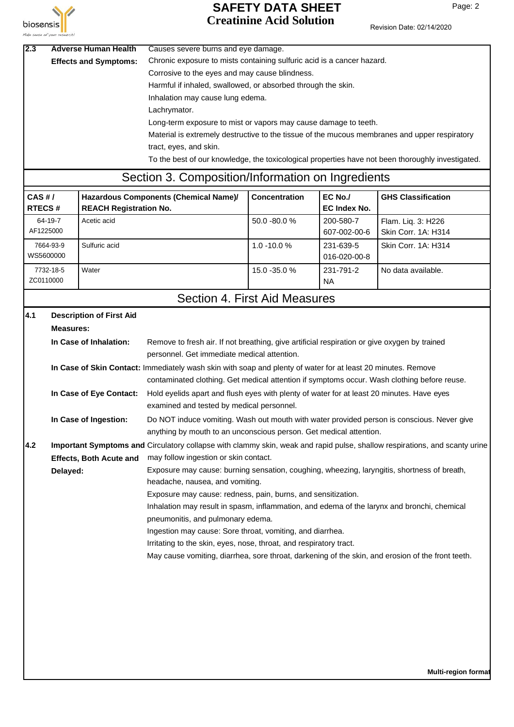

## **SAFETY DATA SHEET** Page: 2 **Creatinine Acid Solution**

| 2.3                       |                        | <b>Adverse Human Health</b>     | Causes severe burns and eye damage.                                                                                                         |               |                                |                                                                                                                            |
|---------------------------|------------------------|---------------------------------|---------------------------------------------------------------------------------------------------------------------------------------------|---------------|--------------------------------|----------------------------------------------------------------------------------------------------------------------------|
|                           |                        | <b>Effects and Symptoms:</b>    | Chronic exposure to mists containing sulfuric acid is a cancer hazard.                                                                      |               |                                |                                                                                                                            |
|                           |                        |                                 | Corrosive to the eyes and may cause blindness.                                                                                              |               |                                |                                                                                                                            |
|                           |                        |                                 | Harmful if inhaled, swallowed, or absorbed through the skin.                                                                                |               |                                |                                                                                                                            |
|                           |                        |                                 | Inhalation may cause lung edema.                                                                                                            |               |                                |                                                                                                                            |
|                           |                        |                                 | Lachrymator.                                                                                                                                |               |                                |                                                                                                                            |
|                           |                        |                                 | Long-term exposure to mist or vapors may cause damage to teeth.                                                                             |               |                                |                                                                                                                            |
|                           |                        |                                 | Material is extremely destructive to the tissue of the mucous membranes and upper respiratory                                               |               |                                |                                                                                                                            |
|                           |                        |                                 | tract, eyes, and skin.                                                                                                                      |               |                                |                                                                                                                            |
|                           |                        |                                 |                                                                                                                                             |               |                                | To the best of our knowledge, the toxicological properties have not been thoroughly investigated.                          |
|                           |                        |                                 | Section 3. Composition/Information on Ingredients                                                                                           |               |                                |                                                                                                                            |
|                           |                        |                                 |                                                                                                                                             |               |                                |                                                                                                                            |
| $CAS$ #/<br><b>RTECS#</b> |                        | <b>REACH Registration No.</b>   | Hazardous Components (Chemical Name)/                                                                                                       | Concentration | EC No./<br><b>EC Index No.</b> | <b>GHS Classification</b>                                                                                                  |
|                           | 64-19-7<br>AF1225000   | Acetic acid                     |                                                                                                                                             | 50.0 -80.0 %  | 200-580-7<br>607-002-00-6      | Flam. Liq. 3: H226<br>Skin Corr. 1A: H314                                                                                  |
|                           | 7664-93-9<br>WS5600000 | Sulfuric acid                   |                                                                                                                                             | 1.0 -10.0 %   | 231-639-5<br>016-020-00-8      | Skin Corr. 1A: H314                                                                                                        |
|                           | 7732-18-5<br>ZC0110000 | Water                           |                                                                                                                                             | 15.0 -35.0 %  | 231-791-2<br><b>NA</b>         | No data available.                                                                                                         |
|                           |                        |                                 | Section 4. First Aid Measures                                                                                                               |               |                                |                                                                                                                            |
| 4.1                       |                        | <b>Description of First Aid</b> |                                                                                                                                             |               |                                |                                                                                                                            |
|                           | <b>Measures:</b>       |                                 |                                                                                                                                             |               |                                |                                                                                                                            |
|                           |                        | In Case of Inhalation:          | Remove to fresh air. If not breathing, give artificial respiration or give oxygen by trained<br>personnel. Get immediate medical attention. |               |                                |                                                                                                                            |
|                           |                        |                                 | In Case of Skin Contact: Immediately wash skin with soap and plenty of water for at least 20 minutes. Remove                                |               |                                |                                                                                                                            |
|                           |                        |                                 | contaminated clothing. Get medical attention if symptoms occur. Wash clothing before reuse.                                                 |               |                                |                                                                                                                            |
|                           |                        | In Case of Eye Contact:         | Hold eyelids apart and flush eyes with plenty of water for at least 20 minutes. Have eyes                                                   |               |                                |                                                                                                                            |
|                           |                        |                                 | examined and tested by medical personnel.                                                                                                   |               |                                |                                                                                                                            |
|                           |                        | In Case of Ingestion:           | Do NOT induce vomiting. Wash out mouth with water provided person is conscious. Never give                                                  |               |                                |                                                                                                                            |
|                           |                        |                                 | anything by mouth to an unconscious person. Get medical attention.                                                                          |               |                                |                                                                                                                            |
| 4.2                       |                        |                                 |                                                                                                                                             |               |                                | Important Symptoms and Circulatory collapse with clammy skin, weak and rapid pulse, shallow respirations, and scanty urine |
|                           |                        | <b>Effects, Both Acute and</b>  | may follow ingestion or skin contact.                                                                                                       |               |                                |                                                                                                                            |
|                           | Delayed:               |                                 | Exposure may cause: burning sensation, coughing, wheezing, laryngitis, shortness of breath,                                                 |               |                                |                                                                                                                            |
|                           |                        |                                 | headache, nausea, and vomiting.                                                                                                             |               |                                |                                                                                                                            |
|                           |                        |                                 | Exposure may cause: redness, pain, burns, and sensitization.                                                                                |               |                                |                                                                                                                            |
|                           |                        |                                 | Inhalation may result in spasm, inflammation, and edema of the larynx and bronchi, chemical                                                 |               |                                |                                                                                                                            |
|                           |                        |                                 | pneumonitis, and pulmonary edema.                                                                                                           |               |                                |                                                                                                                            |
|                           |                        |                                 | Ingestion may cause: Sore throat, vomiting, and diarrhea.                                                                                   |               |                                |                                                                                                                            |
|                           |                        |                                 | Irritating to the skin, eyes, nose, throat, and respiratory tract.                                                                          |               |                                |                                                                                                                            |
|                           |                        |                                 | May cause vomiting, diarrhea, sore throat, darkening of the skin, and erosion of the front teeth.                                           |               |                                |                                                                                                                            |
|                           |                        |                                 |                                                                                                                                             |               |                                |                                                                                                                            |
|                           |                        |                                 |                                                                                                                                             |               |                                |                                                                                                                            |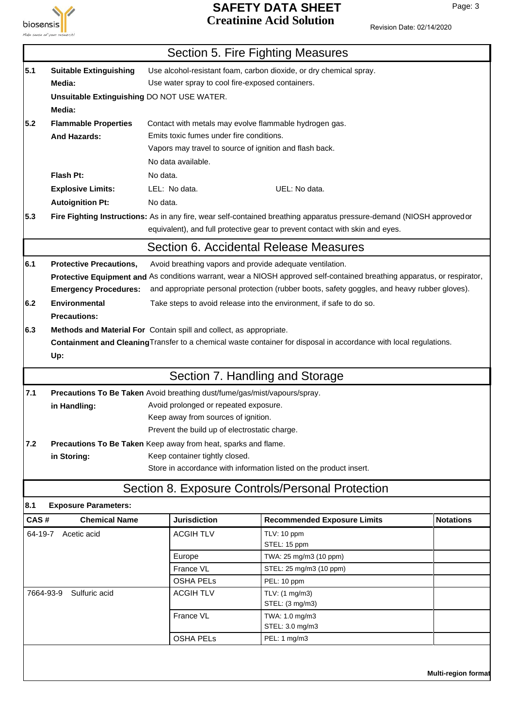

## **SAFETY DATA SHEET** Page: 3 **Creatinine Acid Solution**

|         |                                                                                             |                                                                           | Section 5. Fire Fighting Measures                                                                                        |                  |
|---------|---------------------------------------------------------------------------------------------|---------------------------------------------------------------------------|--------------------------------------------------------------------------------------------------------------------------|------------------|
| 5.1     | <b>Suitable Extinguishing</b>                                                               |                                                                           | Use alcohol-resistant foam, carbon dioxide, or dry chemical spray.                                                       |                  |
|         | Media:                                                                                      | Use water spray to cool fire-exposed containers.                          |                                                                                                                          |                  |
|         | Unsuitable Extinguishing DO NOT USE WATER.                                                  |                                                                           |                                                                                                                          |                  |
|         | Media:                                                                                      |                                                                           |                                                                                                                          |                  |
| 5.2     | <b>Flammable Properties</b>                                                                 |                                                                           | Contact with metals may evolve flammable hydrogen gas.                                                                   |                  |
|         | <b>And Hazards:</b>                                                                         | Emits toxic fumes under fire conditions.                                  |                                                                                                                          |                  |
|         |                                                                                             | Vapors may travel to source of ignition and flash back.                   |                                                                                                                          |                  |
|         |                                                                                             | No data available.                                                        |                                                                                                                          |                  |
|         | Flash Pt:                                                                                   | No data.                                                                  |                                                                                                                          |                  |
|         | <b>Explosive Limits:</b>                                                                    | LEL: No data.                                                             | UEL: No data.                                                                                                            |                  |
|         | <b>Autoignition Pt:</b>                                                                     | No data.                                                                  |                                                                                                                          |                  |
| 5.3     |                                                                                             |                                                                           | Fire Fighting Instructions: As in any fire, wear self-contained breathing apparatus pressure-demand (NIOSH approvedor    |                  |
|         | equivalent), and full protective gear to prevent contact with skin and eyes.                |                                                                           |                                                                                                                          |                  |
|         |                                                                                             |                                                                           | Section 6. Accidental Release Measures                                                                                   |                  |
| 6.1     | <b>Protective Precautions,</b>                                                              |                                                                           | Avoid breathing vapors and provide adequate ventilation.                                                                 |                  |
|         |                                                                                             |                                                                           | Protective Equipment and As conditions warrant, wear a NIOSH approved self-contained breathing apparatus, or respirator, |                  |
|         | <b>Emergency Procedures:</b>                                                                |                                                                           | and appropriate personal protection (rubber boots, safety goggles, and heavy rubber gloves).                             |                  |
| 6.2     | <b>Environmental</b><br>Take steps to avoid release into the environment, if safe to do so. |                                                                           |                                                                                                                          |                  |
|         | <b>Precautions:</b>                                                                         |                                                                           |                                                                                                                          |                  |
| 6.3     |                                                                                             | Methods and Material For Contain spill and collect, as appropriate.       |                                                                                                                          |                  |
|         |                                                                                             |                                                                           | Containment and Cleaning Transfer to a chemical waste container for disposal in accordance with local regulations.       |                  |
|         | Up:                                                                                         |                                                                           |                                                                                                                          |                  |
|         |                                                                                             |                                                                           | Section 7. Handling and Storage                                                                                          |                  |
| 7.1     |                                                                                             | Precautions To Be Taken Avoid breathing dust/fume/gas/mist/vapours/spray. |                                                                                                                          |                  |
|         | in Handling:                                                                                | Avoid prolonged or repeated exposure.                                     |                                                                                                                          |                  |
|         |                                                                                             | Keep away from sources of ignition.                                       |                                                                                                                          |                  |
|         |                                                                                             | Prevent the build up of electrostatic charge.                             |                                                                                                                          |                  |
| 7.2     |                                                                                             | Precautions To Be Taken Keep away from heat, sparks and flame.            |                                                                                                                          |                  |
|         | in Storing:                                                                                 | Keep container tightly closed.                                            |                                                                                                                          |                  |
|         |                                                                                             |                                                                           | Store in accordance with information listed on the product insert.                                                       |                  |
|         |                                                                                             |                                                                           | Section 8. Exposure Controls/Personal Protection                                                                         |                  |
| 8.1     | <b>Exposure Parameters:</b>                                                                 |                                                                           |                                                                                                                          |                  |
| CAS#    | <b>Chemical Name</b>                                                                        | <b>Jurisdiction</b>                                                       | <b>Recommended Exposure Limits</b>                                                                                       | <b>Notations</b> |
| 64-19-7 | Acetic acid                                                                                 | <b>ACGIHTLV</b>                                                           | TLV: 10 ppm                                                                                                              |                  |
|         |                                                                                             |                                                                           | STEL: 15 ppm                                                                                                             |                  |
|         |                                                                                             | Europe                                                                    | TWA: 25 mg/m3 (10 ppm)                                                                                                   |                  |
|         |                                                                                             | France VL                                                                 | STEL: 25 mg/m3 (10 ppm)                                                                                                  |                  |
|         | 7664-93-9<br>Sulfuric acid                                                                  | <b>OSHA PELS</b><br><b>ACGIHTLV</b>                                       | PEL: 10 ppm<br>TLV: (1 mg/m3)                                                                                            |                  |
|         |                                                                                             |                                                                           | STEL: (3 mg/m3)                                                                                                          |                  |
|         |                                                                                             | France VL                                                                 | TWA: 1.0 mg/m3                                                                                                           |                  |
|         |                                                                                             |                                                                           | STEL: 3.0 mg/m3                                                                                                          |                  |
|         |                                                                                             | <b>OSHA PELS</b>                                                          | PEL: 1 mg/m3                                                                                                             |                  |
|         |                                                                                             |                                                                           |                                                                                                                          |                  |
|         |                                                                                             |                                                                           |                                                                                                                          |                  |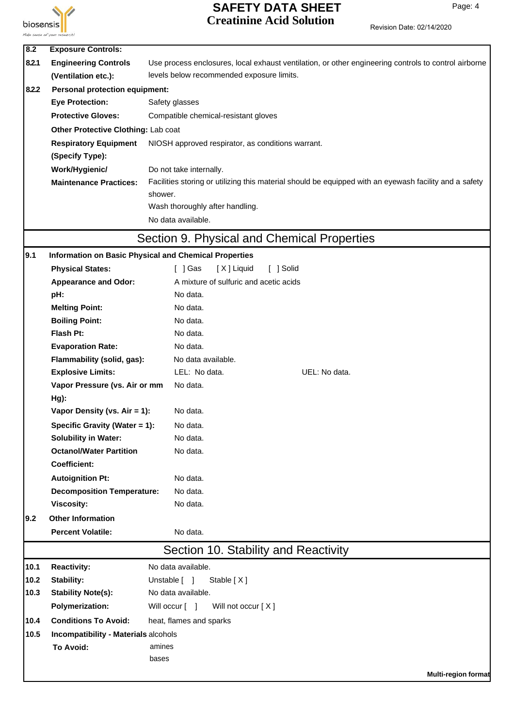

## **SAFETY DATA SHEET** Page: 4 **Creatinine Acid Solution**

| 8.2   | <b>Exposure Controls:</b>             |                                                                                                        |
|-------|---------------------------------------|--------------------------------------------------------------------------------------------------------|
| 8.2.1 | <b>Engineering Controls</b>           | Use process enclosures, local exhaust ventilation, or other engineering controls to control airborne   |
|       | (Ventilation etc.):                   | levels below recommended exposure limits.                                                              |
| 8.2.2 | <b>Personal protection equipment:</b> |                                                                                                        |
|       | <b>Eye Protection:</b>                | Safety glasses                                                                                         |
|       | <b>Protective Gloves:</b>             | Compatible chemical-resistant gloves                                                                   |
|       | Other Protective Clothing: Lab coat   |                                                                                                        |
|       | <b>Respiratory Equipment</b>          | NIOSH approved respirator, as conditions warrant.                                                      |
|       | (Specify Type):                       |                                                                                                        |
|       | Work/Hygienic/                        | Do not take internally.                                                                                |
|       | <b>Maintenance Practices:</b>         | Facilities storing or utilizing this material should be equipped with an eyewash facility and a safety |
|       |                                       | shower.                                                                                                |
|       |                                       | Wash thoroughly after handling.                                                                        |
|       |                                       | No data available.                                                                                     |
|       |                                       | Section 9. Physical and Chemical Properties                                                            |
| 9.1   |                                       | Information on Basic Physical and Chemical Properties                                                  |
|       | <b>Physical States:</b>               | [X] Liquid<br>[ ] Solid<br>[ ] Gas                                                                     |
|       | <b>Appearance and Odor:</b>           | A mixture of sulfuric and acetic acids                                                                 |
|       | pH:                                   | No data.                                                                                               |
|       | <b>Melting Point:</b>                 | No data.                                                                                               |
|       | <b>Boiling Point:</b>                 | No data.                                                                                               |
|       | Flash Pt:                             | No data.                                                                                               |
|       | <b>Evaporation Rate:</b>              | No data.                                                                                               |
|       | Flammability (solid, gas):            | No data available.                                                                                     |
|       | <b>Explosive Limits:</b>              | LEL: No data.<br>UEL: No data.                                                                         |
|       | Vapor Pressure (vs. Air or mm         | No data.                                                                                               |
|       | Hg):                                  |                                                                                                        |
|       | Vapor Density (vs. Air = 1):          | No data.                                                                                               |
|       | Specific Gravity (Water = 1):         | No data                                                                                                |
|       | <b>Solubility in Water:</b>           | No data.                                                                                               |
|       | <b>Octanol/Water Partition</b>        | No data.                                                                                               |
|       | <b>Coefficient:</b>                   |                                                                                                        |
|       | <b>Autoignition Pt:</b>               | No data.                                                                                               |
|       | <b>Decomposition Temperature:</b>     | No data.                                                                                               |
|       | <b>Viscosity:</b>                     | No data.                                                                                               |
| 9.2   | <b>Other Information</b>              |                                                                                                        |
|       | <b>Percent Volatile:</b>              | No data.                                                                                               |
|       |                                       | Section 10. Stability and Reactivity                                                                   |
| 10.1  | <b>Reactivity:</b>                    | No data available.                                                                                     |
| 10.2  | Stability:                            | Unstable [ ]<br>Stable [X]                                                                             |
| 10.3  | <b>Stability Note(s):</b>             | No data available.                                                                                     |
|       | <b>Polymerization:</b>                | Will occur [ ]<br>Will not occur [X]                                                                   |
| 10.4  | <b>Conditions To Avoid:</b>           | heat, flames and sparks                                                                                |
| 10.5  | Incompatibility - Materials alcohols  |                                                                                                        |
|       | To Avoid:                             | amines                                                                                                 |
|       |                                       | bases                                                                                                  |
|       |                                       | <b>Multi-region format</b>                                                                             |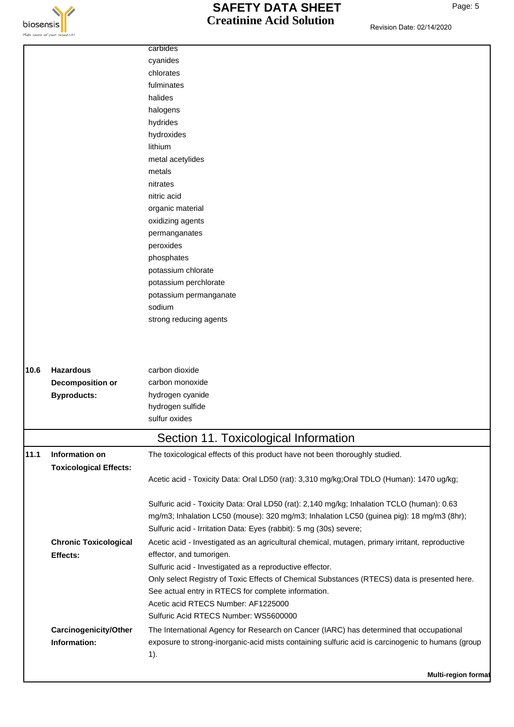

|      |                               | carbides                                                                                                                                            |
|------|-------------------------------|-----------------------------------------------------------------------------------------------------------------------------------------------------|
|      |                               | cyanides                                                                                                                                            |
|      |                               | chlorates                                                                                                                                           |
|      |                               | fulminates                                                                                                                                          |
|      |                               | halides                                                                                                                                             |
|      |                               | halogens                                                                                                                                            |
|      |                               | hydrides                                                                                                                                            |
|      |                               | hydroxides                                                                                                                                          |
|      |                               | lithium                                                                                                                                             |
|      |                               | metal acetylides                                                                                                                                    |
|      |                               | metals                                                                                                                                              |
|      |                               | nitrates                                                                                                                                            |
|      |                               | nitric acid                                                                                                                                         |
|      |                               | organic material                                                                                                                                    |
|      |                               | oxidizing agents                                                                                                                                    |
|      |                               | permanganates                                                                                                                                       |
|      |                               | peroxides                                                                                                                                           |
|      |                               | phosphates                                                                                                                                          |
|      |                               | potassium chlorate                                                                                                                                  |
|      |                               | potassium perchlorate                                                                                                                               |
|      |                               | potassium permanganate                                                                                                                              |
|      |                               | sodium                                                                                                                                              |
|      |                               | strong reducing agents                                                                                                                              |
| 10.6 | <b>Hazardous</b>              | carbon dioxide                                                                                                                                      |
|      | <b>Decomposition or</b>       | carbon monoxide                                                                                                                                     |
|      | <b>Byproducts:</b>            | hydrogen cyanide                                                                                                                                    |
|      |                               | hydrogen sulfide                                                                                                                                    |
|      |                               | sulfur oxides                                                                                                                                       |
|      |                               | Section 11. Toxicological Information                                                                                                               |
| 11.1 | Information on                | The toxicological effects of this product have not been thoroughly studied.                                                                         |
|      | <b>Toxicological Effects:</b> |                                                                                                                                                     |
|      |                               | Acetic acid - Toxicity Data: Oral LD50 (rat): 3,310 mg/kg;Oral TDLO (Human): 1470 ug/kg;                                                            |
|      |                               | Sulfuric acid - Toxicity Data: Oral LD50 (rat): 2,140 mg/kg; Inhalation TCLO (human): 0.63                                                          |
|      |                               | mg/m3; Inhalation LC50 (mouse): 320 mg/m3; Inhalation LC50 (guinea pig): 18 mg/m3 (8hr);                                                            |
|      |                               | Sulfuric acid - Irritation Data: Eyes (rabbit): 5 mg (30s) severe;                                                                                  |
|      | <b>Chronic Toxicological</b>  | Acetic acid - Investigated as an agricultural chemical, mutagen, primary irritant, reproductive                                                     |
|      | Effects:                      | effector, and tumorigen.                                                                                                                            |
|      |                               | Sulfuric acid - Investigated as a reproductive effector.                                                                                            |
|      |                               | Only select Registry of Toxic Effects of Chemical Substances (RTECS) data is presented here.<br>See actual entry in RTECS for complete information. |
|      |                               | Acetic acid RTECS Number: AF1225000                                                                                                                 |
|      |                               | Sulfuric Acid RTECS Number: WS5600000                                                                                                               |
|      | Carcinogenicity/Other         | The International Agency for Research on Cancer (IARC) has determined that occupational                                                             |
|      | Information:                  | exposure to strong-inorganic-acid mists containing sulfuric acid is carcinogenic to humans (group<br>$1$ ).                                         |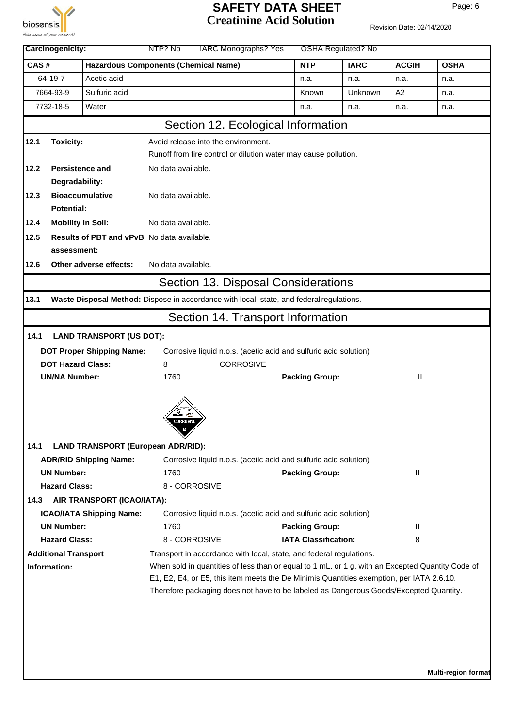

## **SAFETY DATA SHEET** Page: 6 **Creatinine Acid Solution**

|                                                                                                                                                                                   | Carcinogenicity:            |                                                                                          | <b>IARC Monographs? Yes</b><br>NTP? No      |                                     |  | <b>OSHA Regulated? No</b>                                           |                                                                                                  |                |             |  |
|-----------------------------------------------------------------------------------------------------------------------------------------------------------------------------------|-----------------------------|------------------------------------------------------------------------------------------|---------------------------------------------|-------------------------------------|--|---------------------------------------------------------------------|--------------------------------------------------------------------------------------------------|----------------|-------------|--|
| CAS#                                                                                                                                                                              |                             |                                                                                          | <b>Hazardous Components (Chemical Name)</b> |                                     |  | <b>NTP</b>                                                          | <b>IARC</b>                                                                                      | <b>ACGIH</b>   | <b>OSHA</b> |  |
|                                                                                                                                                                                   | 64-19-7                     | Acetic acid                                                                              |                                             |                                     |  | n.a.                                                                | n.a.                                                                                             | n.a.           | n.a.        |  |
|                                                                                                                                                                                   | 7664-93-9                   | Sulfuric acid                                                                            |                                             |                                     |  | Known                                                               | Unknown                                                                                          | A <sub>2</sub> | n.a.        |  |
|                                                                                                                                                                                   | 7732-18-5                   | Water                                                                                    |                                             |                                     |  | n.a.                                                                | n.a.                                                                                             | n.a.           | n.a.        |  |
|                                                                                                                                                                                   |                             |                                                                                          |                                             |                                     |  | Section 12. Ecological Information                                  |                                                                                                  |                |             |  |
| 12.1                                                                                                                                                                              | Toxicity:                   |                                                                                          |                                             | Avoid release into the environment. |  |                                                                     |                                                                                                  |                |             |  |
|                                                                                                                                                                                   |                             |                                                                                          |                                             |                                     |  | Runoff from fire control or dilution water may cause pollution.     |                                                                                                  |                |             |  |
| 12.2                                                                                                                                                                              | <b>Persistence and</b>      |                                                                                          | No data available.                          |                                     |  |                                                                     |                                                                                                  |                |             |  |
|                                                                                                                                                                                   | Degradability:              |                                                                                          |                                             |                                     |  |                                                                     |                                                                                                  |                |             |  |
| 12.3                                                                                                                                                                              |                             | <b>Bioaccumulative</b>                                                                   | No data available.                          |                                     |  |                                                                     |                                                                                                  |                |             |  |
|                                                                                                                                                                                   | Potential:                  |                                                                                          |                                             |                                     |  |                                                                     |                                                                                                  |                |             |  |
| 12.4                                                                                                                                                                              | <b>Mobility in Soil:</b>    |                                                                                          | No data available.                          |                                     |  |                                                                     |                                                                                                  |                |             |  |
| 12.5                                                                                                                                                                              |                             | Results of PBT and vPvB No data available.                                               |                                             |                                     |  |                                                                     |                                                                                                  |                |             |  |
|                                                                                                                                                                                   | assessment:                 |                                                                                          |                                             |                                     |  |                                                                     |                                                                                                  |                |             |  |
| 12.6                                                                                                                                                                              |                             | Other adverse effects:                                                                   | No data available.                          |                                     |  |                                                                     |                                                                                                  |                |             |  |
|                                                                                                                                                                                   |                             |                                                                                          |                                             |                                     |  | Section 13. Disposal Considerations                                 |                                                                                                  |                |             |  |
| 13.1                                                                                                                                                                              |                             | Waste Disposal Method: Dispose in accordance with local, state, and federal regulations. |                                             |                                     |  |                                                                     |                                                                                                  |                |             |  |
|                                                                                                                                                                                   |                             |                                                                                          |                                             |                                     |  | Section 14. Transport Information                                   |                                                                                                  |                |             |  |
| 14.1                                                                                                                                                                              |                             | <b>LAND TRANSPORT (US DOT):</b>                                                          |                                             |                                     |  |                                                                     |                                                                                                  |                |             |  |
|                                                                                                                                                                                   |                             | <b>DOT Proper Shipping Name:</b>                                                         |                                             |                                     |  | Corrosive liquid n.o.s. (acetic acid and sulfuric acid solution)    |                                                                                                  |                |             |  |
|                                                                                                                                                                                   | <b>DOT Hazard Class:</b>    |                                                                                          | 8<br><b>CORROSIVE</b>                       |                                     |  |                                                                     |                                                                                                  |                |             |  |
|                                                                                                                                                                                   | <b>UN/NA Number:</b>        |                                                                                          | 1760<br><b>Packing Group:</b>               |                                     |  | Ш                                                                   |                                                                                                  |                |             |  |
|                                                                                                                                                                                   |                             |                                                                                          | CORROSIVE                                   |                                     |  |                                                                     |                                                                                                  |                |             |  |
| 14.1                                                                                                                                                                              |                             | <b>LAND TRANSPORT (European ADR/RID):</b>                                                |                                             |                                     |  |                                                                     |                                                                                                  |                |             |  |
|                                                                                                                                                                                   |                             | <b>ADR/RID Shipping Name:</b>                                                            |                                             |                                     |  | Corrosive liquid n.o.s. (acetic acid and sulfuric acid solution)    |                                                                                                  |                |             |  |
|                                                                                                                                                                                   | <b>UN Number:</b>           |                                                                                          | 1760                                        |                                     |  | <b>Packing Group:</b>                                               |                                                                                                  | Ш              |             |  |
|                                                                                                                                                                                   | <b>Hazard Class:</b>        |                                                                                          |                                             | 8 - CORROSIVE                       |  |                                                                     |                                                                                                  |                |             |  |
| 14.3                                                                                                                                                                              |                             | AIR TRANSPORT (ICAO/IATA):                                                               |                                             |                                     |  |                                                                     |                                                                                                  |                |             |  |
|                                                                                                                                                                                   |                             | <b>ICAO/IATA Shipping Name:</b>                                                          |                                             |                                     |  | Corrosive liquid n.o.s. (acetic acid and sulfuric acid solution)    |                                                                                                  |                |             |  |
|                                                                                                                                                                                   | <b>UN Number:</b>           |                                                                                          | 1760                                        |                                     |  | <b>Packing Group:</b>                                               |                                                                                                  | Ш              |             |  |
|                                                                                                                                                                                   | <b>Hazard Class:</b>        |                                                                                          |                                             | 8 - CORROSIVE                       |  | <b>IATA Classification:</b>                                         |                                                                                                  | 8              |             |  |
|                                                                                                                                                                                   | <b>Additional Transport</b> |                                                                                          |                                             |                                     |  | Transport in accordance with local, state, and federal regulations. |                                                                                                  |                |             |  |
|                                                                                                                                                                                   | Information:                |                                                                                          |                                             |                                     |  |                                                                     | When sold in quantities of less than or equal to 1 mL, or 1 g, with an Excepted Quantity Code of |                |             |  |
| E1, E2, E4, or E5, this item meets the De Minimis Quantities exemption, per IATA 2.6.10.<br>Therefore packaging does not have to be labeled as Dangerous Goods/Excepted Quantity. |                             |                                                                                          |                                             |                                     |  |                                                                     |                                                                                                  |                |             |  |
|                                                                                                                                                                                   |                             |                                                                                          |                                             |                                     |  |                                                                     |                                                                                                  |                |             |  |
|                                                                                                                                                                                   |                             |                                                                                          |                                             |                                     |  |                                                                     |                                                                                                  |                |             |  |
|                                                                                                                                                                                   |                             |                                                                                          |                                             |                                     |  |                                                                     |                                                                                                  |                |             |  |
|                                                                                                                                                                                   |                             |                                                                                          |                                             |                                     |  |                                                                     |                                                                                                  |                |             |  |
|                                                                                                                                                                                   |                             |                                                                                          |                                             |                                     |  |                                                                     |                                                                                                  |                |             |  |
|                                                                                                                                                                                   |                             |                                                                                          |                                             |                                     |  |                                                                     |                                                                                                  |                |             |  |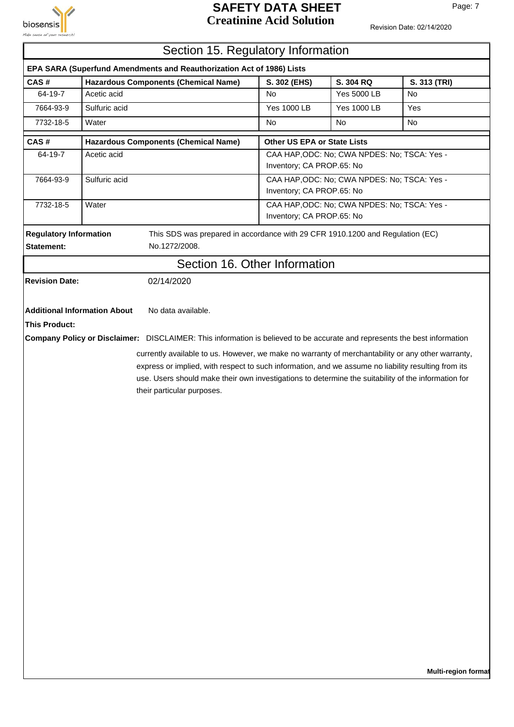

## **SAFETY DATA SHEET** Page: 7 **Creatinine Acid Solution**

Revision Date: 02/14/2020

|                                                                       |                                                                                                                                                                                                                                                                                                                                               | Section 15. Regulatory Information                                                                                        |                             |                                              |              |  |  |
|-----------------------------------------------------------------------|-----------------------------------------------------------------------------------------------------------------------------------------------------------------------------------------------------------------------------------------------------------------------------------------------------------------------------------------------|---------------------------------------------------------------------------------------------------------------------------|-----------------------------|----------------------------------------------|--------------|--|--|
| EPA SARA (Superfund Amendments and Reauthorization Act of 1986) Lists |                                                                                                                                                                                                                                                                                                                                               |                                                                                                                           |                             |                                              |              |  |  |
| CAS#                                                                  |                                                                                                                                                                                                                                                                                                                                               | <b>Hazardous Components (Chemical Name)</b>                                                                               | S. 302 (EHS)                | S. 304 RQ                                    | S. 313 (TRI) |  |  |
| 64-19-7                                                               | Acetic acid                                                                                                                                                                                                                                                                                                                                   |                                                                                                                           | <b>No</b>                   | <b>Yes 5000 LB</b>                           | No           |  |  |
| 7664-93-9                                                             | Sulfuric acid                                                                                                                                                                                                                                                                                                                                 |                                                                                                                           | <b>Yes 1000 LB</b>          | <b>Yes 1000 LB</b>                           | Yes          |  |  |
| 7732-18-5                                                             | Water                                                                                                                                                                                                                                                                                                                                         |                                                                                                                           | <b>No</b>                   | <b>No</b>                                    | <b>No</b>    |  |  |
| CAS#                                                                  |                                                                                                                                                                                                                                                                                                                                               | <b>Hazardous Components (Chemical Name)</b>                                                                               | Other US EPA or State Lists |                                              |              |  |  |
| 64-19-7                                                               | Acetic acid                                                                                                                                                                                                                                                                                                                                   |                                                                                                                           | Inventory; CA PROP.65: No   | CAA HAP, ODC: No; CWA NPDES: No; TSCA: Yes - |              |  |  |
| 7664-93-9                                                             | Sulfuric acid                                                                                                                                                                                                                                                                                                                                 |                                                                                                                           | Inventory; CA PROP.65: No   | CAA HAP, ODC: No; CWA NPDES: No; TSCA: Yes - |              |  |  |
| 7732-18-5                                                             | Water<br>CAA HAP, ODC: No; CWA NPDES: No; TSCA: Yes -<br>Inventory; CA PROP.65: No                                                                                                                                                                                                                                                            |                                                                                                                           |                             |                                              |              |  |  |
| <b>Regulatory Information</b><br>Statement:                           |                                                                                                                                                                                                                                                                                                                                               | This SDS was prepared in accordance with 29 CFR 1910.1200 and Regulation (EC)<br>No.1272/2008.                            |                             |                                              |              |  |  |
|                                                                       |                                                                                                                                                                                                                                                                                                                                               | Section 16. Other Information                                                                                             |                             |                                              |              |  |  |
| <b>Revision Date:</b>                                                 |                                                                                                                                                                                                                                                                                                                                               | 02/14/2020                                                                                                                |                             |                                              |              |  |  |
| <b>This Product:</b>                                                  | <b>Additional Information About</b>                                                                                                                                                                                                                                                                                                           | No data available.                                                                                                        |                             |                                              |              |  |  |
|                                                                       |                                                                                                                                                                                                                                                                                                                                               | Company Policy or Disclaimer: DISCLAIMER: This information is believed to be accurate and represents the best information |                             |                                              |              |  |  |
|                                                                       | currently available to us. However, we make no warranty of merchantability or any other warranty,<br>express or implied, with respect to such information, and we assume no liability resulting from its<br>use. Users should make their own investigations to determine the suitability of the information for<br>their particular purposes. |                                                                                                                           |                             |                                              |              |  |  |

 $\overline{\mathbf{1}}$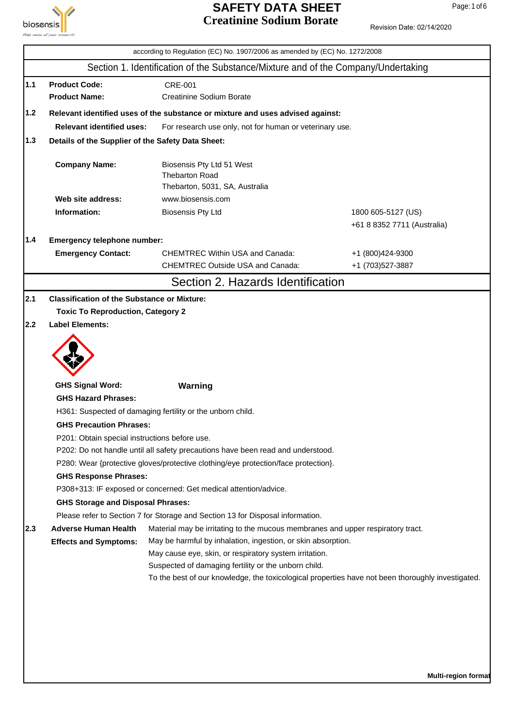

#### **SAFETY DATA SHEET** Page: 1 of 6 **Creatinine Sodium Borate**

|       |                                                                                    | according to Regulation (EC) No. 1907/2006 as amended by (EC) No. 1272/2008                                                                     |                             |  |  |  |  |  |  |
|-------|------------------------------------------------------------------------------------|-------------------------------------------------------------------------------------------------------------------------------------------------|-----------------------------|--|--|--|--|--|--|
|       |                                                                                    | Section 1. Identification of the Substance/Mixture and of the Company/Undertaking                                                               |                             |  |  |  |  |  |  |
| $1.1$ | <b>Product Code:</b>                                                               | <b>CRE-001</b>                                                                                                                                  |                             |  |  |  |  |  |  |
|       | <b>Product Name:</b>                                                               | <b>Creatinine Sodium Borate</b>                                                                                                                 |                             |  |  |  |  |  |  |
| $1.2$ |                                                                                    | Relevant identified uses of the substance or mixture and uses advised against:                                                                  |                             |  |  |  |  |  |  |
|       | <b>Relevant identified uses:</b>                                                   | For research use only, not for human or veterinary use.                                                                                         |                             |  |  |  |  |  |  |
| 1.3   | Details of the Supplier of the Safety Data Sheet:                                  |                                                                                                                                                 |                             |  |  |  |  |  |  |
|       | <b>Company Name:</b>                                                               | Biosensis Pty Ltd 51 West<br><b>Thebarton Road</b><br>Thebarton, 5031, SA, Australia                                                            |                             |  |  |  |  |  |  |
|       | Web site address:                                                                  | www.biosensis.com                                                                                                                               |                             |  |  |  |  |  |  |
|       | Information:                                                                       | <b>Biosensis Pty Ltd</b>                                                                                                                        | 1800 605-5127 (US)          |  |  |  |  |  |  |
|       |                                                                                    |                                                                                                                                                 | +61 8 8352 7711 (Australia) |  |  |  |  |  |  |
| 1.4   | Emergency telephone number:                                                        |                                                                                                                                                 |                             |  |  |  |  |  |  |
|       | <b>Emergency Contact:</b>                                                          | <b>CHEMTREC Within USA and Canada:</b>                                                                                                          | +1 (800)424-9300            |  |  |  |  |  |  |
|       |                                                                                    | <b>CHEMTREC Outside USA and Canada:</b>                                                                                                         | +1 (703)527-3887            |  |  |  |  |  |  |
|       |                                                                                    | Section 2. Hazards Identification                                                                                                               |                             |  |  |  |  |  |  |
| 2.1   | <b>Classification of the Substance or Mixture:</b>                                 |                                                                                                                                                 |                             |  |  |  |  |  |  |
|       | <b>Toxic To Reproduction, Category 2</b>                                           |                                                                                                                                                 |                             |  |  |  |  |  |  |
| 2.2   | <b>Label Elements:</b>                                                             |                                                                                                                                                 |                             |  |  |  |  |  |  |
|       |                                                                                    |                                                                                                                                                 |                             |  |  |  |  |  |  |
|       | <b>GHS Signal Word:</b>                                                            | Warning                                                                                                                                         |                             |  |  |  |  |  |  |
|       | <b>GHS Hazard Phrases:</b>                                                         |                                                                                                                                                 |                             |  |  |  |  |  |  |
|       |                                                                                    | H361: Suspected of damaging fertility or the unborn child.                                                                                      |                             |  |  |  |  |  |  |
|       | <b>GHS Precaution Phrases:</b>                                                     |                                                                                                                                                 |                             |  |  |  |  |  |  |
|       |                                                                                    | P201: Obtain special instructions before use.                                                                                                   |                             |  |  |  |  |  |  |
|       | P202: Do not handle until all safety precautions have been read and understood.    |                                                                                                                                                 |                             |  |  |  |  |  |  |
|       | P280: Wear {protective gloves/protective clothing/eye protection/face protection}. |                                                                                                                                                 |                             |  |  |  |  |  |  |
|       |                                                                                    | <b>GHS Response Phrases:</b><br>P308+313: IF exposed or concerned: Get medical attention/advice.                                                |                             |  |  |  |  |  |  |
|       | <b>GHS Storage and Disposal Phrases:</b>                                           |                                                                                                                                                 |                             |  |  |  |  |  |  |
|       |                                                                                    | Please refer to Section 7 for Storage and Section 13 for Disposal information.                                                                  |                             |  |  |  |  |  |  |
| 2.3   | <b>Adverse Human Health</b><br><b>Effects and Symptoms:</b>                        | Material may be irritating to the mucous membranes and upper respiratory tract.<br>May be harmful by inhalation, ingestion, or skin absorption. |                             |  |  |  |  |  |  |
|       |                                                                                    | May cause eye, skin, or respiratory system irritation.                                                                                          |                             |  |  |  |  |  |  |
|       |                                                                                    | Suspected of damaging fertility or the unborn child.                                                                                            |                             |  |  |  |  |  |  |
|       |                                                                                    | To the best of our knowledge, the toxicological properties have not been thoroughly investigated.                                               |                             |  |  |  |  |  |  |
|       |                                                                                    |                                                                                                                                                 |                             |  |  |  |  |  |  |
|       |                                                                                    |                                                                                                                                                 |                             |  |  |  |  |  |  |
|       |                                                                                    |                                                                                                                                                 |                             |  |  |  |  |  |  |
|       |                                                                                    |                                                                                                                                                 |                             |  |  |  |  |  |  |
|       |                                                                                    |                                                                                                                                                 |                             |  |  |  |  |  |  |
|       |                                                                                    |                                                                                                                                                 |                             |  |  |  |  |  |  |
|       |                                                                                    |                                                                                                                                                 | Multi-region format         |  |  |  |  |  |  |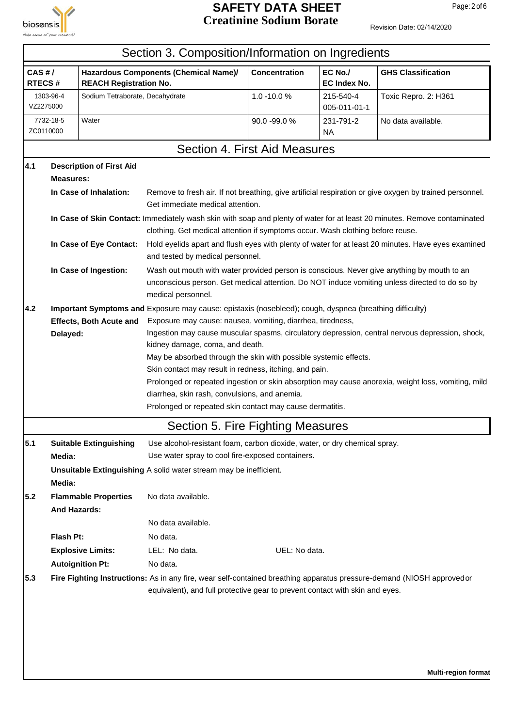

#### **SAFETY DATA SHEET** Page: 2 of 6 **Creatinine Sodium Borate**

|                 | Section 3. Composition/Information on Ingredients         |                                 |                                                                                                                                                                                                                                                                                                                                                                                                                                                                                                                                                                                                                                                              |                                                                                                                                                                                             |                           |                                                                                                                           |  |  |  |
|-----------------|-----------------------------------------------------------|---------------------------------|--------------------------------------------------------------------------------------------------------------------------------------------------------------------------------------------------------------------------------------------------------------------------------------------------------------------------------------------------------------------------------------------------------------------------------------------------------------------------------------------------------------------------------------------------------------------------------------------------------------------------------------------------------------|---------------------------------------------------------------------------------------------------------------------------------------------------------------------------------------------|---------------------------|---------------------------------------------------------------------------------------------------------------------------|--|--|--|
| CAS#/<br>RTECS# |                                                           | <b>REACH Registration No.</b>   | Hazardous Components (Chemical Name)/                                                                                                                                                                                                                                                                                                                                                                                                                                                                                                                                                                                                                        | <b>Concentration</b>                                                                                                                                                                        | EC No./<br>EC Index No.   | <b>GHS Classification</b>                                                                                                 |  |  |  |
|                 | Sodium Tetraborate, Decahydrate<br>1303-96-4<br>VZ2275000 |                                 |                                                                                                                                                                                                                                                                                                                                                                                                                                                                                                                                                                                                                                                              | 1.0 -10.0 %                                                                                                                                                                                 | 215-540-4<br>005-011-01-1 | Toxic Repro. 2: H361                                                                                                      |  |  |  |
|                 | Water<br>7732-18-5<br>ZC0110000                           |                                 |                                                                                                                                                                                                                                                                                                                                                                                                                                                                                                                                                                                                                                                              | 90.0 -99.0 %                                                                                                                                                                                | 231-791-2<br>NA.          | No data available.                                                                                                        |  |  |  |
|                 |                                                           |                                 |                                                                                                                                                                                                                                                                                                                                                                                                                                                                                                                                                                                                                                                              | Section 4. First Aid Measures                                                                                                                                                               |                           |                                                                                                                           |  |  |  |
| 4.1             |                                                           | <b>Description of First Aid</b> |                                                                                                                                                                                                                                                                                                                                                                                                                                                                                                                                                                                                                                                              |                                                                                                                                                                                             |                           |                                                                                                                           |  |  |  |
|                 | <b>Measures:</b>                                          | In Case of Inhalation:          | Get immediate medical attention.                                                                                                                                                                                                                                                                                                                                                                                                                                                                                                                                                                                                                             |                                                                                                                                                                                             |                           | Remove to fresh air. If not breathing, give artificial respiration or give oxygen by trained personnel.                   |  |  |  |
|                 |                                                           |                                 | clothing. Get medical attention if symptoms occur. Wash clothing before reuse.                                                                                                                                                                                                                                                                                                                                                                                                                                                                                                                                                                               |                                                                                                                                                                                             |                           | In Case of Skin Contact: Immediately wash skin with soap and plenty of water for at least 20 minutes. Remove contaminated |  |  |  |
|                 |                                                           | In Case of Eye Contact:         | and tested by medical personnel.                                                                                                                                                                                                                                                                                                                                                                                                                                                                                                                                                                                                                             |                                                                                                                                                                                             |                           | Hold eyelids apart and flush eyes with plenty of water for at least 20 minutes. Have eyes examined                        |  |  |  |
|                 |                                                           | In Case of Ingestion:           | medical personnel.                                                                                                                                                                                                                                                                                                                                                                                                                                                                                                                                                                                                                                           | Wash out mouth with water provided person is conscious. Never give anything by mouth to an<br>unconscious person. Get medical attention. Do NOT induce vomiting unless directed to do so by |                           |                                                                                                                           |  |  |  |
| 4.2             | Delayed:                                                  | <b>Effects, Both Acute and</b>  | Important Symptoms and Exposure may cause: epistaxis (nosebleed); cough, dyspnea (breathing difficulty)<br>Exposure may cause: nausea, vomiting, diarrhea, tiredness,<br>Ingestion may cause muscular spasms, circulatory depression, central nervous depression, shock,<br>kidney damage, coma, and death.<br>May be absorbed through the skin with possible systemic effects.<br>Skin contact may result in redness, itching, and pain.<br>Prolonged or repeated ingestion or skin absorption may cause anorexia, weight loss, vomiting, mild<br>diarrhea, skin rash, convulsions, and anemia.<br>Prolonged or repeated skin contact may cause dermatitis. |                                                                                                                                                                                             |                           |                                                                                                                           |  |  |  |
|                 |                                                           |                                 | Section 5. Fire Fighting Measures                                                                                                                                                                                                                                                                                                                                                                                                                                                                                                                                                                                                                            |                                                                                                                                                                                             |                           |                                                                                                                           |  |  |  |
| 5.1             | Media:                                                    | <b>Suitable Extinguishing</b>   | Use alcohol-resistant foam, carbon dioxide, water, or dry chemical spray.<br>Use water spray to cool fire-exposed containers.                                                                                                                                                                                                                                                                                                                                                                                                                                                                                                                                |                                                                                                                                                                                             |                           |                                                                                                                           |  |  |  |
|                 | Media:                                                    |                                 | <b>Unsuitable Extinguishing A solid water stream may be inefficient.</b>                                                                                                                                                                                                                                                                                                                                                                                                                                                                                                                                                                                     |                                                                                                                                                                                             |                           |                                                                                                                           |  |  |  |
| 5.2             | <b>And Hazards:</b>                                       | <b>Flammable Properties</b>     | No data available.                                                                                                                                                                                                                                                                                                                                                                                                                                                                                                                                                                                                                                           |                                                                                                                                                                                             |                           |                                                                                                                           |  |  |  |
|                 |                                                           |                                 | No data available.                                                                                                                                                                                                                                                                                                                                                                                                                                                                                                                                                                                                                                           |                                                                                                                                                                                             |                           |                                                                                                                           |  |  |  |
|                 | Flash Pt:                                                 |                                 | No data.                                                                                                                                                                                                                                                                                                                                                                                                                                                                                                                                                                                                                                                     |                                                                                                                                                                                             |                           |                                                                                                                           |  |  |  |
|                 |                                                           | <b>Explosive Limits:</b>        | LEL: No data.<br>No data.                                                                                                                                                                                                                                                                                                                                                                                                                                                                                                                                                                                                                                    | UEL: No data.                                                                                                                                                                               |                           |                                                                                                                           |  |  |  |
| 5.3             | <b>Autoignition Pt:</b>                                   |                                 | Fire Fighting Instructions: As in any fire, wear self-contained breathing apparatus pressure-demand (NIOSH approvedor<br>equivalent), and full protective gear to prevent contact with skin and eyes.                                                                                                                                                                                                                                                                                                                                                                                                                                                        |                                                                                                                                                                                             |                           |                                                                                                                           |  |  |  |
|                 |                                                           |                                 |                                                                                                                                                                                                                                                                                                                                                                                                                                                                                                                                                                                                                                                              |                                                                                                                                                                                             |                           |                                                                                                                           |  |  |  |
|                 |                                                           |                                 |                                                                                                                                                                                                                                                                                                                                                                                                                                                                                                                                                                                                                                                              |                                                                                                                                                                                             |                           | <b>Multi-region format</b>                                                                                                |  |  |  |
|                 |                                                           |                                 |                                                                                                                                                                                                                                                                                                                                                                                                                                                                                                                                                                                                                                                              |                                                                                                                                                                                             |                           |                                                                                                                           |  |  |  |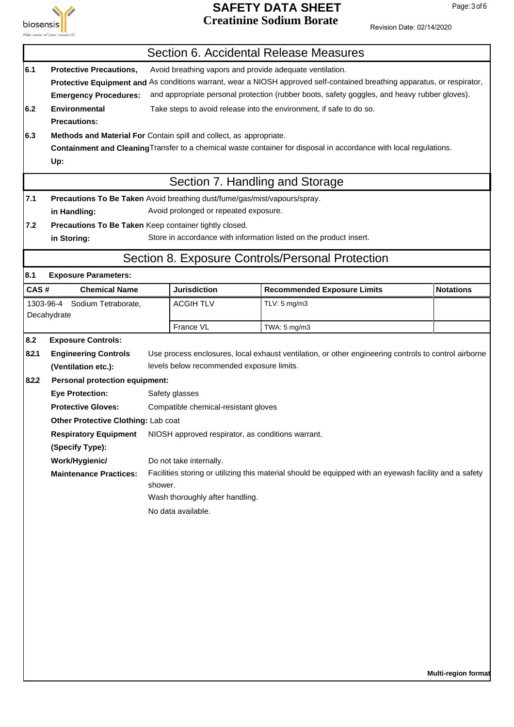

## **SAFETY DATA SHEET** Page: 3 of 6 **Creatinine Sodium Borate**

Revision Date: 02/14/2020

|                |                                                                                                                                                                                                                                                                                                                                                        |         | Section 6. Accidental Release Measures                                                                                                                                                                                                       |              |                                                                                                                                                                                                                |                  |  |  |
|----------------|--------------------------------------------------------------------------------------------------------------------------------------------------------------------------------------------------------------------------------------------------------------------------------------------------------------------------------------------------------|---------|----------------------------------------------------------------------------------------------------------------------------------------------------------------------------------------------------------------------------------------------|--------------|----------------------------------------------------------------------------------------------------------------------------------------------------------------------------------------------------------------|------------------|--|--|
| 6.1            | <b>Protective Precautions,</b><br>Avoid breathing vapors and provide adequate ventilation.<br>Protective Equipment and As conditions warrant, wear a NIOSH approved self-contained breathing apparatus, or respirator,<br>and appropriate personal protection (rubber boots, safety goggles, and heavy rubber gloves).<br><b>Emergency Procedures:</b> |         |                                                                                                                                                                                                                                              |              |                                                                                                                                                                                                                |                  |  |  |
| 6.2            | <b>Environmental</b><br>Take steps to avoid release into the environment, if safe to do so.<br><b>Precautions:</b>                                                                                                                                                                                                                                     |         |                                                                                                                                                                                                                                              |              |                                                                                                                                                                                                                |                  |  |  |
| 6.3            | Methods and Material For Contain spill and collect, as appropriate.<br>Containment and Cleaning Transfer to a chemical waste container for disposal in accordance with local regulations.<br>Up:                                                                                                                                                       |         |                                                                                                                                                                                                                                              |              |                                                                                                                                                                                                                |                  |  |  |
|                |                                                                                                                                                                                                                                                                                                                                                        |         | Section 7. Handling and Storage                                                                                                                                                                                                              |              |                                                                                                                                                                                                                |                  |  |  |
| 7.1            | Precautions To Be Taken Avoid breathing dust/fume/gas/mist/vapours/spray.<br>in Handling:                                                                                                                                                                                                                                                              |         | Avoid prolonged or repeated exposure.                                                                                                                                                                                                        |              |                                                                                                                                                                                                                |                  |  |  |
| 7.2            | Precautions To Be Taken Keep container tightly closed.<br>in Storing:                                                                                                                                                                                                                                                                                  |         | Store in accordance with information listed on the product insert.                                                                                                                                                                           |              |                                                                                                                                                                                                                |                  |  |  |
|                |                                                                                                                                                                                                                                                                                                                                                        |         | Section 8. Exposure Controls/Personal Protection                                                                                                                                                                                             |              |                                                                                                                                                                                                                |                  |  |  |
| 8.1            | <b>Exposure Parameters:</b>                                                                                                                                                                                                                                                                                                                            |         |                                                                                                                                                                                                                                              |              |                                                                                                                                                                                                                |                  |  |  |
| CAS#           | <b>Chemical Name</b>                                                                                                                                                                                                                                                                                                                                   |         | <b>Jurisdiction</b>                                                                                                                                                                                                                          |              | <b>Recommended Exposure Limits</b>                                                                                                                                                                             | <b>Notations</b> |  |  |
|                | 1303-96-4 Sodium Tetraborate,<br>Decahydrate                                                                                                                                                                                                                                                                                                           |         | <b>ACGIH TLV</b>                                                                                                                                                                                                                             | TLV: 5 mg/m3 |                                                                                                                                                                                                                |                  |  |  |
|                |                                                                                                                                                                                                                                                                                                                                                        |         | France VL                                                                                                                                                                                                                                    | TWA: 5 mg/m3 |                                                                                                                                                                                                                |                  |  |  |
| 8.2.1<br>8.2.2 | <b>Engineering Controls</b><br>(Ventilation etc.):<br><b>Personal protection equipment:</b><br><b>Eye Protection:</b><br><b>Protective Gloves:</b><br>Other Protective Clothing: Lab coat<br><b>Respiratory Equipment</b><br>(Specify Type):<br>Work/Hygienic/<br><b>Maintenance Practices:</b>                                                        | shower. | levels below recommended exposure limits.<br>Safety glasses<br>Compatible chemical-resistant gloves<br>NIOSH approved respirator, as conditions warrant.<br>Do not take internally.<br>Wash thoroughly after handling.<br>No data available. |              | Use process enclosures, local exhaust ventilation, or other engineering controls to control airborne<br>Facilities storing or utilizing this material should be equipped with an eyewash facility and a safety |                  |  |  |
|                |                                                                                                                                                                                                                                                                                                                                                        |         |                                                                                                                                                                                                                                              |              |                                                                                                                                                                                                                |                  |  |  |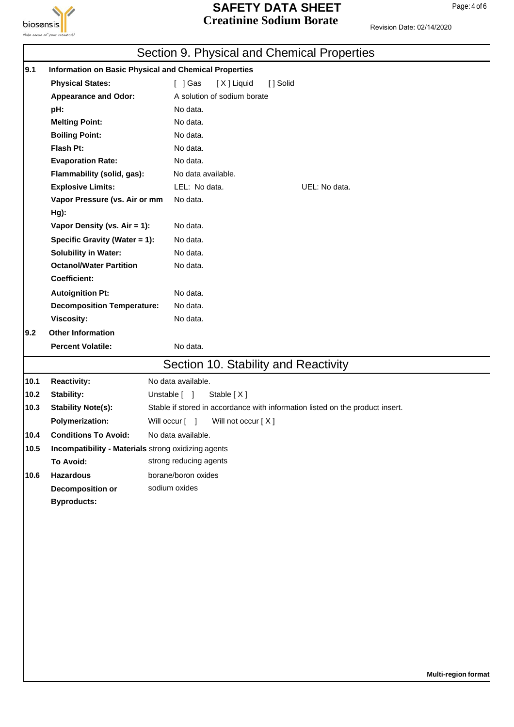

## **SAFETY DATA SHEET** Page: 4 of 6 **Creatinine Sodium Borate**

|      |                                                     | Section 9. Physical and Chemical Properties                                   |
|------|-----------------------------------------------------|-------------------------------------------------------------------------------|
| 9.1  |                                                     | Information on Basic Physical and Chemical Properties                         |
|      | <b>Physical States:</b>                             | $\lceil$ ] Gas<br>[X] Liquid<br>[] Solid                                      |
|      | <b>Appearance and Odor:</b>                         | A solution of sodium borate                                                   |
|      | pH:                                                 | No data.                                                                      |
|      | <b>Melting Point:</b>                               | No data.                                                                      |
|      | <b>Boiling Point:</b>                               | No data.                                                                      |
|      | Flash Pt:                                           | No data.                                                                      |
|      | <b>Evaporation Rate:</b>                            | No data.                                                                      |
|      | Flammability (solid, gas):                          | No data available.                                                            |
|      | <b>Explosive Limits:</b>                            | LEL: No data.<br>UEL: No data.                                                |
|      | Vapor Pressure (vs. Air or mm                       | No data.                                                                      |
|      | Hg):                                                |                                                                               |
|      | Vapor Density (vs. Air = 1):                        | No data.                                                                      |
|      | Specific Gravity (Water = 1):                       | No data.                                                                      |
|      | <b>Solubility in Water:</b>                         | No data.                                                                      |
|      | <b>Octanol/Water Partition</b>                      | No data.                                                                      |
|      | <b>Coefficient:</b>                                 |                                                                               |
|      | <b>Autoignition Pt:</b>                             | No data.                                                                      |
|      | <b>Decomposition Temperature:</b>                   | No data.                                                                      |
|      | <b>Viscosity:</b>                                   | No data.                                                                      |
| 9.2  | <b>Other Information</b>                            |                                                                               |
|      | <b>Percent Volatile:</b>                            | No data.                                                                      |
|      |                                                     | Section 10. Stability and Reactivity                                          |
| 10.1 | <b>Reactivity:</b>                                  | No data available.                                                            |
| 10.2 | Stability:                                          | Stable [X]<br>Unstable [ ]                                                    |
| 10.3 | <b>Stability Note(s):</b>                           | Stable if stored in accordance with information listed on the product insert. |
|      | <b>Polymerization:</b>                              | Will not occur [X]<br>Will occur [ ]                                          |
| 10.4 | <b>Conditions To Avoid:</b>                         | No data available.                                                            |
| 10.5 | Incompatibility - Materials strong oxidizing agents |                                                                               |
|      | To Avoid:                                           | strong reducing agents                                                        |
| 10.6 | <b>Hazardous</b>                                    | borane/boron oxides                                                           |
|      | <b>Decomposition or</b>                             | sodium oxides                                                                 |
|      | <b>Byproducts:</b>                                  |                                                                               |
|      |                                                     |                                                                               |
|      |                                                     |                                                                               |
|      |                                                     |                                                                               |
|      |                                                     |                                                                               |
|      |                                                     |                                                                               |
|      |                                                     |                                                                               |
|      |                                                     |                                                                               |
|      |                                                     |                                                                               |
|      |                                                     |                                                                               |
|      |                                                     |                                                                               |
|      |                                                     |                                                                               |
|      |                                                     |                                                                               |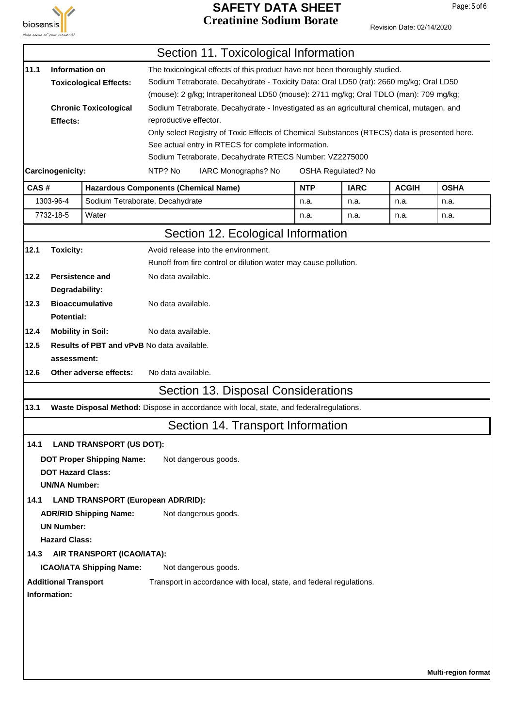

## **SAFETY DATA SHEET** Page: 5 of 6 **Creatinine Sodium Borate**

Revision Date: 02/14/2020

|      |                                                                                                                          |                                                                                          |                                                                                         | Section 11. Toxicological Information                                                                |  |            |             |              |                     |
|------|--------------------------------------------------------------------------------------------------------------------------|------------------------------------------------------------------------------------------|-----------------------------------------------------------------------------------------|------------------------------------------------------------------------------------------------------|--|------------|-------------|--------------|---------------------|
| 11.1 | Information on                                                                                                           |                                                                                          |                                                                                         | The toxicological effects of this product have not been thoroughly studied.                          |  |            |             |              |                     |
|      | <b>Toxicological Effects:</b>                                                                                            |                                                                                          | Sodium Tetraborate, Decahydrate - Toxicity Data: Oral LD50 (rat): 2660 mg/kg; Oral LD50 |                                                                                                      |  |            |             |              |                     |
|      |                                                                                                                          |                                                                                          | (mouse): 2 g/kg; Intraperitoneal LD50 (mouse): 2711 mg/kg; Oral TDLO (man): 709 mg/kg;  |                                                                                                      |  |            |             |              |                     |
|      | Sodium Tetraborate, Decahydrate - Investigated as an agricultural chemical, mutagen, and<br><b>Chronic Toxicological</b> |                                                                                          |                                                                                         |                                                                                                      |  |            |             |              |                     |
|      | Effects:                                                                                                                 |                                                                                          | reproductive effector.                                                                  |                                                                                                      |  |            |             |              |                     |
|      |                                                                                                                          |                                                                                          |                                                                                         | Only select Registry of Toxic Effects of Chemical Substances (RTECS) data is presented here.         |  |            |             |              |                     |
|      |                                                                                                                          |                                                                                          |                                                                                         | See actual entry in RTECS for complete information.                                                  |  |            |             |              |                     |
|      |                                                                                                                          |                                                                                          |                                                                                         | Sodium Tetraborate, Decahydrate RTECS Number: VZ2275000<br>IARC Monographs? No<br>OSHA Regulated? No |  |            |             |              |                     |
|      | Carcinogenicity:                                                                                                         |                                                                                          | NTP? No                                                                                 |                                                                                                      |  |            |             |              |                     |
| CAS# |                                                                                                                          | <b>Hazardous Components (Chemical Name)</b>                                              |                                                                                         |                                                                                                      |  | <b>NTP</b> | <b>IARC</b> | <b>ACGIH</b> | <b>OSHA</b>         |
|      | 1303-96-4                                                                                                                | Sodium Tetraborate, Decahydrate                                                          |                                                                                         |                                                                                                      |  | n.a.       | n.a.        | n.a.         | n.a.                |
|      | 7732-18-5                                                                                                                | Water                                                                                    |                                                                                         |                                                                                                      |  | n.a.       | n.a.        | n.a.         | n.a.                |
|      |                                                                                                                          |                                                                                          |                                                                                         | Section 12. Ecological Information                                                                   |  |            |             |              |                     |
| 12.1 | <b>Toxicity:</b>                                                                                                         |                                                                                          |                                                                                         | Avoid release into the environment.                                                                  |  |            |             |              |                     |
|      |                                                                                                                          |                                                                                          |                                                                                         | Runoff from fire control or dilution water may cause pollution.                                      |  |            |             |              |                     |
| 12.2 | <b>Persistence and</b>                                                                                                   |                                                                                          | No data available.                                                                      |                                                                                                      |  |            |             |              |                     |
|      | Degradability:                                                                                                           |                                                                                          |                                                                                         |                                                                                                      |  |            |             |              |                     |
| 12.3 |                                                                                                                          | <b>Bioaccumulative</b>                                                                   | No data available.                                                                      |                                                                                                      |  |            |             |              |                     |
|      | <b>Potential:</b>                                                                                                        |                                                                                          |                                                                                         |                                                                                                      |  |            |             |              |                     |
| 12.4 | <b>Mobility in Soil:</b>                                                                                                 |                                                                                          | No data available.                                                                      |                                                                                                      |  |            |             |              |                     |
| 12.5 |                                                                                                                          | <b>Results of PBT and vPvB No data available.</b>                                        |                                                                                         |                                                                                                      |  |            |             |              |                     |
|      | assessment:                                                                                                              |                                                                                          |                                                                                         |                                                                                                      |  |            |             |              |                     |
| 12.6 |                                                                                                                          | Other adverse effects:                                                                   | No data available.                                                                      |                                                                                                      |  |            |             |              |                     |
|      |                                                                                                                          |                                                                                          |                                                                                         | Section 13. Disposal Considerations                                                                  |  |            |             |              |                     |
| 13.1 |                                                                                                                          | Waste Disposal Method: Dispose in accordance with local, state, and federal regulations. |                                                                                         |                                                                                                      |  |            |             |              |                     |
|      |                                                                                                                          |                                                                                          |                                                                                         | Section 14. Transport Information                                                                    |  |            |             |              |                     |
| 14.1 |                                                                                                                          | <b>LAND TRANSPORT (US DOT):</b>                                                          |                                                                                         |                                                                                                      |  |            |             |              |                     |
|      |                                                                                                                          | <b>DOT Proper Shipping Name:</b>                                                         |                                                                                         | Not dangerous goods.                                                                                 |  |            |             |              |                     |
|      | <b>DOT Hazard Class:</b>                                                                                                 |                                                                                          |                                                                                         |                                                                                                      |  |            |             |              |                     |
|      | <b>UN/NA Number:</b>                                                                                                     |                                                                                          |                                                                                         |                                                                                                      |  |            |             |              |                     |
| 14.1 |                                                                                                                          | <b>LAND TRANSPORT (European ADR/RID):</b>                                                |                                                                                         |                                                                                                      |  |            |             |              |                     |
|      |                                                                                                                          | <b>ADR/RID Shipping Name:</b>                                                            |                                                                                         | Not dangerous goods.                                                                                 |  |            |             |              |                     |
|      | <b>UN Number:</b>                                                                                                        |                                                                                          |                                                                                         |                                                                                                      |  |            |             |              |                     |
|      | <b>Hazard Class:</b>                                                                                                     |                                                                                          |                                                                                         |                                                                                                      |  |            |             |              |                     |
| 14.3 |                                                                                                                          | AIR TRANSPORT (ICAO/IATA):                                                               |                                                                                         |                                                                                                      |  |            |             |              |                     |
|      |                                                                                                                          | <b>ICAO/IATA Shipping Name:</b>                                                          |                                                                                         | Not dangerous goods.                                                                                 |  |            |             |              |                     |
|      | <b>Additional Transport</b>                                                                                              |                                                                                          |                                                                                         | Transport in accordance with local, state, and federal regulations.                                  |  |            |             |              |                     |
|      | Information:                                                                                                             |                                                                                          |                                                                                         |                                                                                                      |  |            |             |              |                     |
|      |                                                                                                                          |                                                                                          |                                                                                         |                                                                                                      |  |            |             |              |                     |
|      |                                                                                                                          |                                                                                          |                                                                                         |                                                                                                      |  |            |             |              |                     |
|      |                                                                                                                          |                                                                                          |                                                                                         |                                                                                                      |  |            |             |              |                     |
|      |                                                                                                                          |                                                                                          |                                                                                         |                                                                                                      |  |            |             |              |                     |
|      |                                                                                                                          |                                                                                          |                                                                                         |                                                                                                      |  |            |             |              | Multi-region format |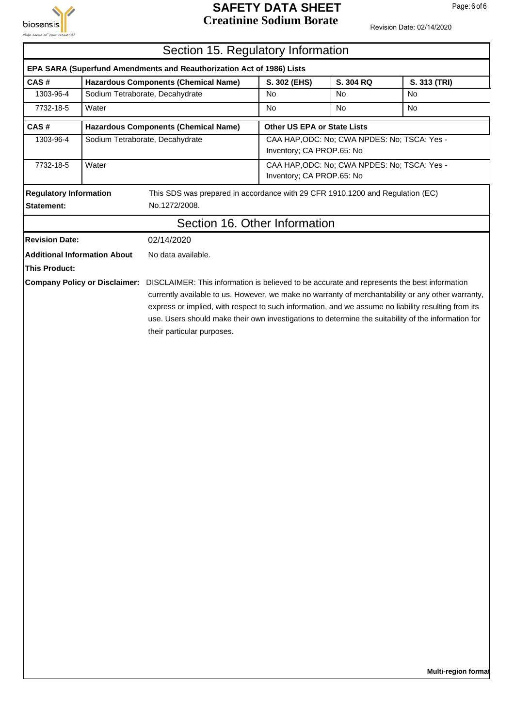

## **SAFETY DATA SHEET** Page: 6 of 6 **Creatinine Sodium Borate**

|                                             | Section 15. Regulatory Information |                                                                                                                                                                                                                                                                                                                                               |                                    |                                              |              |  |  |  |
|---------------------------------------------|------------------------------------|-----------------------------------------------------------------------------------------------------------------------------------------------------------------------------------------------------------------------------------------------------------------------------------------------------------------------------------------------|------------------------------------|----------------------------------------------|--------------|--|--|--|
|                                             |                                    | EPA SARA (Superfund Amendments and Reauthorization Act of 1986) Lists                                                                                                                                                                                                                                                                         |                                    |                                              |              |  |  |  |
| CAS#                                        |                                    | <b>Hazardous Components (Chemical Name)</b>                                                                                                                                                                                                                                                                                                   | S. 302 (EHS)                       | S. 304 RQ                                    | S. 313 (TRI) |  |  |  |
| 1303-96-4                                   |                                    | Sodium Tetraborate, Decahydrate                                                                                                                                                                                                                                                                                                               | No                                 | No                                           | No           |  |  |  |
| 7732-18-5                                   | Water                              |                                                                                                                                                                                                                                                                                                                                               | No                                 | No                                           | No           |  |  |  |
| CAS#                                        |                                    | <b>Hazardous Components (Chemical Name)</b>                                                                                                                                                                                                                                                                                                   | <b>Other US EPA or State Lists</b> |                                              |              |  |  |  |
| 1303-96-4                                   |                                    | Sodium Tetraborate, Decahydrate                                                                                                                                                                                                                                                                                                               | Inventory; CA PROP.65: No          | CAA HAP, ODC: No; CWA NPDES: No; TSCA: Yes - |              |  |  |  |
| 7732-18-5                                   | Water                              |                                                                                                                                                                                                                                                                                                                                               | Inventory; CA PROP.65: No          | CAA HAP, ODC: No; CWA NPDES: No; TSCA: Yes - |              |  |  |  |
| <b>Regulatory Information</b><br>Statement: |                                    | This SDS was prepared in accordance with 29 CFR 1910.1200 and Regulation (EC)<br>No.1272/2008.                                                                                                                                                                                                                                                |                                    |                                              |              |  |  |  |
|                                             |                                    | Section 16. Other Information                                                                                                                                                                                                                                                                                                                 |                                    |                                              |              |  |  |  |
| <b>Revision Date:</b>                       |                                    | 02/14/2020                                                                                                                                                                                                                                                                                                                                    |                                    |                                              |              |  |  |  |
| <b>Additional Information About</b>         |                                    | No data available.                                                                                                                                                                                                                                                                                                                            |                                    |                                              |              |  |  |  |
| <b>This Product:</b>                        |                                    |                                                                                                                                                                                                                                                                                                                                               |                                    |                                              |              |  |  |  |
|                                             |                                    | currently available to us. However, we make no warranty of merchantability or any other warranty,<br>express or implied, with respect to such information, and we assume no liability resulting from its<br>use. Users should make their own investigations to determine the suitability of the information for<br>their particular purposes. |                                    |                                              |              |  |  |  |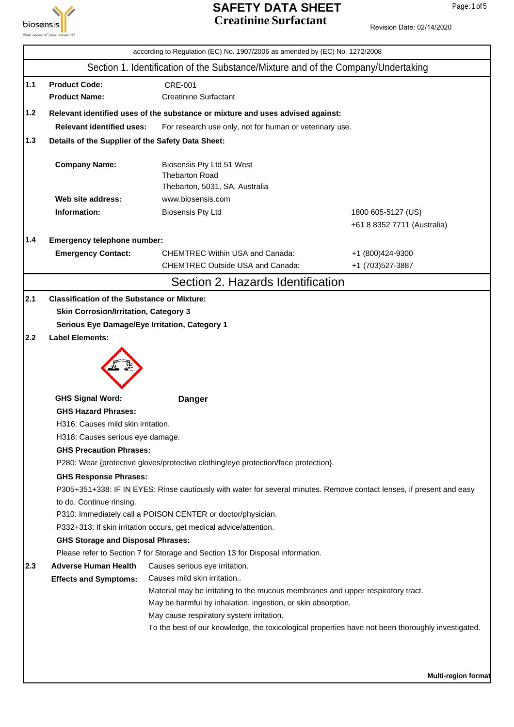

## **SAFETY DATA SHEET** Page: 1 of 5 **Creatinine Surfactant**

|                                                                                                                                                                          |                                                          | according to Regulation (EC) No. 1907/2006 as amended by (EC) No. 1272/2008                                           |                                       |  |  |
|--------------------------------------------------------------------------------------------------------------------------------------------------------------------------|----------------------------------------------------------|-----------------------------------------------------------------------------------------------------------------------|---------------------------------------|--|--|
|                                                                                                                                                                          |                                                          | Section 1. Identification of the Substance/Mixture and of the Company/Undertaking                                     |                                       |  |  |
| $1.1$                                                                                                                                                                    | <b>Product Code:</b><br><b>Product Name:</b>             | <b>CRE-001</b><br><b>Creatinine Surfactant</b>                                                                        |                                       |  |  |
| 1.2                                                                                                                                                                      |                                                          | Relevant identified uses of the substance or mixture and uses advised against:                                        |                                       |  |  |
|                                                                                                                                                                          | <b>Relevant identified uses:</b>                         | For research use only, not for human or veterinary use.                                                               |                                       |  |  |
| 1.3<br>Details of the Supplier of the Safety Data Sheet:<br><b>Company Name:</b><br>Biosensis Pty Ltd 51 West<br><b>Thebarton Road</b><br>Thebarton, 5031, SA, Australia |                                                          |                                                                                                                       |                                       |  |  |
|                                                                                                                                                                          |                                                          |                                                                                                                       |                                       |  |  |
|                                                                                                                                                                          | Web site address:                                        | www.biosensis.com                                                                                                     |                                       |  |  |
|                                                                                                                                                                          | Information:                                             | <b>Biosensis Pty Ltd</b>                                                                                              | 1800 605-5127 (US)                    |  |  |
|                                                                                                                                                                          |                                                          |                                                                                                                       | +61 8 8352 7711 (Australia)           |  |  |
| 1.4                                                                                                                                                                      | Emergency telephone number:                              |                                                                                                                       |                                       |  |  |
|                                                                                                                                                                          | <b>Emergency Contact:</b>                                | <b>CHEMTREC Within USA and Canada:</b><br><b>CHEMTREC Outside USA and Canada:</b>                                     | +1 (800)424-9300<br>+1 (703) 527-3887 |  |  |
|                                                                                                                                                                          |                                                          | Section 2. Hazards Identification                                                                                     |                                       |  |  |
| 2.1                                                                                                                                                                      | <b>Classification of the Substance or Mixture:</b>       |                                                                                                                       |                                       |  |  |
|                                                                                                                                                                          | <b>Skin Corrosion/Irritation, Category 3</b>             |                                                                                                                       |                                       |  |  |
|                                                                                                                                                                          | Serious Eye Damage/Eye Irritation, Category 1            |                                                                                                                       |                                       |  |  |
| 2.2                                                                                                                                                                      | <b>Label Elements:</b>                                   |                                                                                                                       |                                       |  |  |
|                                                                                                                                                                          |                                                          |                                                                                                                       |                                       |  |  |
|                                                                                                                                                                          | <b>GHS Signal Word:</b>                                  | <b>Danger</b>                                                                                                         |                                       |  |  |
|                                                                                                                                                                          | <b>GHS Hazard Phrases:</b>                               |                                                                                                                       |                                       |  |  |
|                                                                                                                                                                          | H316: Causes mild skin irritation.                       |                                                                                                                       |                                       |  |  |
|                                                                                                                                                                          | H318: Causes serious eye damage.                         |                                                                                                                       |                                       |  |  |
|                                                                                                                                                                          | <b>GHS Precaution Phrases:</b>                           |                                                                                                                       |                                       |  |  |
|                                                                                                                                                                          |                                                          | P280: Wear {protective gloves/protective clothing/eye protection/face protection}.                                    |                                       |  |  |
|                                                                                                                                                                          | <b>GHS Response Phrases:</b><br>to do. Continue rinsing. | P305+351+338: IF IN EYES: Rinse cautiously with water for several minutes. Remove contact lenses, if present and easy |                                       |  |  |
|                                                                                                                                                                          |                                                          | P310: Immediately call a POISON CENTER or doctor/physician.                                                           |                                       |  |  |
|                                                                                                                                                                          |                                                          | P332+313: If skin irritation occurs, get medical advice/attention.                                                    |                                       |  |  |
|                                                                                                                                                                          | <b>GHS Storage and Disposal Phrases:</b>                 |                                                                                                                       |                                       |  |  |
|                                                                                                                                                                          |                                                          | Please refer to Section 7 for Storage and Section 13 for Disposal information.                                        |                                       |  |  |
| 2.3                                                                                                                                                                      | <b>Adverse Human Health</b>                              | Causes serious eye irritation.                                                                                        |                                       |  |  |
|                                                                                                                                                                          | <b>Effects and Symptoms:</b>                             | Causes mild skin irritation                                                                                           |                                       |  |  |
|                                                                                                                                                                          |                                                          | Material may be irritating to the mucous membranes and upper respiratory tract.                                       |                                       |  |  |
|                                                                                                                                                                          |                                                          | May be harmful by inhalation, ingestion, or skin absorption.                                                          |                                       |  |  |
|                                                                                                                                                                          |                                                          | May cause respiratory system irritation.                                                                              |                                       |  |  |
|                                                                                                                                                                          |                                                          | To the best of our knowledge, the toxicological properties have not been thoroughly investigated.                     |                                       |  |  |
|                                                                                                                                                                          |                                                          |                                                                                                                       |                                       |  |  |
|                                                                                                                                                                          |                                                          |                                                                                                                       |                                       |  |  |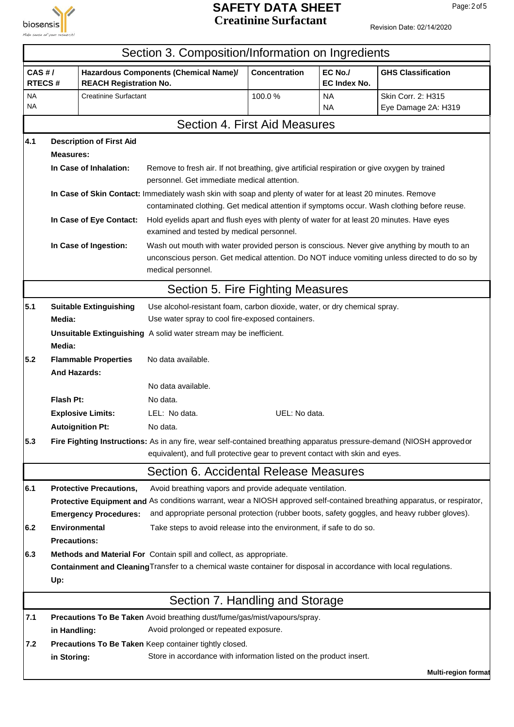

## **SAFETY DATA SHEET** Page: 2 of 5 **Creatinine Surfactant**

|                         |                            |                                 | Section 3. Composition/Information on Ingredients                                                                                                                                                     |                                                  |                         |                                                                                                                          |  |  |  |  |
|-------------------------|----------------------------|---------------------------------|-------------------------------------------------------------------------------------------------------------------------------------------------------------------------------------------------------|--------------------------------------------------|-------------------------|--------------------------------------------------------------------------------------------------------------------------|--|--|--|--|
| CAS H/<br><b>RTECS#</b> |                            | <b>REACH Registration No.</b>   | Hazardous Components (Chemical Name)/                                                                                                                                                                 | <b>Concentration</b>                             | EC No./<br>EC Index No. | <b>GHS Classification</b>                                                                                                |  |  |  |  |
| <b>NA</b><br>NA         |                            | <b>Creatinine Surfactant</b>    |                                                                                                                                                                                                       | 100.0%                                           | <b>NA</b><br><b>NA</b>  | Skin Corr. 2: H315<br>Eye Damage 2A: H319                                                                                |  |  |  |  |
|                         |                            |                                 | Section 4. First Aid Measures                                                                                                                                                                         |                                                  |                         |                                                                                                                          |  |  |  |  |
| 4.1                     |                            | <b>Description of First Aid</b> |                                                                                                                                                                                                       |                                                  |                         |                                                                                                                          |  |  |  |  |
|                         | <b>Measures:</b>           |                                 |                                                                                                                                                                                                       |                                                  |                         |                                                                                                                          |  |  |  |  |
|                         |                            | In Case of Inhalation:          | Remove to fresh air. If not breathing, give artificial respiration or give oxygen by trained<br>personnel. Get immediate medical attention.                                                           |                                                  |                         |                                                                                                                          |  |  |  |  |
|                         |                            |                                 | In Case of Skin Contact: Immediately wash skin with soap and plenty of water for at least 20 minutes. Remove                                                                                          |                                                  |                         |                                                                                                                          |  |  |  |  |
|                         |                            |                                 | contaminated clothing. Get medical attention if symptoms occur. Wash clothing before reuse.                                                                                                           |                                                  |                         |                                                                                                                          |  |  |  |  |
|                         |                            | In Case of Eye Contact:         | Hold eyelids apart and flush eyes with plenty of water for at least 20 minutes. Have eyes<br>examined and tested by medical personnel.                                                                |                                                  |                         |                                                                                                                          |  |  |  |  |
|                         |                            | In Case of Ingestion:           | Wash out mouth with water provided person is conscious. Never give anything by mouth to an                                                                                                            |                                                  |                         |                                                                                                                          |  |  |  |  |
|                         |                            |                                 |                                                                                                                                                                                                       |                                                  |                         | unconscious person. Get medical attention. Do NOT induce vomiting unless directed to do so by                            |  |  |  |  |
|                         |                            |                                 | medical personnel.                                                                                                                                                                                    |                                                  |                         |                                                                                                                          |  |  |  |  |
|                         |                            |                                 | Section 5. Fire Fighting Measures                                                                                                                                                                     |                                                  |                         |                                                                                                                          |  |  |  |  |
| 5.1                     |                            | <b>Suitable Extinguishing</b>   | Use alcohol-resistant foam, carbon dioxide, water, or dry chemical spray.                                                                                                                             |                                                  |                         |                                                                                                                          |  |  |  |  |
|                         | Media:                     |                                 |                                                                                                                                                                                                       | Use water spray to cool fire-exposed containers. |                         |                                                                                                                          |  |  |  |  |
|                         | Media:                     |                                 | Unsuitable Extinguishing A solid water stream may be inefficient.                                                                                                                                     |                                                  |                         |                                                                                                                          |  |  |  |  |
| 5.2                     | <b>And Hazards:</b>        | <b>Flammable Properties</b>     | No data available.                                                                                                                                                                                    |                                                  |                         |                                                                                                                          |  |  |  |  |
|                         |                            |                                 | No data available.                                                                                                                                                                                    |                                                  |                         |                                                                                                                          |  |  |  |  |
|                         | Flash Pt:                  |                                 | No data.                                                                                                                                                                                              |                                                  |                         |                                                                                                                          |  |  |  |  |
|                         |                            | <b>Explosive Limits:</b>        | LEL: No data.<br>UEL: No data.                                                                                                                                                                        |                                                  |                         |                                                                                                                          |  |  |  |  |
|                         |                            | <b>Autoignition Pt:</b>         | No data.                                                                                                                                                                                              |                                                  |                         |                                                                                                                          |  |  |  |  |
| 5.3                     |                            |                                 | Fire Fighting Instructions: As in any fire, wear self-contained breathing apparatus pressure-demand (NIOSH approvedor<br>equivalent), and full protective gear to prevent contact with skin and eyes. |                                                  |                         |                                                                                                                          |  |  |  |  |
|                         |                            |                                 | Section 6. Accidental Release Measures                                                                                                                                                                |                                                  |                         |                                                                                                                          |  |  |  |  |
| 6.1                     |                            | <b>Protective Precautions,</b>  | Avoid breathing vapors and provide adequate ventilation.                                                                                                                                              |                                                  |                         |                                                                                                                          |  |  |  |  |
|                         |                            |                                 |                                                                                                                                                                                                       |                                                  |                         | Protective Equipment and As conditions warrant, wear a NIOSH approved self-contained breathing apparatus, or respirator, |  |  |  |  |
|                         |                            | <b>Emergency Procedures:</b>    | and appropriate personal protection (rubber boots, safety goggles, and heavy rubber gloves).                                                                                                          |                                                  |                         |                                                                                                                          |  |  |  |  |
| 6.2                     |                            | <b>Environmental</b>            | Take steps to avoid release into the environment, if safe to do so.                                                                                                                                   |                                                  |                         |                                                                                                                          |  |  |  |  |
|                         | <b>Precautions:</b>        |                                 |                                                                                                                                                                                                       |                                                  |                         |                                                                                                                          |  |  |  |  |
| 6.3                     |                            |                                 | Methods and Material For Contain spill and collect, as appropriate.                                                                                                                                   |                                                  |                         |                                                                                                                          |  |  |  |  |
|                         |                            |                                 | Containment and Cleaning Transfer to a chemical waste container for disposal in accordance with local regulations.                                                                                    |                                                  |                         |                                                                                                                          |  |  |  |  |
|                         | Up:                        |                                 |                                                                                                                                                                                                       |                                                  |                         |                                                                                                                          |  |  |  |  |
|                         |                            |                                 | Section 7. Handling and Storage                                                                                                                                                                       |                                                  |                         |                                                                                                                          |  |  |  |  |
| 7.1                     |                            |                                 | Precautions To Be Taken Avoid breathing dust/fume/gas/mist/vapours/spray.                                                                                                                             |                                                  |                         |                                                                                                                          |  |  |  |  |
|                         | in Handling:               |                                 | Avoid prolonged or repeated exposure.                                                                                                                                                                 |                                                  |                         |                                                                                                                          |  |  |  |  |
| 7.2                     |                            |                                 | Precautions To Be Taken Keep container tightly closed.                                                                                                                                                |                                                  |                         |                                                                                                                          |  |  |  |  |
|                         | in Storing:                |                                 | Store in accordance with information listed on the product insert.                                                                                                                                    |                                                  |                         |                                                                                                                          |  |  |  |  |
|                         | <b>Multi-region format</b> |                                 |                                                                                                                                                                                                       |                                                  |                         |                                                                                                                          |  |  |  |  |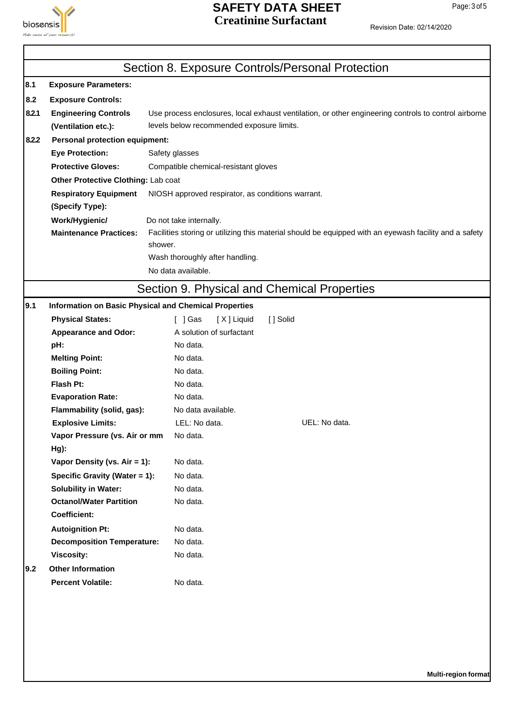

# **SAFETY DATA SHEET** Page: 3 of 5

| <b>aiosensis</b> | Make sense of your research!          |                                                                                                        | <b>Creatinine Surfactant</b> | Revision Date: 02/14/2020                                                                            |  |  |  |
|------------------|---------------------------------------|--------------------------------------------------------------------------------------------------------|------------------------------|------------------------------------------------------------------------------------------------------|--|--|--|
|                  |                                       | Section 8. Exposure Controls/Personal Protection                                                       |                              |                                                                                                      |  |  |  |
| 8.1              | <b>Exposure Parameters:</b>           |                                                                                                        |                              |                                                                                                      |  |  |  |
| 8.2              | <b>Exposure Controls:</b>             |                                                                                                        |                              |                                                                                                      |  |  |  |
| 8.2.1            | <b>Engineering Controls</b>           |                                                                                                        |                              | Use process enclosures, local exhaust ventilation, or other engineering controls to control airborne |  |  |  |
|                  | (Ventilation etc.):                   | levels below recommended exposure limits.                                                              |                              |                                                                                                      |  |  |  |
| 8.2.2            | <b>Personal protection equipment:</b> |                                                                                                        |                              |                                                                                                      |  |  |  |
|                  | <b>Eye Protection:</b>                | Safety glasses                                                                                         |                              |                                                                                                      |  |  |  |
|                  | <b>Protective Gloves:</b>             | Compatible chemical-resistant gloves                                                                   |                              |                                                                                                      |  |  |  |
|                  | Other Protective Clothing: Lab coat   |                                                                                                        |                              |                                                                                                      |  |  |  |
|                  | <b>Respiratory Equipment</b>          | NIOSH approved respirator, as conditions warrant.                                                      |                              |                                                                                                      |  |  |  |
|                  | (Specify Type):                       |                                                                                                        |                              |                                                                                                      |  |  |  |
|                  | Work/Hygienic/                        | Do not take internally.                                                                                |                              |                                                                                                      |  |  |  |
|                  | <b>Maintenance Practices:</b>         | Facilities storing or utilizing this material should be equipped with an eyewash facility and a safety |                              |                                                                                                      |  |  |  |
|                  |                                       | shower.                                                                                                |                              |                                                                                                      |  |  |  |
|                  |                                       | Wash thoroughly after handling.                                                                        |                              |                                                                                                      |  |  |  |
|                  |                                       | No data available.                                                                                     |                              |                                                                                                      |  |  |  |
|                  |                                       | Section 9. Physical and Chemical Properties                                                            |                              |                                                                                                      |  |  |  |
| 9.1              |                                       | Information on Basic Physical and Chemical Properties                                                  |                              |                                                                                                      |  |  |  |
|                  | <b>Physical States:</b>               | [ ] Gas<br>[X] Liquid                                                                                  | [] Solid                     |                                                                                                      |  |  |  |
|                  | <b>Appearance and Odor:</b>           | A solution of surfactant                                                                               |                              |                                                                                                      |  |  |  |
|                  | pH:                                   | No data.                                                                                               |                              |                                                                                                      |  |  |  |
|                  | <b>Melting Point:</b>                 | No data.                                                                                               |                              |                                                                                                      |  |  |  |
|                  | <b>Boiling Point:</b>                 | No data.                                                                                               |                              |                                                                                                      |  |  |  |
|                  | <b>Flash Pt:</b>                      | No data.                                                                                               |                              |                                                                                                      |  |  |  |
|                  | <b>Evaporation Rate:</b>              | No data.                                                                                               |                              |                                                                                                      |  |  |  |
|                  | Flammability (solid, gas):            | No data available.                                                                                     |                              |                                                                                                      |  |  |  |
|                  | <b>Explosive Limits:</b>              | LEL: No data.                                                                                          |                              | UEL: No data.                                                                                        |  |  |  |
|                  | Vapor Pressure (vs. Air or mm         | No data.                                                                                               |                              |                                                                                                      |  |  |  |
|                  | $Hg$ :                                |                                                                                                        |                              |                                                                                                      |  |  |  |
|                  | Vapor Density (vs. Air = 1):          | No data.                                                                                               |                              |                                                                                                      |  |  |  |
|                  | Specific Gravity (Water = 1):         | No data.                                                                                               |                              |                                                                                                      |  |  |  |
|                  | <b>Solubility in Water:</b>           | No data.                                                                                               |                              |                                                                                                      |  |  |  |
|                  | <b>Octanol/Water Partition</b>        | No data.                                                                                               |                              |                                                                                                      |  |  |  |
|                  | <b>Coefficient:</b>                   |                                                                                                        |                              |                                                                                                      |  |  |  |
|                  | <b>Autoignition Pt:</b>               | No data.                                                                                               |                              |                                                                                                      |  |  |  |

**9.2 Other Information**

**Decomposition Temperature:** No data. **Viscosity:** No data.

**Percent Volatile:** No data.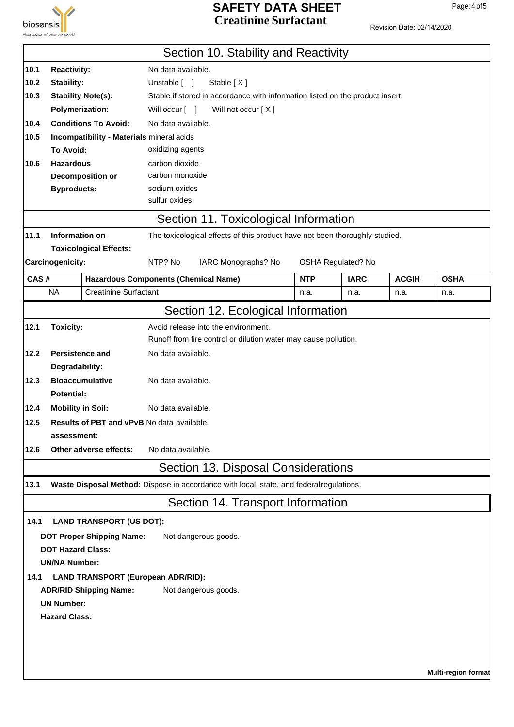

## **SAFETY DATA SHEET** Page: 4 of 5 **Creatinine Surfactant**

|              |                                                                                                                                      |                                                   |                                   | Section 10. Stability and Reactivity                                                     |            |                    |              |             |
|--------------|--------------------------------------------------------------------------------------------------------------------------------------|---------------------------------------------------|-----------------------------------|------------------------------------------------------------------------------------------|------------|--------------------|--------------|-------------|
|              |                                                                                                                                      |                                                   | No data available.                |                                                                                          |            |                    |              |             |
| 10.1<br>10.2 | <b>Reactivity:</b><br>Stability:                                                                                                     |                                                   | Unstable [ ]                      | Stable [X]                                                                               |            |                    |              |             |
| 10.3         |                                                                                                                                      |                                                   |                                   |                                                                                          |            |                    |              |             |
|              | <b>Stability Note(s):</b><br>Stable if stored in accordance with information listed on the product insert.<br><b>Polymerization:</b> |                                                   |                                   |                                                                                          |            |                    |              |             |
|              |                                                                                                                                      |                                                   | Will occur [ ]                    | Will not occur [X]                                                                       |            |                    |              |             |
| 10.4         |                                                                                                                                      | <b>Conditions To Avoid:</b>                       | No data available.                |                                                                                          |            |                    |              |             |
| 10.5         |                                                                                                                                      | Incompatibility - Materials mineral acids         |                                   |                                                                                          |            |                    |              |             |
|              | To Avoid:                                                                                                                            |                                                   | oxidizing agents                  |                                                                                          |            |                    |              |             |
| 10.6         | <b>Hazardous</b>                                                                                                                     |                                                   | carbon dioxide<br>carbon monoxide |                                                                                          |            |                    |              |             |
|              | <b>Byproducts:</b>                                                                                                                   | Decomposition or                                  | sodium oxides                     |                                                                                          |            |                    |              |             |
|              |                                                                                                                                      |                                                   | sulfur oxides                     |                                                                                          |            |                    |              |             |
|              |                                                                                                                                      |                                                   |                                   | Section 11. Toxicological Information                                                    |            |                    |              |             |
| 11.1         | Information on                                                                                                                       |                                                   |                                   | The toxicological effects of this product have not been thoroughly studied.              |            |                    |              |             |
|              |                                                                                                                                      | <b>Toxicological Effects:</b>                     |                                   |                                                                                          |            |                    |              |             |
|              | Carcinogenicity:                                                                                                                     |                                                   | NTP? No                           | IARC Monographs? No                                                                      |            | OSHA Regulated? No |              |             |
| CAS#         |                                                                                                                                      | <b>Hazardous Components (Chemical Name)</b>       |                                   |                                                                                          | <b>NTP</b> | <b>IARC</b>        | <b>ACGIH</b> | <b>OSHA</b> |
|              | <b>NA</b>                                                                                                                            | <b>Creatinine Surfactant</b>                      |                                   |                                                                                          | n.a.       | n.a.               | n.a.         | n.a.        |
|              |                                                                                                                                      |                                                   |                                   | Section 12. Ecological Information                                                       |            |                    |              |             |
| 12.1         | <b>Toxicity:</b>                                                                                                                     |                                                   |                                   | Avoid release into the environment.                                                      |            |                    |              |             |
|              |                                                                                                                                      |                                                   |                                   | Runoff from fire control or dilution water may cause pollution.                          |            |                    |              |             |
| 12.2         |                                                                                                                                      | <b>Persistence and</b>                            | No data available.                |                                                                                          |            |                    |              |             |
|              | Degradability:                                                                                                                       |                                                   |                                   |                                                                                          |            |                    |              |             |
| 12.3         |                                                                                                                                      | <b>Bioaccumulative</b>                            | No data available.                |                                                                                          |            |                    |              |             |
|              | <b>Potential:</b>                                                                                                                    |                                                   |                                   |                                                                                          |            |                    |              |             |
| 12.4         | <b>Mobility in Soil:</b>                                                                                                             |                                                   | No data available.                |                                                                                          |            |                    |              |             |
| 12.5         |                                                                                                                                      | <b>Results of PBT and vPvB No data available.</b> |                                   |                                                                                          |            |                    |              |             |
|              | assessment:                                                                                                                          |                                                   |                                   |                                                                                          |            |                    |              |             |
| 12.6         |                                                                                                                                      | Other adverse effects:                            | No data available.                |                                                                                          |            |                    |              |             |
|              |                                                                                                                                      |                                                   |                                   | Section 13. Disposal Considerations                                                      |            |                    |              |             |
| 13.1         |                                                                                                                                      |                                                   |                                   | Waste Disposal Method: Dispose in accordance with local, state, and federal regulations. |            |                    |              |             |
|              |                                                                                                                                      |                                                   |                                   | Section 14. Transport Information                                                        |            |                    |              |             |
| 14.1         |                                                                                                                                      | <b>LAND TRANSPORT (US DOT):</b>                   |                                   |                                                                                          |            |                    |              |             |
|              |                                                                                                                                      | <b>DOT Proper Shipping Name:</b>                  |                                   | Not dangerous goods.                                                                     |            |                    |              |             |
|              | <b>DOT Hazard Class:</b>                                                                                                             |                                                   |                                   |                                                                                          |            |                    |              |             |
|              | <b>UN/NA Number:</b>                                                                                                                 |                                                   |                                   |                                                                                          |            |                    |              |             |
| 14.1         |                                                                                                                                      | <b>LAND TRANSPORT (European ADR/RID):</b>         |                                   |                                                                                          |            |                    |              |             |
|              |                                                                                                                                      | <b>ADR/RID Shipping Name:</b>                     |                                   | Not dangerous goods.                                                                     |            |                    |              |             |
|              | <b>UN Number:</b>                                                                                                                    |                                                   |                                   |                                                                                          |            |                    |              |             |
|              | <b>Hazard Class:</b>                                                                                                                 |                                                   |                                   |                                                                                          |            |                    |              |             |
|              |                                                                                                                                      |                                                   |                                   |                                                                                          |            |                    |              |             |
|              |                                                                                                                                      |                                                   |                                   |                                                                                          |            |                    |              |             |
|              |                                                                                                                                      |                                                   |                                   |                                                                                          |            |                    |              |             |
|              | <b>Multi-region format</b>                                                                                                           |                                                   |                                   |                                                                                          |            |                    |              |             |